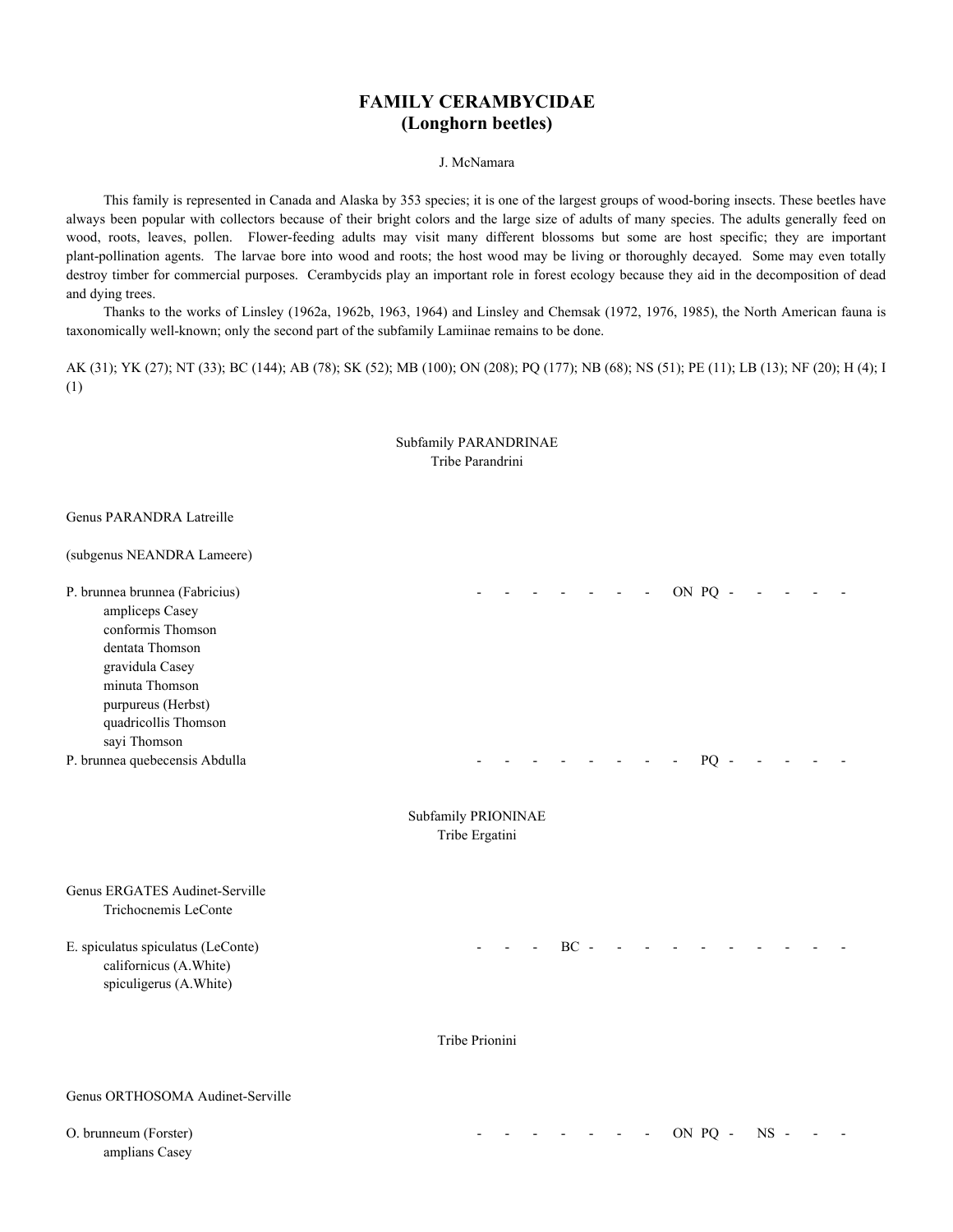# **FAMILY CERAMBYCIDAE (Longhorn beetles)**

J. McNamara

 This family is represented in Canada and Alaska by 353 species; it is one of the largest groups of wood-boring insects. These beetles have always been popular with collectors because of their bright colors and the large size of adults of many species. The adults generally feed on wood, roots, leaves, pollen. Flower-feeding adults may visit many different blossoms but some are host specific; they are important plant-pollination agents. The larvae bore into wood and roots; the host wood may be living or thoroughly decayed. Some may even totally destroy timber for commercial purposes. Cerambycids play an important role in forest ecology because they aid in the decomposition of dead and dying trees.

 Thanks to the works of Linsley (1962a, 1962b, 1963, 1964) and Linsley and Chemsak (1972, 1976, 1985), the North American fauna is taxonomically well-known; only the second part of the subfamily Lamiinae remains to be done.

AK (31); YK (27); NT (33); BC (144); AB (78); SK (52); MB (100); ON (208); PQ (177); NB (68); NS (51); PE (11); LB (13); NF (20); H (4); I (1)

|                                                                                                                                                                                              | Subfamily PARANDRINAE<br>Tribe Parandrini |        |                          |         |        |  |
|----------------------------------------------------------------------------------------------------------------------------------------------------------------------------------------------|-------------------------------------------|--------|--------------------------|---------|--------|--|
| <b>Genus PARANDRA Latreille</b><br>(subgenus NEANDRA Lameere)                                                                                                                                |                                           |        |                          |         |        |  |
| P. brunnea brunnea (Fabricius)<br>ampliceps Casey<br>conformis Thomson<br>dentata Thomson<br>gravidula Casey<br>minuta Thomson<br>purpureus (Herbst)<br>quadricollis Thomson<br>sayi Thomson |                                           |        | $\overline{\phantom{a}}$ | ON PQ - |        |  |
| P. brunnea quebecensis Abdulla                                                                                                                                                               |                                           |        |                          | $PQ -$  |        |  |
|                                                                                                                                                                                              | Subfamily PRIONINAE<br>Tribe Ergatini     |        |                          |         |        |  |
| Genus ERGATES Audinet-Serville<br>Trichocnemis LeConte                                                                                                                                       |                                           |        |                          |         |        |  |
| E. spiculatus spiculatus (LeConte)<br>californicus (A.White)<br>spiculigerus (A.White)                                                                                                       |                                           | $BC -$ |                          |         |        |  |
|                                                                                                                                                                                              | Tribe Prionini                            |        |                          |         |        |  |
| Genus ORTHOSOMA Audinet-Serville                                                                                                                                                             |                                           |        |                          |         |        |  |
| O. brunneum (Forster)<br>amplians Casey                                                                                                                                                      |                                           |        |                          | ON PQ - | $NS -$ |  |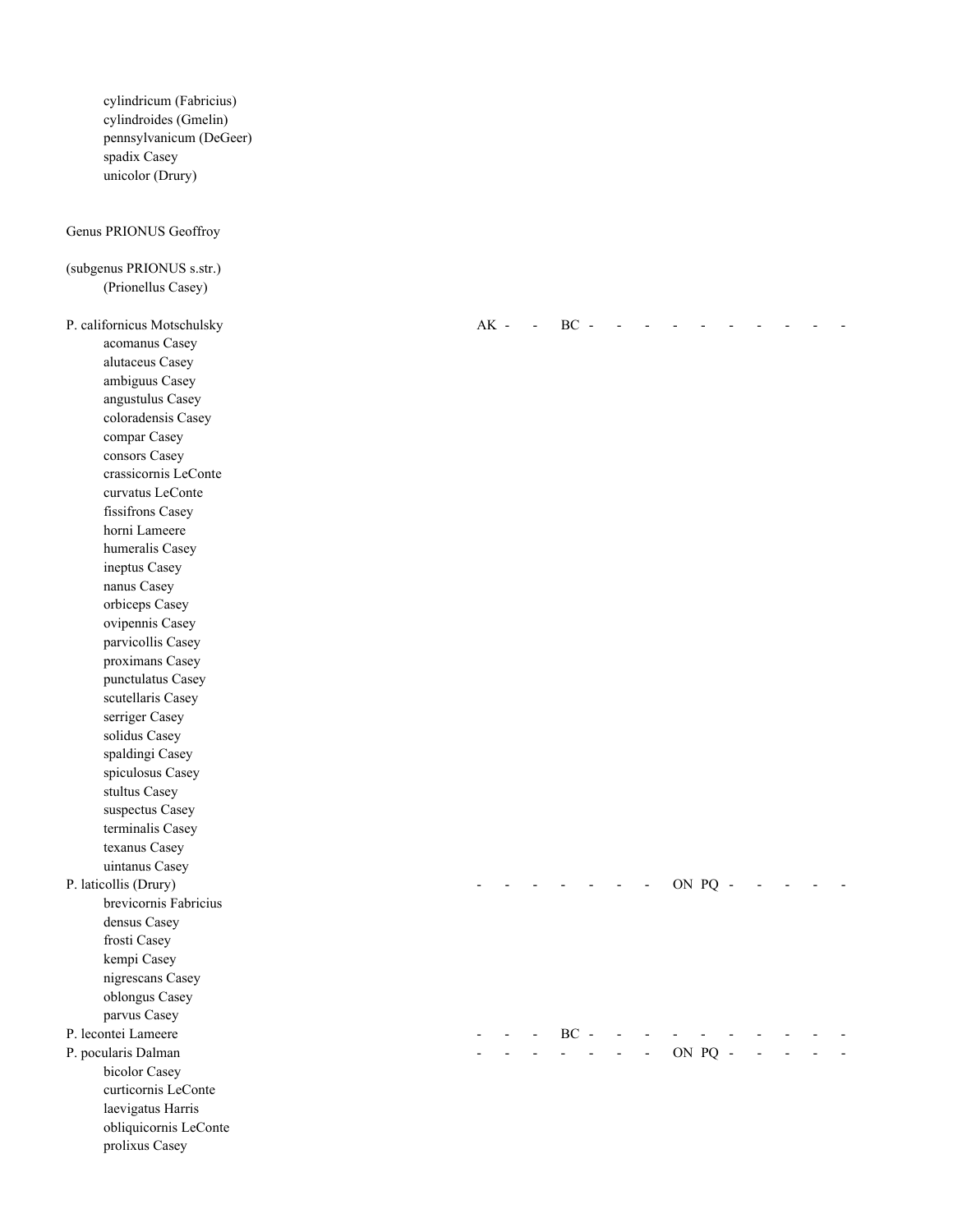cylindricum (Fabricius) cylindroides (Gmelin) pennsylvanicum (DeGeer) spadix Casey unicolor (Drury)

# Genus PRIONUS Geoffroy

| (subgenus PRIONUS s.str.)                |  |              |            |                       |         |  |  |  |
|------------------------------------------|--|--------------|------------|-----------------------|---------|--|--|--|
| (Prionellus Casey)                       |  |              |            |                       |         |  |  |  |
|                                          |  |              |            |                       |         |  |  |  |
| P. californicus Motschulsky              |  | AK - - BC -  | $\sim$ $-$ |                       |         |  |  |  |
| acomanus Casey                           |  |              |            |                       |         |  |  |  |
| alutaceus Casey                          |  |              |            |                       |         |  |  |  |
| ambiguus Casey                           |  |              |            |                       |         |  |  |  |
| angustulus Casey                         |  |              |            |                       |         |  |  |  |
| coloradensis Casey                       |  |              |            |                       |         |  |  |  |
| compar Casey                             |  |              |            |                       |         |  |  |  |
| consors Casey                            |  |              |            |                       |         |  |  |  |
| crassicornis LeConte<br>curvatus LeConte |  |              |            |                       |         |  |  |  |
|                                          |  |              |            |                       |         |  |  |  |
| fissifrons Casey<br>horni Lameere        |  |              |            |                       |         |  |  |  |
| humeralis Casey                          |  |              |            |                       |         |  |  |  |
| ineptus Casey                            |  |              |            |                       |         |  |  |  |
| nanus Casey                              |  |              |            |                       |         |  |  |  |
| orbiceps Casey                           |  |              |            |                       |         |  |  |  |
| ovipennis Casey                          |  |              |            |                       |         |  |  |  |
| parvicollis Casey                        |  |              |            |                       |         |  |  |  |
| proximans Casey                          |  |              |            |                       |         |  |  |  |
| punctulatus Casey                        |  |              |            |                       |         |  |  |  |
| scutellaris Casey                        |  |              |            |                       |         |  |  |  |
| serriger Casey                           |  |              |            |                       |         |  |  |  |
| solidus Casey                            |  |              |            |                       |         |  |  |  |
| spaldingi Casey                          |  |              |            |                       |         |  |  |  |
| spiculosus Casey                         |  |              |            |                       |         |  |  |  |
| stultus Casey                            |  |              |            |                       |         |  |  |  |
| suspectus Casey                          |  |              |            |                       |         |  |  |  |
| terminalis Casey                         |  |              |            |                       |         |  |  |  |
| texanus Casey                            |  |              |            |                       |         |  |  |  |
| uintanus Casey                           |  |              |            |                       |         |  |  |  |
| P. laticollis (Drury)                    |  |              |            |                       | ON PQ - |  |  |  |
| brevicornis Fabricius                    |  |              |            |                       |         |  |  |  |
| densus Casey                             |  |              |            |                       |         |  |  |  |
| frosti Casey                             |  |              |            |                       |         |  |  |  |
| kempi Casey                              |  |              |            |                       |         |  |  |  |
| nigrescans Casey                         |  |              |            |                       |         |  |  |  |
| oblongus Casey                           |  |              |            |                       |         |  |  |  |
| parvus Casey                             |  |              |            |                       |         |  |  |  |
| P. lecontei Lameere                      |  | - - - $BC -$ |            |                       |         |  |  |  |
| P. pocularis Dalman                      |  |              |            | $- - - - -$ ON PQ $-$ |         |  |  |  |
| bicolor Casey                            |  |              |            |                       |         |  |  |  |
| curticornis LeConte                      |  |              |            |                       |         |  |  |  |
| laevigatus Harris                        |  |              |            |                       |         |  |  |  |
| obliquicornis LeConte                    |  |              |            |                       |         |  |  |  |
| prolixus Casey                           |  |              |            |                       |         |  |  |  |
|                                          |  |              |            |                       |         |  |  |  |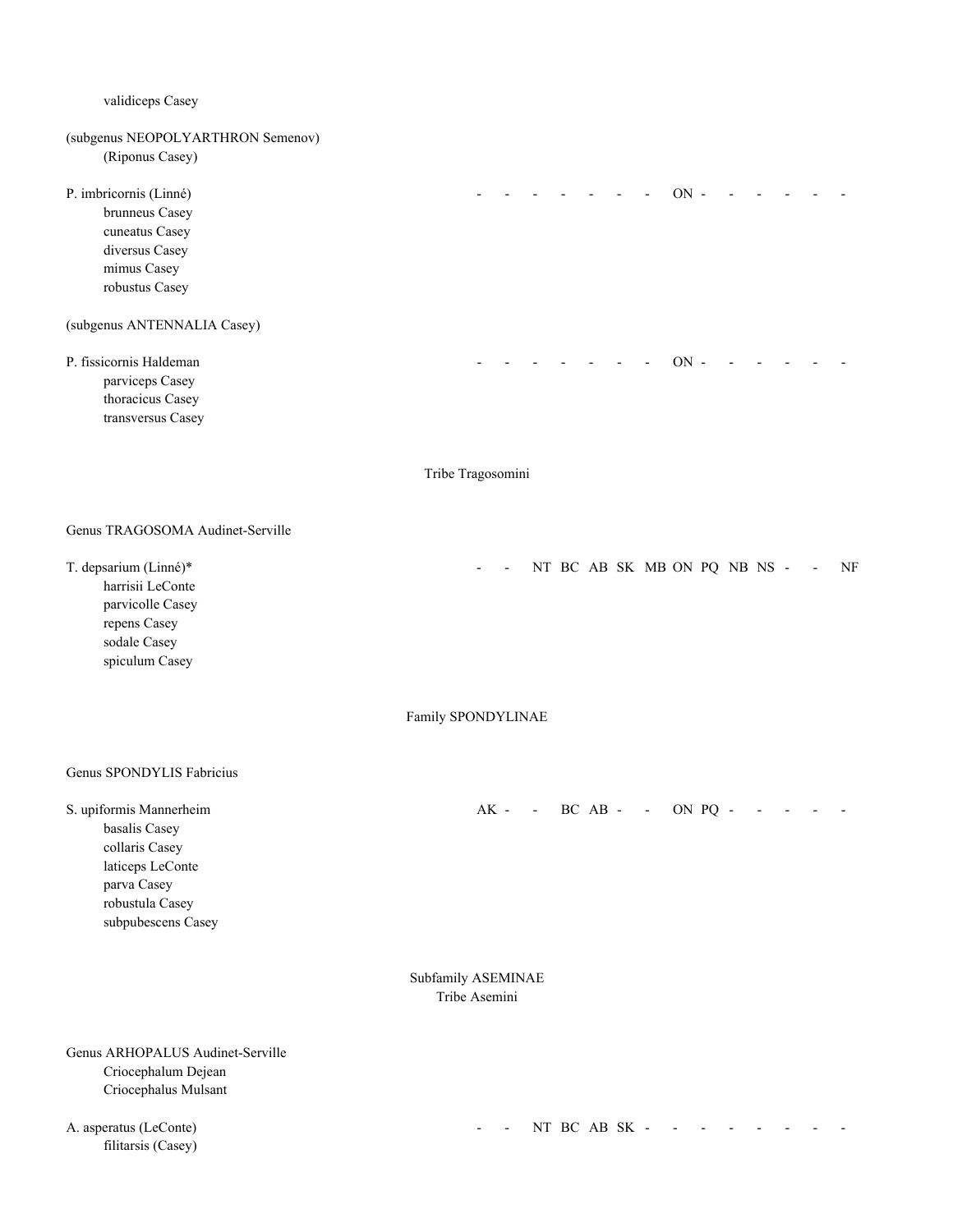validiceps Casey (subgenus NEOPOLYARTHRON Semenov) (Riponus Casey) P. imbricornis (Linné) and the contract of the contract of the contract of the contract of the contract of the contract of the contract of the contract of the contract of the contract of the contract of the contract of the brunneus Casey cuneatus Casey diversus Casey mimus Casey robustus Casey (subgenus ANTENNALIA Casey) P. fissicornis Haldeman and the set of the set of the set of the set of the set of the set of the set of the set of the set of the set of the set of the set of the set of the set of the set of the set of the set of the set parviceps Casey thoracicus Casey transversus Casey Tribe Tragosomini Genus TRAGOSOMA Audinet-Serville T. depsarium (Linné)\* - - NT BC AB SK MB ON PQ NB NS - - NF harrisii LeConte parvicolle Casey repens Casey sodale Casey spiculum Casey Family SPONDYLINAE Genus SPONDYLIS Fabricius S. upiformis Mannerheim AK - - BC AB - - ON PQ - - - basalis Casey collaris Casey laticeps LeConte parva Casey robustula Casey subpubescens Casey Subfamily ASEMINAE Tribe Asemini Genus ARHOPALUS Audinet-Serville Criocephalum Dejean Criocephalus Mulsant A. asperatus (LeConte) - - NT BC AB SK - - - - - - - -

filitarsis (Casey)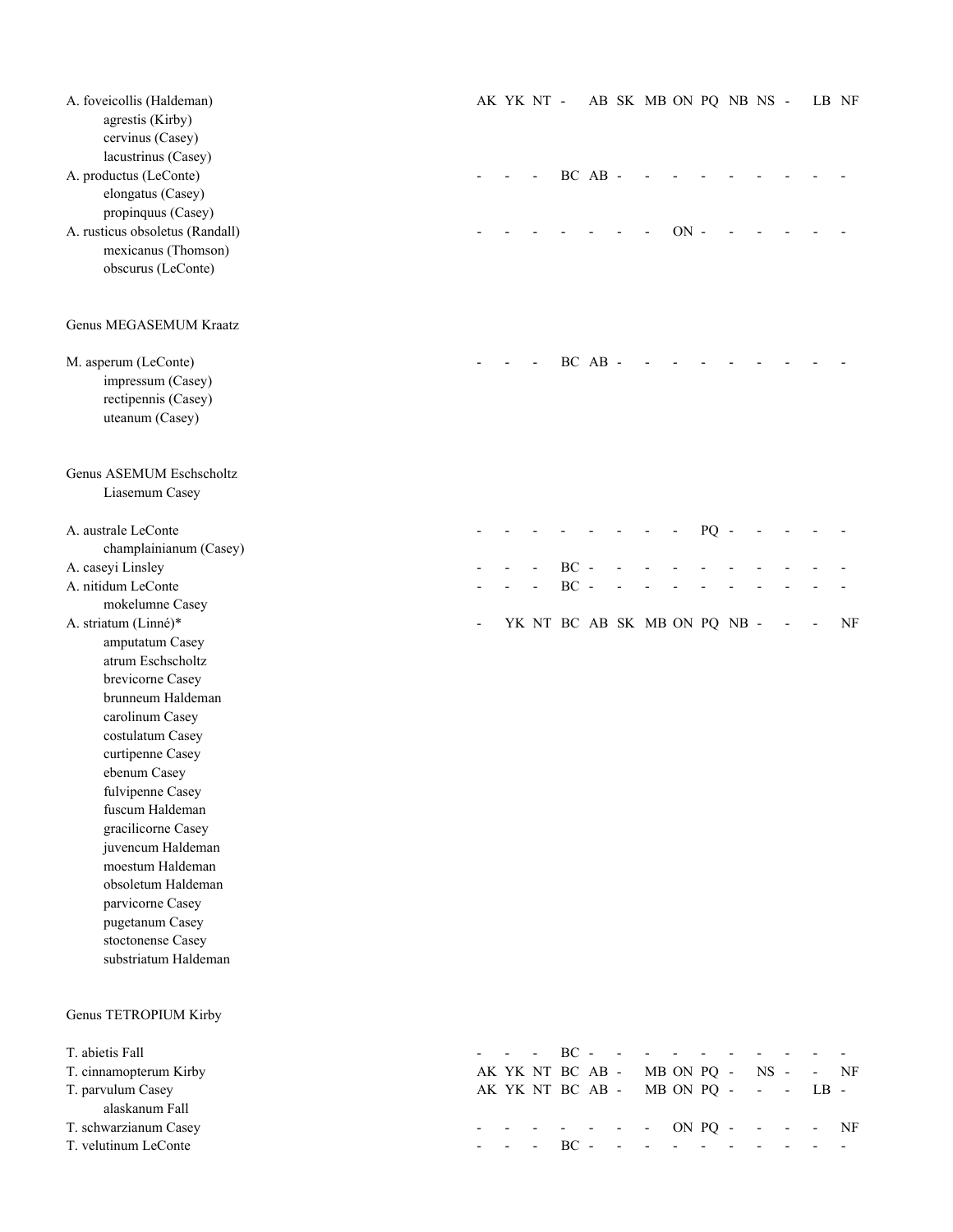| A. foveicollis (Haldeman)<br>agrestis (Kirby)<br>cervinus (Casey)<br>lacustrinus (Casey) |  | AK YK NT - |                  |         | AB SK MB ON PQ NB NS -       |        |            |                          | LB NF |    |
|------------------------------------------------------------------------------------------|--|------------|------------------|---------|------------------------------|--------|------------|--------------------------|-------|----|
| A. productus (LeConte)<br>elongatus (Casey)                                              |  |            |                  | BC AB - |                              |        |            |                          |       |    |
| propinquus (Casey)                                                                       |  |            |                  |         |                              |        |            |                          |       |    |
| A. rusticus obsoletus (Randall)                                                          |  |            |                  |         |                              | $ON -$ |            |                          |       |    |
| mexicanus (Thomson)                                                                      |  |            |                  |         |                              |        |            |                          |       |    |
| obscurus (LeConte)                                                                       |  |            |                  |         |                              |        |            |                          |       |    |
| Genus MEGASEMUM Kraatz                                                                   |  |            |                  |         |                              |        |            |                          |       |    |
| M. asperum (LeConte)                                                                     |  |            |                  | BC AB - |                              |        |            |                          |       |    |
| impressum (Casey)                                                                        |  |            |                  |         |                              |        |            |                          |       |    |
| rectipennis (Casey)                                                                      |  |            |                  |         |                              |        |            |                          |       |    |
| uteanum (Casey)                                                                          |  |            |                  |         |                              |        |            |                          |       |    |
| Genus ASEMUM Eschscholtz<br>Liasemum Casey                                               |  |            |                  |         |                              |        |            |                          |       |    |
| A. australe LeConte                                                                      |  |            |                  |         |                              |        | $PQ -$     |                          |       |    |
| champlainianum (Casey)                                                                   |  |            |                  |         |                              |        |            |                          |       |    |
| A. caseyi Linsley                                                                        |  |            | $BC -$           |         |                              |        |            |                          |       |    |
| A. nitidum LeConte<br>mokelumne Casey                                                    |  |            | $BC -$           |         |                              |        |            |                          |       |    |
| A. striatum (Linné)*                                                                     |  |            |                  |         | YK NT BC AB SK MB ON PQ NB - |        |            |                          |       | NF |
| amputatum Casey                                                                          |  |            |                  |         |                              |        |            |                          |       |    |
| atrum Eschscholtz                                                                        |  |            |                  |         |                              |        |            |                          |       |    |
| brevicorne Casey                                                                         |  |            |                  |         |                              |        |            |                          |       |    |
| brunneum Haldeman                                                                        |  |            |                  |         |                              |        |            |                          |       |    |
| carolinum Casey                                                                          |  |            |                  |         |                              |        |            |                          |       |    |
| costulatum Casey                                                                         |  |            |                  |         |                              |        |            |                          |       |    |
| curtipenne Casey                                                                         |  |            |                  |         |                              |        |            |                          |       |    |
| ebenum Casey                                                                             |  |            |                  |         |                              |        |            |                          |       |    |
| fulvipenne Casey<br>fuscum Haldeman                                                      |  |            |                  |         |                              |        |            |                          |       |    |
| gracilicorne Casey                                                                       |  |            |                  |         |                              |        |            |                          |       |    |
| juvencum Haldeman                                                                        |  |            |                  |         |                              |        |            |                          |       |    |
| moestum Haldeman                                                                         |  |            |                  |         |                              |        |            |                          |       |    |
| obsoletum Haldeman                                                                       |  |            |                  |         |                              |        |            |                          |       |    |
| parvicorne Casey                                                                         |  |            |                  |         |                              |        |            |                          |       |    |
| pugetanum Casey                                                                          |  |            |                  |         |                              |        |            |                          |       |    |
| stoctonense Casey                                                                        |  |            |                  |         |                              |        |            |                          |       |    |
| substriatum Haldeman                                                                     |  |            |                  |         |                              |        |            |                          |       |    |
| Genus TETROPIUM Kirby                                                                    |  |            |                  |         |                              |        |            |                          |       |    |
| T. abietis Fall                                                                          |  |            | $BC -$           |         |                              |        |            |                          |       |    |
| T. cinnamopterum Kirby                                                                   |  |            | AK YK NT BC AB - |         |                              |        | MB ON PQ - | $NS -$                   |       | NF |
| T. parvulum Casey<br>alaskanum Fall                                                      |  |            | AK YK NT BC AB - |         |                              |        | MB ON PQ - | $\overline{\phantom{a}}$ | LB -  |    |
| T. schwarzianum Casey                                                                    |  |            |                  |         |                              |        | ON PQ -    |                          |       | NF |
| T. velutinum LeConte                                                                     |  |            | $BC -$           |         |                              |        |            |                          |       |    |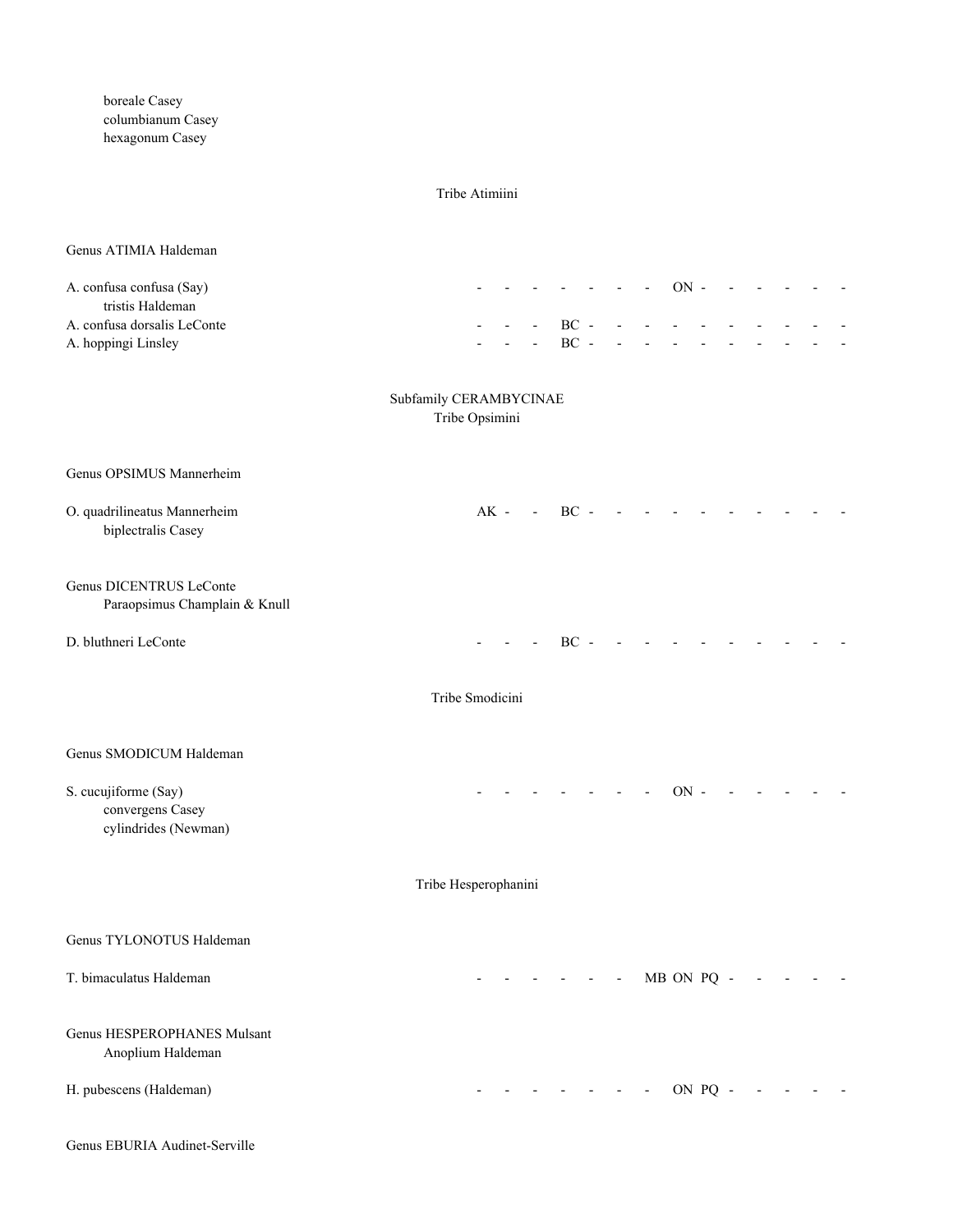boreale Casey columbianum Casey hexagonum Casey

#### Tribe Atimiini

### Genus ATIMIA Haldeman

| A. confusa confusa (Say)    |  | - - - - - - - ON - - - - - - - |  |  |  |  |  |
|-----------------------------|--|--------------------------------|--|--|--|--|--|
| tristis Haldeman            |  |                                |  |  |  |  |  |
| A. confusa dorsalis LeConte |  | - - - BC - - - - - - - - - - - |  |  |  |  |  |
| A. hoppingi Linsley         |  | - - - BC - - - - - - - - - - - |  |  |  |  |  |

# Subfamily CERAMBYCINAE

Tribe Opsimini

| Genus OPSIMUS Mannerheim                                         |                                  |        |                |            |  |  |  |
|------------------------------------------------------------------|----------------------------------|--------|----------------|------------|--|--|--|
| O. quadrilineatus Mannerheim<br>biplectralis Casey               | $AK -$<br>$\Delta \sim 10^{-11}$ | $BC -$ |                |            |  |  |  |
| <b>Genus DICENTRUS LeConte</b><br>Paraopsimus Champlain & Knull  |                                  |        |                |            |  |  |  |
| D. bluthneri LeConte                                             |                                  | $BC -$ |                |            |  |  |  |
|                                                                  | Tribe Smodicini                  |        |                |            |  |  |  |
| Genus SMODICUM Haldeman                                          |                                  |        |                |            |  |  |  |
| S. cucujiforme (Say)<br>convergens Casey<br>cylindrides (Newman) |                                  |        |                | $ON -$     |  |  |  |
|                                                                  | Tribe Hesperophanini             |        |                |            |  |  |  |
| Genus TYLONOTUS Haldeman                                         |                                  |        |                |            |  |  |  |
| T. bimaculatus Haldeman                                          |                                  |        | $\blacksquare$ | MB ON PQ - |  |  |  |
| <b>Genus HESPEROPHANES Mulsant</b><br>Anoplium Haldeman          |                                  |        |                |            |  |  |  |
| H. pubescens (Haldeman)                                          |                                  |        |                | ON PQ      |  |  |  |

Genus EBURIA Audinet-Serville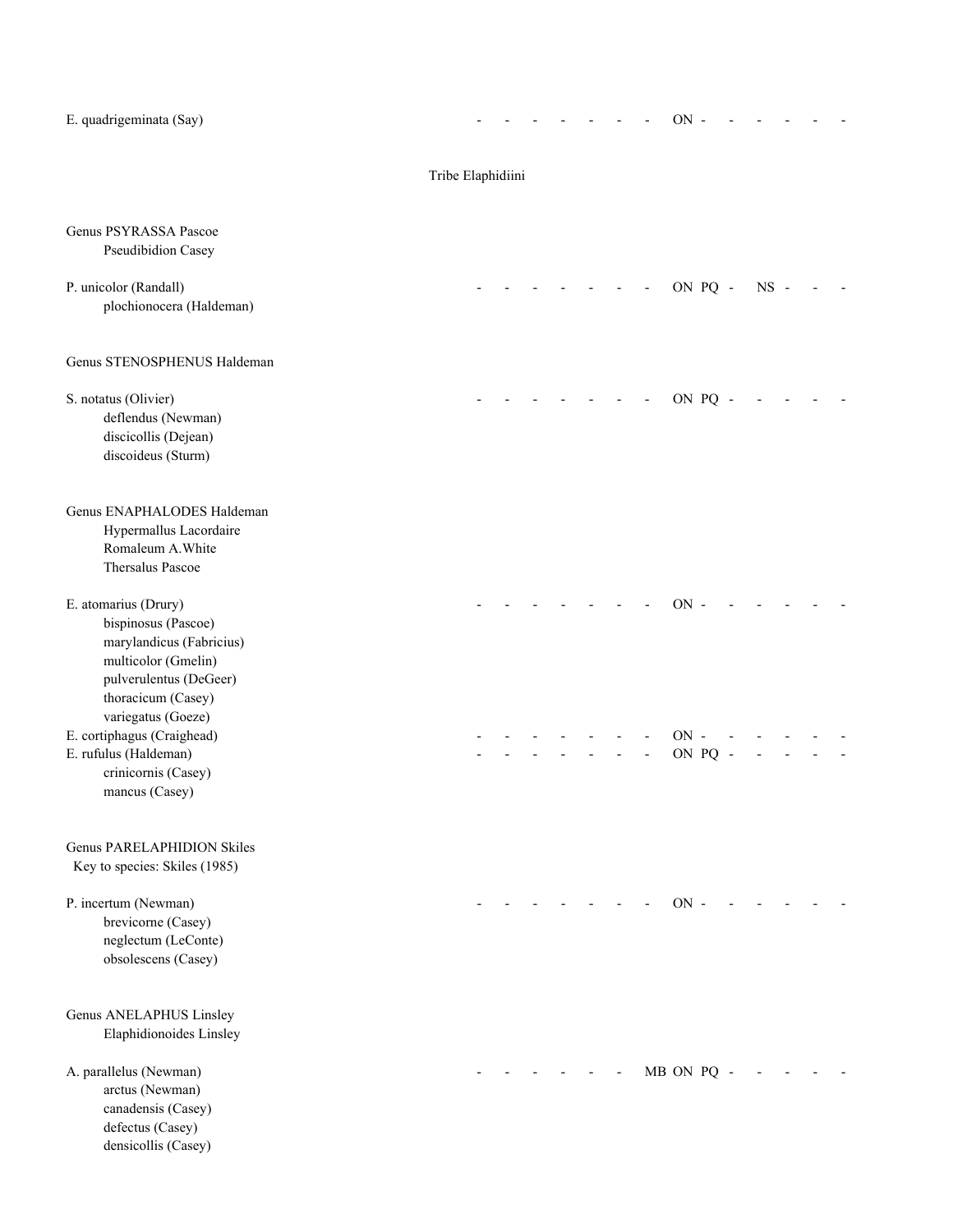| E. quadrigeminata (Say)                                                                                                                        |                   |  |  |  | $ON$ -     |         |        |  |  |
|------------------------------------------------------------------------------------------------------------------------------------------------|-------------------|--|--|--|------------|---------|--------|--|--|
|                                                                                                                                                | Tribe Elaphidiini |  |  |  |            |         |        |  |  |
| Genus PSYRASSA Pascoe<br>Pseudibidion Casey                                                                                                    |                   |  |  |  |            |         |        |  |  |
| P. unicolor (Randall)<br>plochionocera (Haldeman)                                                                                              |                   |  |  |  |            | ON PQ - | $NS -$ |  |  |
| Genus STENOSPHENUS Haldeman                                                                                                                    |                   |  |  |  |            |         |        |  |  |
| S. notatus (Olivier)<br>deflendus (Newman)<br>discicollis (Dejean)<br>discoideus (Sturm)                                                       |                   |  |  |  |            | ON PQ - |        |  |  |
| Genus ENAPHALODES Haldeman<br>Hypermallus Lacordaire<br>Romaleum A. White<br>Thersalus Pascoe                                                  |                   |  |  |  |            |         |        |  |  |
| E. atomarius (Drury)<br>bispinosus (Pascoe)<br>marylandicus (Fabricius)<br>multicolor (Gmelin)<br>pulverulentus (DeGeer)<br>thoracicum (Casey) |                   |  |  |  | $ON -$     |         |        |  |  |
| variegatus (Goeze)<br>E. cortiphagus (Craighead)<br>E. rufulus (Haldeman)<br>crinicornis (Casey)<br>mancus (Casey)                             |                   |  |  |  | $ON -$     | ON PQ   |        |  |  |
| Genus PARELAPHIDION Skiles<br>Key to species: Skiles (1985)                                                                                    |                   |  |  |  |            |         |        |  |  |
| P. incertum (Newman)<br>brevicorne (Casey)<br>neglectum (LeConte)<br>obsolescens (Casey)                                                       |                   |  |  |  | $ON -$     |         |        |  |  |
| Genus ANELAPHUS Linsley<br>Elaphidionoides Linsley                                                                                             |                   |  |  |  |            |         |        |  |  |
| A. parallelus (Newman)<br>arctus (Newman)<br>canadensis (Casey)<br>defectus (Casey)<br>densicollis (Casey)                                     |                   |  |  |  | MB ON PQ - |         |        |  |  |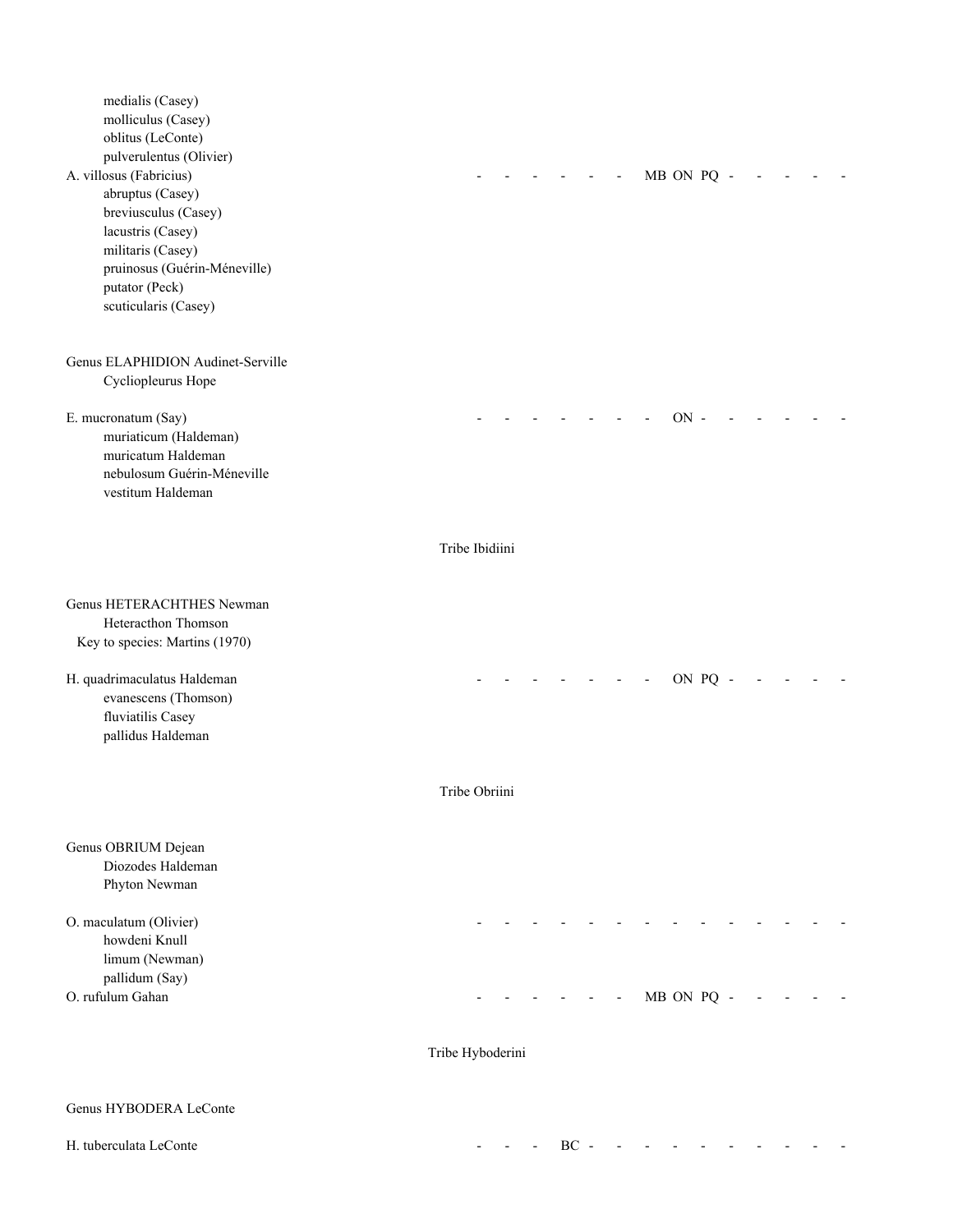medialis (Casey) molliculus (Casey) oblitus (LeConte) pulverulentus (Olivier) A. villosus (Fabricius) and the contract of the contract of the contract of the contract of the contract of the contract of the contract of the contract of the contract of the contract of the contract of the contract of th abruptus (Casey) breviusculus (Casey) lacustris (Casey) militaris (Casey) pruinosus (Guérin-Méneville) putator (Peck) scuticularis (Casey) Genus ELAPHIDION Audinet-Serville Cycliopleurus Hope E. mucronatum (Say) - - - - - - - ON - - - - - muriaticum (Haldeman) muricatum Haldeman nebulosum Guérin-Méneville vestitum Haldeman Tribe Ibidiini Genus HETERACHTHES Newman Heteracthon Thomson Key to species: Martins (1970) H. quadrimaculatus Haldeman and the set of the set of the set of the set of the set of the set of the set of the set of the set of the set of the set of the set of the set of the set of the set of the set of the set of the evanescens (Thomson) fluviatilis Casey pallidus Haldeman Tribe Obriini Genus OBRIUM Dejean Diozodes Haldeman Phyton Newman O. maculatum (Olivier) howdeni Knull limum (Newman) pallidum (Say) O. rufulum Gahan - - - - - - MB ON PQ - - - - - Tribe Hyboderini Genus HYBODERA LeConte H. tuberculata LeConte - - - BC - - - - - - - - - -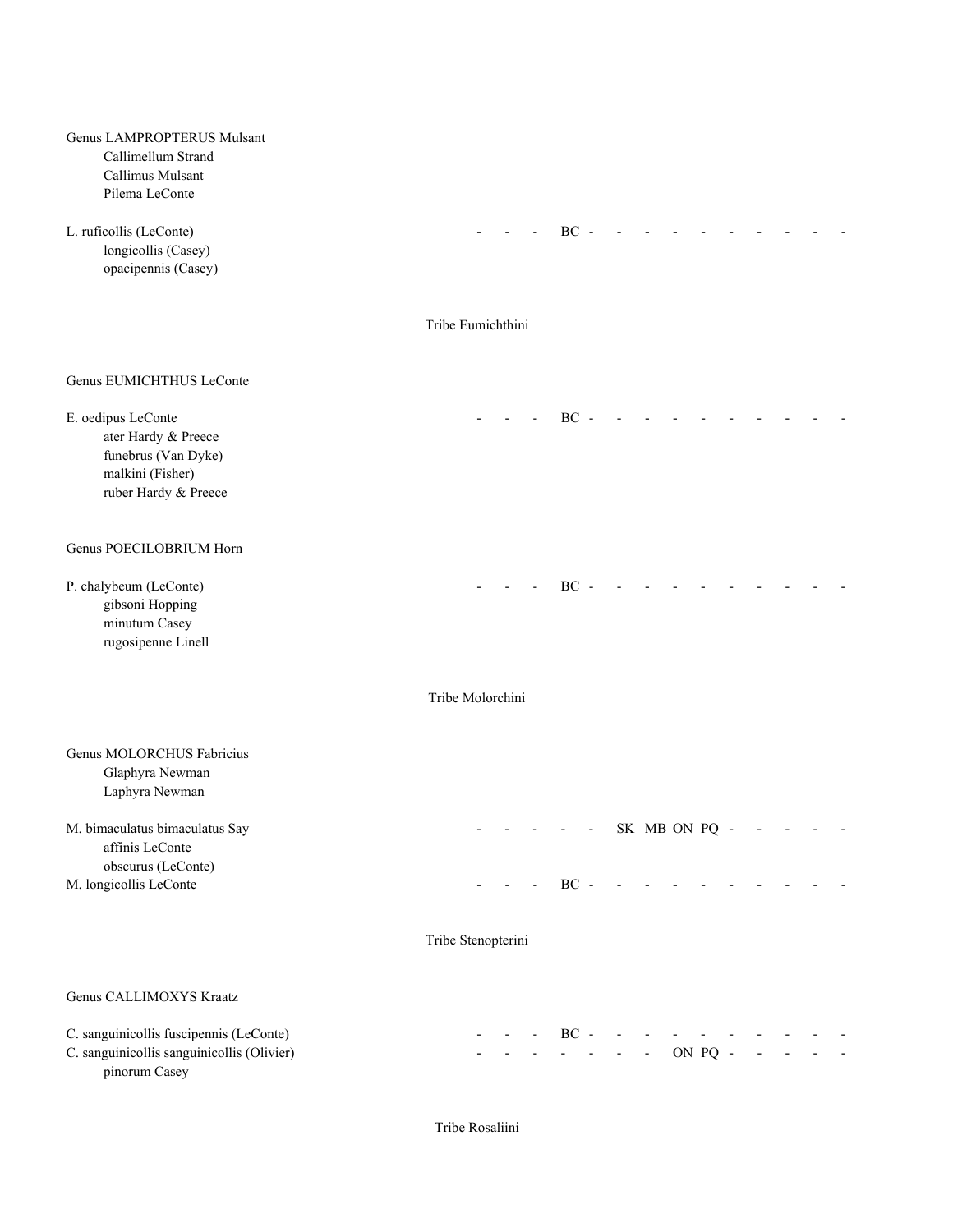| Genus LAMPROPTERUS Mulsant<br>Callimellum Strand<br>Callimus Mulsant<br>Pilema LeConte                       |                    |  |        |  |              |               |  |  |  |
|--------------------------------------------------------------------------------------------------------------|--------------------|--|--------|--|--------------|---------------|--|--|--|
| L. ruficollis (LeConte)<br>longicollis (Casey)<br>opacipennis (Casey)                                        |                    |  | $BC -$ |  |              |               |  |  |  |
|                                                                                                              | Tribe Eumichthini  |  |        |  |              |               |  |  |  |
| Genus EUMICHTHUS LeConte                                                                                     |                    |  |        |  |              |               |  |  |  |
| E. oedipus LeConte<br>ater Hardy & Preece<br>funebrus (Van Dyke)<br>malkini (Fisher)<br>ruber Hardy & Preece |                    |  | $BC -$ |  |              |               |  |  |  |
| Genus POECILOBRIUM Horn                                                                                      |                    |  |        |  |              |               |  |  |  |
| P. chalybeum (LeConte)<br>gibsoni Hopping<br>minutum Casey<br>rugosipenne Linell                             |                    |  | $BC -$ |  |              |               |  |  |  |
|                                                                                                              | Tribe Molorchini   |  |        |  |              |               |  |  |  |
| Genus MOLORCHUS Fabricius<br>Glaphyra Newman<br>Laphyra Newman                                               |                    |  |        |  |              |               |  |  |  |
| M. bimaculatus bimaculatus Say<br>affinis LeConte<br>obscurus (LeConte)                                      |                    |  |        |  |              | SK MB ON PQ - |  |  |  |
| M. longicollis LeConte                                                                                       |                    |  | $BC -$ |  |              |               |  |  |  |
|                                                                                                              | Tribe Stenopterini |  |        |  |              |               |  |  |  |
| Genus CALLIMOXYS Kraatz                                                                                      |                    |  |        |  |              |               |  |  |  |
| C. sanguinicollis fuscipennis (LeConte)<br>C. sanguinicollis sanguinicollis (Olivier)<br>pinorum Casey       |                    |  | $BC -$ |  | $\mathbb{L}$ | ON PQ -       |  |  |  |

Tribe Rosaliini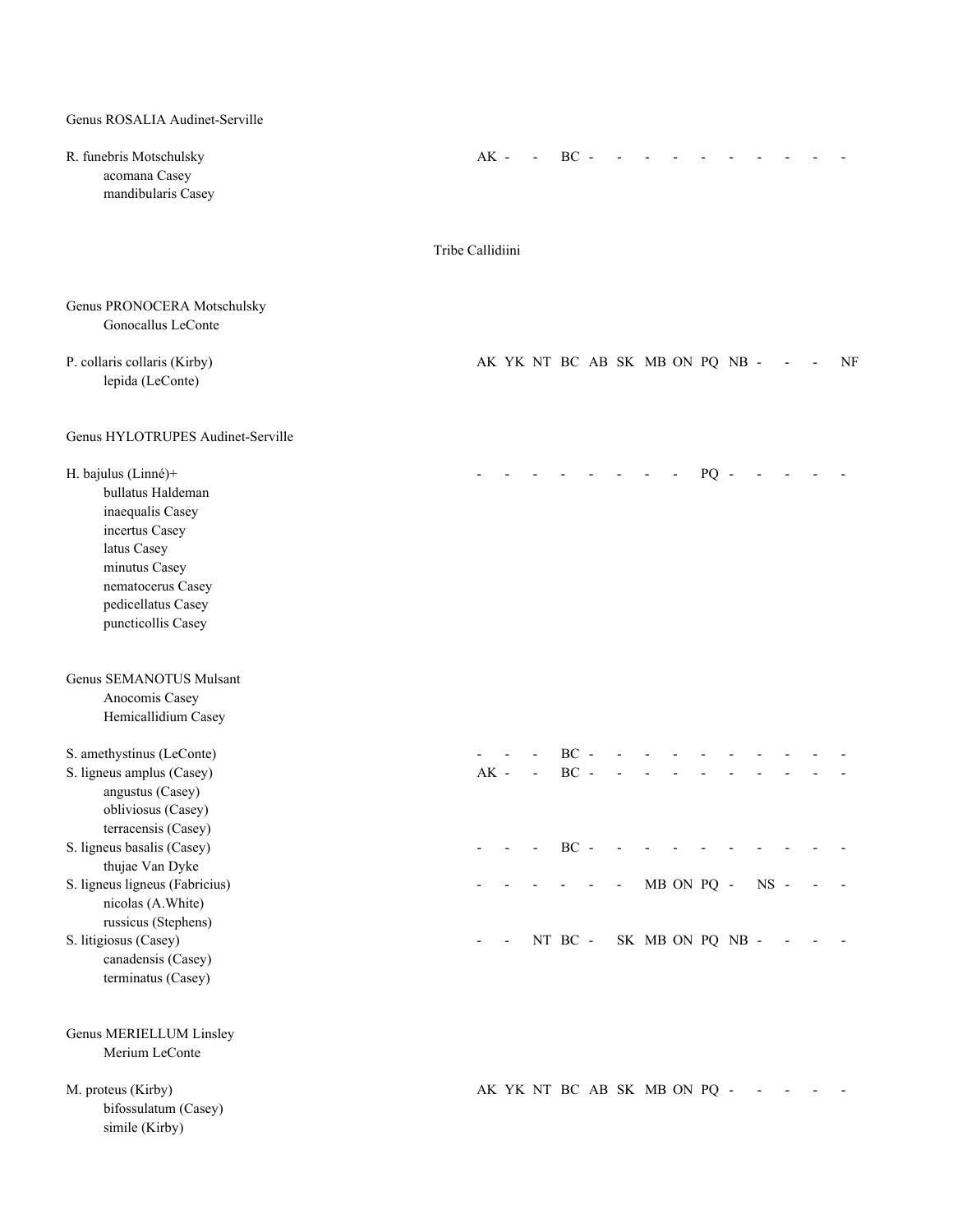Genus ROSALIA Audinet-Serville

| R. funebris Motschulsky<br>acomana Casey<br>mandibularis Casey                                                                                                                  |                  | $AK -$ | <b>Contractor</b> | $BC -$   |        |                                 |            |        |        |  |    |
|---------------------------------------------------------------------------------------------------------------------------------------------------------------------------------|------------------|--------|-------------------|----------|--------|---------------------------------|------------|--------|--------|--|----|
|                                                                                                                                                                                 | Tribe Callidiini |        |                   |          |        |                                 |            |        |        |  |    |
| Genus PRONOCERA Motschulsky<br>Gonocallus LeConte                                                                                                                               |                  |        |                   |          |        |                                 |            |        |        |  |    |
| P. collaris collaris (Kirby)<br>lepida (LeConte)                                                                                                                                |                  |        |                   |          |        | AK YK NT BC AB SK MB ON PQ NB - |            |        |        |  | NF |
| Genus HYLOTRUPES Audinet-Serville                                                                                                                                               |                  |        |                   |          |        |                                 |            |        |        |  |    |
| H. bajulus (Linné)+<br>bullatus Haldeman<br>inaequalis Casey<br>incertus Casey<br>latus Casey<br>minutus Casey<br>nematocerus Casey<br>pedicellatus Casey<br>puncticollis Casey |                  |        |                   |          |        |                                 |            | $PQ -$ |        |  |    |
| Genus SEMANOTUS Mulsant<br>Anocomis Casey<br>Hemicallidium Casey                                                                                                                |                  |        |                   |          |        |                                 |            |        |        |  |    |
| S. amethystinus (LeConte)<br>S. ligneus amplus (Casey)<br>angustus (Casey)<br>obliviosus (Casey)<br>terracensis (Casey)                                                         |                  | $AK -$ | $\sim 100$        | $BC -$   | $BC -$ |                                 |            |        |        |  |    |
| S. ligneus basalis (Casey)<br>thujae Van Dyke<br>S. ligneus ligneus (Fabricius)                                                                                                 |                  |        |                   | $\rm BC$ |        |                                 | MB ON PQ - |        | $NS -$ |  |    |
| nicolas (A.White)<br>russicus (Stephens)<br>S. litigiosus (Casey)<br>canadensis (Casey)<br>terminatus (Casey)                                                                   |                  |        |                   | NT BC -  |        | SK MB ON PQ NB -                |            |        |        |  |    |
| Genus MERIELLUM Linsley<br>Merium LeConte                                                                                                                                       |                  |        |                   |          |        |                                 |            |        |        |  |    |
| M. proteus (Kirby)<br>bifossulatum (Casey)<br>simile (Kirby)                                                                                                                    |                  |        |                   |          |        | AK YK NT BC AB SK MB ON PQ -    |            |        |        |  |    |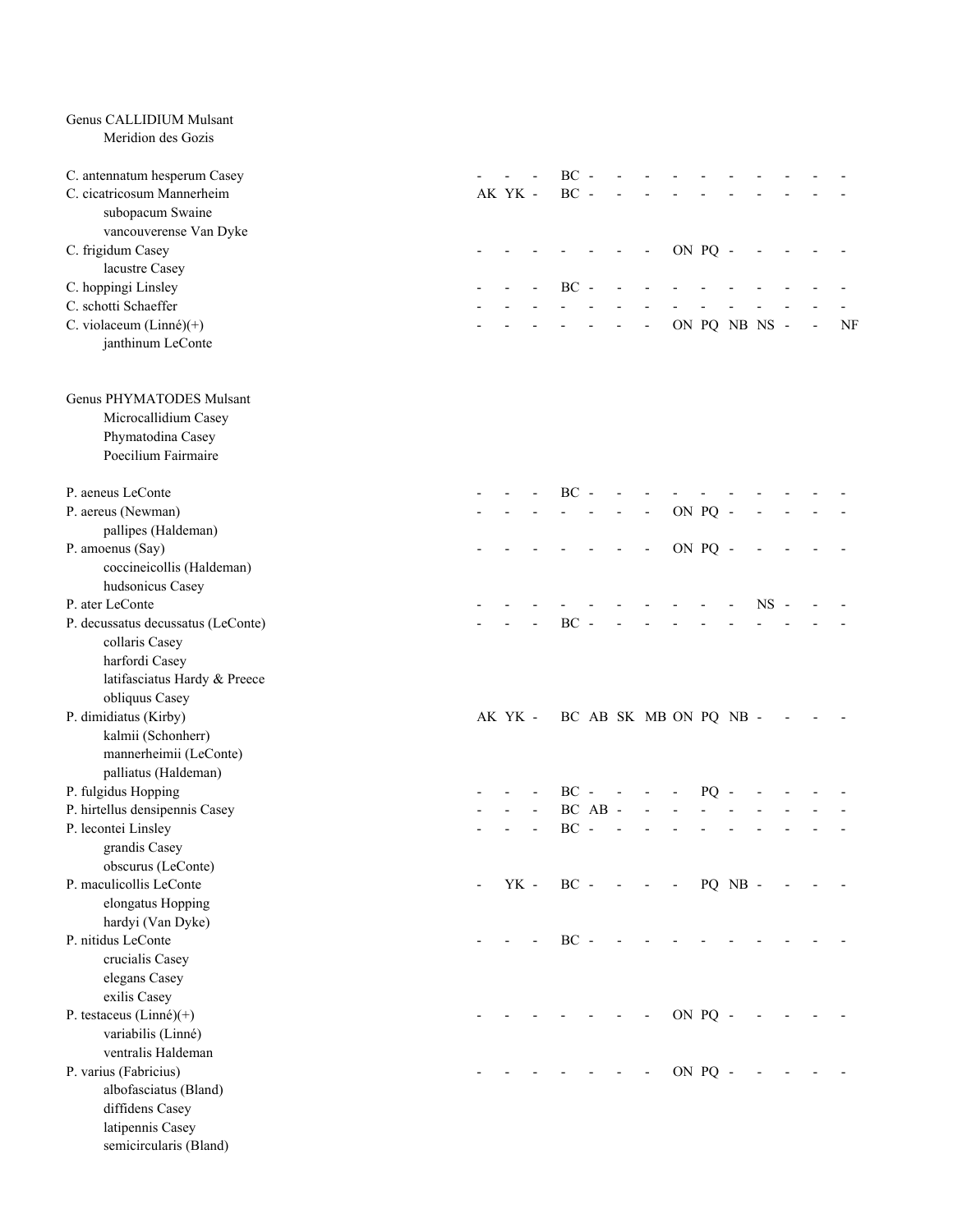| Genus CALLIDIUM Mulsant            |         |                                |       |            |                          |                          |         |               |        |  |    |
|------------------------------------|---------|--------------------------------|-------|------------|--------------------------|--------------------------|---------|---------------|--------|--|----|
| Meridion des Gozis                 |         |                                |       |            |                          |                          |         |               |        |  |    |
| C. antennatum hesperum Casey       |         | $BC -$                         |       |            |                          |                          |         |               |        |  |    |
| C. cicatricosum Mannerheim         | AK YK - | $BC -$                         |       |            |                          |                          |         |               |        |  |    |
| subopacum Swaine                   |         |                                |       |            |                          |                          |         |               |        |  |    |
| vancouverense Van Dyke             |         |                                |       |            |                          |                          |         |               |        |  |    |
| C. frigidum Casey                  |         |                                |       |            | $\overline{\phantom{a}}$ |                          | ON PQ - |               |        |  |    |
| lacustre Casey                     |         |                                |       |            |                          |                          |         |               |        |  |    |
| C. hoppingi Linsley                |         | $BC -$                         |       |            |                          |                          |         |               |        |  |    |
| C. schotti Schaeffer               |         |                                |       |            |                          |                          |         |               |        |  |    |
| C. violaceum (Linné)(+)            |         |                                |       |            | $\overline{\phantom{a}}$ |                          |         | ON PQ NB NS - |        |  | NF |
| janthinum LeConte                  |         |                                |       |            |                          |                          |         |               |        |  |    |
|                                    |         |                                |       |            |                          |                          |         |               |        |  |    |
| Genus PHYMATODES Mulsant           |         |                                |       |            |                          |                          |         |               |        |  |    |
| Microcallidium Casey               |         |                                |       |            |                          |                          |         |               |        |  |    |
| Phymatodina Casey                  |         |                                |       |            |                          |                          |         |               |        |  |    |
| Poecilium Fairmaire                |         |                                |       |            |                          |                          |         |               |        |  |    |
|                                    |         |                                |       |            |                          |                          |         |               |        |  |    |
| P. aeneus LeConte                  |         | $BC -$                         |       |            |                          |                          |         |               |        |  |    |
| P. aereus (Newman)                 |         |                                |       |            |                          |                          | ON PQ - |               |        |  |    |
| pallipes (Haldeman)                |         |                                |       |            |                          |                          |         |               |        |  |    |
| P. amoenus (Say)                   |         |                                |       |            |                          |                          | ON PQ - |               |        |  |    |
| coccineicollis (Haldeman)          |         |                                |       |            |                          |                          |         |               |        |  |    |
| hudsonicus Casey                   |         |                                |       |            |                          |                          |         |               |        |  |    |
| P. ater LeConte                    |         |                                |       |            |                          |                          |         |               | $NS -$ |  |    |
| P. decussatus decussatus (LeConte) |         | $BC -$                         |       |            |                          |                          |         |               |        |  |    |
| collaris Casey                     |         |                                |       |            |                          |                          |         |               |        |  |    |
| harfordi Casey                     |         |                                |       |            |                          |                          |         |               |        |  |    |
| latifasciatus Hardy & Preece       |         |                                |       |            |                          |                          |         |               |        |  |    |
| obliquus Casey                     |         |                                |       |            |                          |                          |         |               |        |  |    |
| P. dimidiatus (Kirby)              |         | AK YK - BC AB SK MB ON PQ NB - |       |            |                          |                          |         |               |        |  |    |
| kalmii (Schonherr)                 |         |                                |       |            |                          |                          |         |               |        |  |    |
| mannerheimii (LeConte)             |         |                                |       |            |                          |                          |         |               |        |  |    |
| palliatus (Haldeman)               |         |                                |       |            |                          |                          |         |               |        |  |    |
| P. fulgidus Hopping                |         |                                |       |            | $BC - - -$               | $\sim$                   | $PQ -$  |               |        |  |    |
| P. hirtellus densipennis Casey     |         |                                | BC AB |            |                          |                          |         |               |        |  |    |
| P. lecontei Linsley                |         | $BC -$                         |       |            |                          |                          |         |               |        |  |    |
| grandis Casey                      |         |                                |       |            |                          |                          |         |               |        |  |    |
| obscurus (LeConte)                 |         |                                |       |            |                          |                          |         |               |        |  |    |
| P. maculicollis LeConte            | YK -    | $BC -$                         |       | $\sim$ $-$ | $\overline{\phantom{a}}$ | $\overline{\phantom{a}}$ |         | PQ NB -       |        |  |    |
| elongatus Hopping                  |         |                                |       |            |                          |                          |         |               |        |  |    |
| hardyi (Van Dyke)                  |         |                                |       |            |                          |                          |         |               |        |  |    |
| P. nitidus LeConte                 |         | $BC -$                         |       |            |                          |                          |         |               |        |  |    |
| crucialis Casey                    |         |                                |       |            |                          |                          |         |               |        |  |    |
| elegans Casey                      |         |                                |       |            |                          |                          |         |               |        |  |    |
| exilis Casey                       |         |                                |       |            |                          |                          |         |               |        |  |    |
| P. testaceus (Linné) $(+)$         |         |                                |       |            |                          |                          | ON PQ - |               |        |  |    |
| variabilis (Linné)                 |         |                                |       |            |                          |                          |         |               |        |  |    |
| ventralis Haldeman                 |         |                                |       |            |                          |                          |         |               |        |  |    |
| P. varius (Fabricius)              |         |                                |       |            |                          |                          | ON PQ - |               |        |  |    |
| albofasciatus (Bland)              |         |                                |       |            |                          |                          |         |               |        |  |    |
| diffidens Casey                    |         |                                |       |            |                          |                          |         |               |        |  |    |
| latipennis Casey                   |         |                                |       |            |                          |                          |         |               |        |  |    |
| semicircularis (Bland)             |         |                                |       |            |                          |                          |         |               |        |  |    |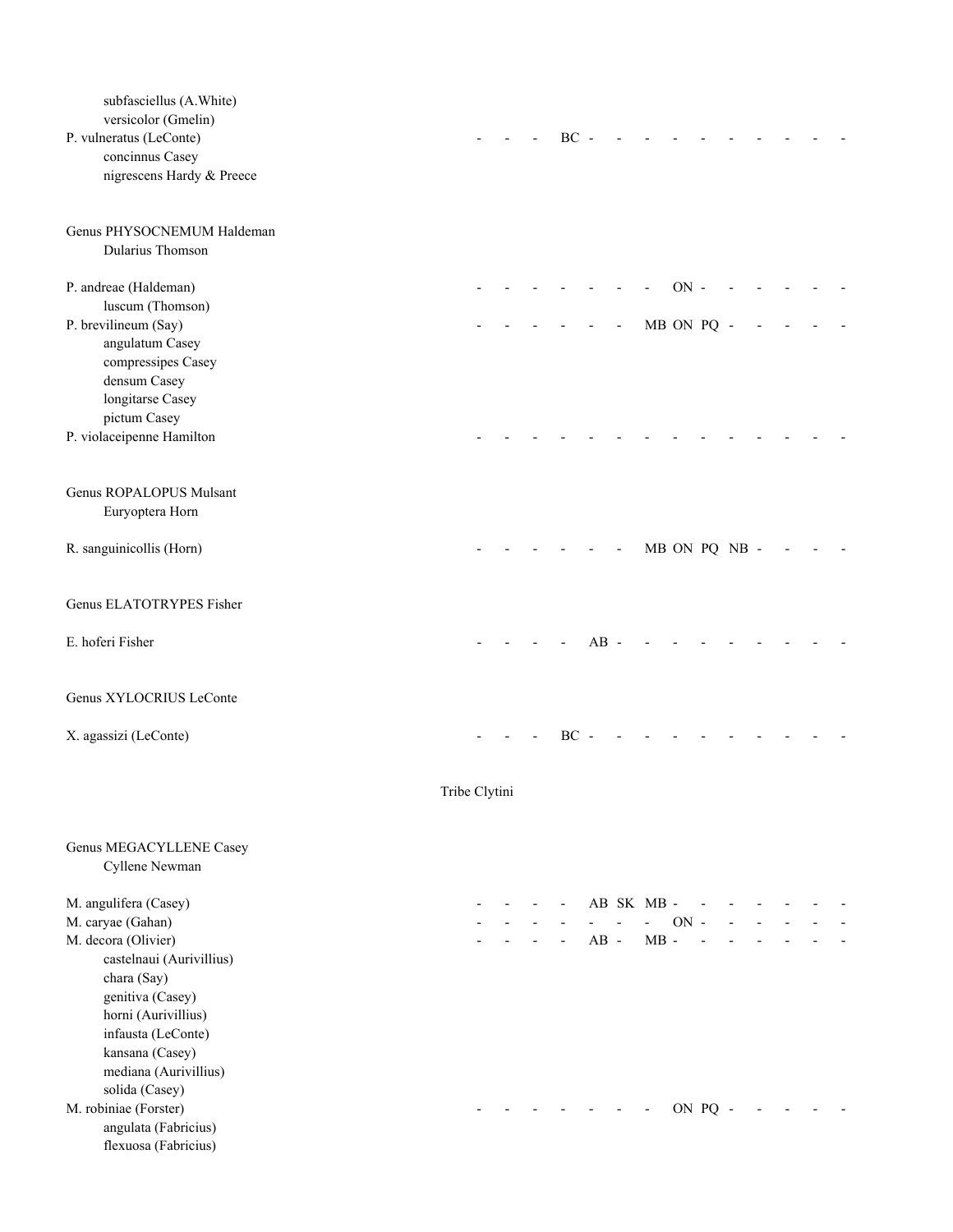| subfasciellus (A.White)<br>versicolor (Gmelin)<br>P. vulneratus (LeConte)<br>concinnus Casey<br>nigrescens Hardy & Preece                                                                                                 |               |  | $BC -$ |        |                     |                      |         |               |  |  |
|---------------------------------------------------------------------------------------------------------------------------------------------------------------------------------------------------------------------------|---------------|--|--------|--------|---------------------|----------------------|---------|---------------|--|--|
| Genus PHYSOCNEMUM Haldeman<br>Dularius Thomson                                                                                                                                                                            |               |  |        |        |                     |                      |         |               |  |  |
| P. andreae (Haldeman)<br>luscum (Thomson)<br>P. brevilineum (Say)<br>angulatum Casey<br>compressipes Casey<br>densum Casey                                                                                                |               |  |        |        |                     | $ON -$<br>MB ON PQ - |         |               |  |  |
| longitarse Casey<br>pictum Casey<br>P. violaceipenne Hamilton                                                                                                                                                             |               |  |        |        |                     |                      |         |               |  |  |
| Genus ROPALOPUS Mulsant<br>Euryoptera Horn                                                                                                                                                                                |               |  |        |        |                     |                      |         |               |  |  |
| R. sanguinicollis (Horn)                                                                                                                                                                                                  |               |  |        |        |                     |                      |         | MB ON PQ NB - |  |  |
| Genus ELATOTRYPES Fisher                                                                                                                                                                                                  |               |  |        |        |                     |                      |         |               |  |  |
| E. hoferi Fisher                                                                                                                                                                                                          |               |  |        | $AB -$ |                     |                      |         |               |  |  |
| Genus XYLOCRIUS LeConte                                                                                                                                                                                                   |               |  |        |        |                     |                      |         |               |  |  |
| X. agassizi (LeConte)                                                                                                                                                                                                     |               |  | BC     |        |                     |                      |         |               |  |  |
|                                                                                                                                                                                                                           | Tribe Clytini |  |        |        |                     |                      |         |               |  |  |
| Genus MEGACYLLENE Casey<br>Cyllene Newman                                                                                                                                                                                 |               |  |        |        |                     |                      |         |               |  |  |
| M. angulifera (Casey)<br>M. caryae (Gahan)<br>M. decora (Olivier)<br>castelnaui (Aurivillius)<br>chara (Say)<br>genitiva (Casey)<br>horni (Aurivillius)<br>infausta (LeConte)<br>kansana (Casey)<br>mediana (Aurivillius) |               |  |        | $AB -$ | AB SK MB-<br>$MB -$ | $ON -$               |         |               |  |  |
| solida (Casey)<br>M. robiniae (Forster)<br>angulata (Fabricius)<br>flexuosa (Fabricius)                                                                                                                                   |               |  |        |        |                     |                      | ON PQ - |               |  |  |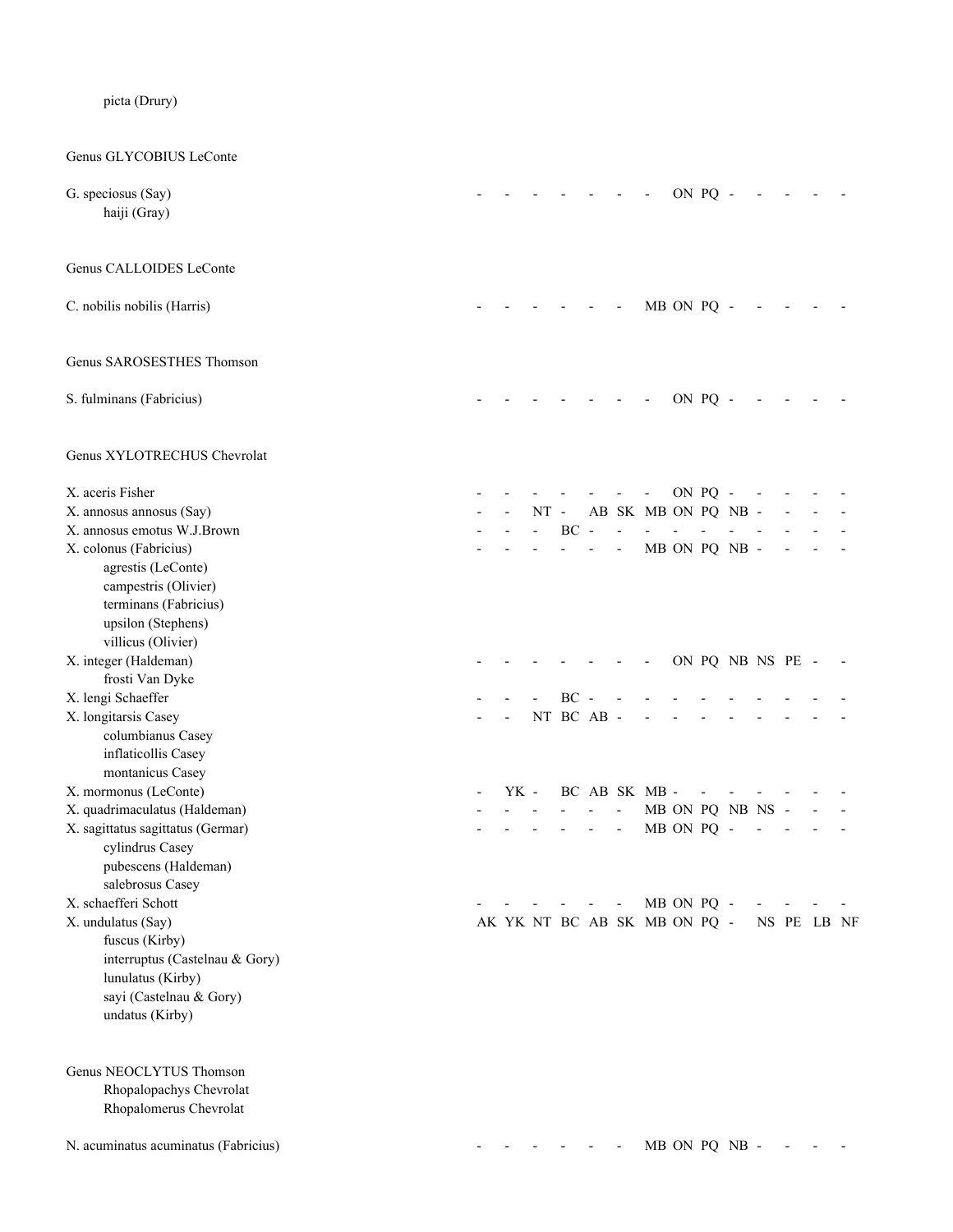|  | picta (Drury) |
|--|---------------|
|  |               |

Genus GLYCOBIUS LeConte G. speciosus (Say) - - - - - - - ON PQ - - - - haiji (Gray) Genus CALLOIDES LeConte C. nobilis nobilis (Harris) - - - - - - MB ON PQ - - - - - Genus SAROSESTHES Thomson S. fulminans (Fabricius) and the set of the set of the set of the set of the set of the set of the set of the set of the set of the set of the set of the set of the set of the set of the set of the set of the set of the se Genus XYLOTRECHUS Chevrolat X. aceris Fisher - - - - - - - ON PQ - - - - - X. annosus annosus (Say)  $-$  - NT - AB SK MB ON PQ NB -X. annosus emotus W.J.Brown - - - BC - - - - - - - - - - X. colonus (Fabricius)  $\sim$  - - - - - - MB ON PQ NB - - agrestis (LeConte) campestris (Olivier) terminans (Fabricius) upsilon (Stephens) villicus (Olivier) X. integer (Haldeman) and the set of the set of the set of the set of the set of the set of the set of the set of the set of the set of the set of the set of the set of the set of the set of the set of the set of the set o frosti Van Dyke X. lengi Schaeffer - - - - BC -X. longitarsis Casey **18. In the Case of Casey 18. In the Case of Case of Case of Case of Case of Case of Case of Case of Case of Case of Case of Case of Case of Case of Case of Case of Case of Case of Case of Case of Case**  columbianus Casey inflaticollis Casey montanicus Casey X. mormonus (LeConte)  $\overline{X}$  and  $\overline{X}$  and  $\overline{X}$  and  $\overline{X}$  are  $\overline{X}$  and  $\overline{X}$  are  $\overline{X}$  and  $\overline{X}$  are  $\overline{X}$  and  $\overline{X}$  are  $\overline{X}$  and  $\overline{X}$  are  $\overline{X}$  and  $\overline{X}$  are  $\overline{X}$  and  $\overline{$ X. quadrimaculatus (Haldeman) and the state of the state of the state of the state of the state of the state of the state of the state of the state of the state of the state of the state of the state of the state of the st X. sagittatus sagittatus (Germar) and the sagittatus (Germar) and the same of the same of the same of the same of the same of the same of the same of the same of the same of the same of the same of the same of the same of cylindrus Casey pubescens (Haldeman) salebrosus Casey X. schaefferi Schott  $\sim$  - - - - - - - MB ON PO -X. undulatus (Say) AK YK NT BC AB SK MB ON PQ - NS PE LB NF fuscus (Kirby) interruptus (Castelnau & Gory) lunulatus (Kirby) sayi (Castelnau & Gory) undatus (Kirby) Genus NEOCLYTUS Thomson Rhopalopachys Chevrolat Rhopalomerus Chevrolat N. acuminatus acuminatus (Fabricius) - - - - - - MB ON PQ NB - - - -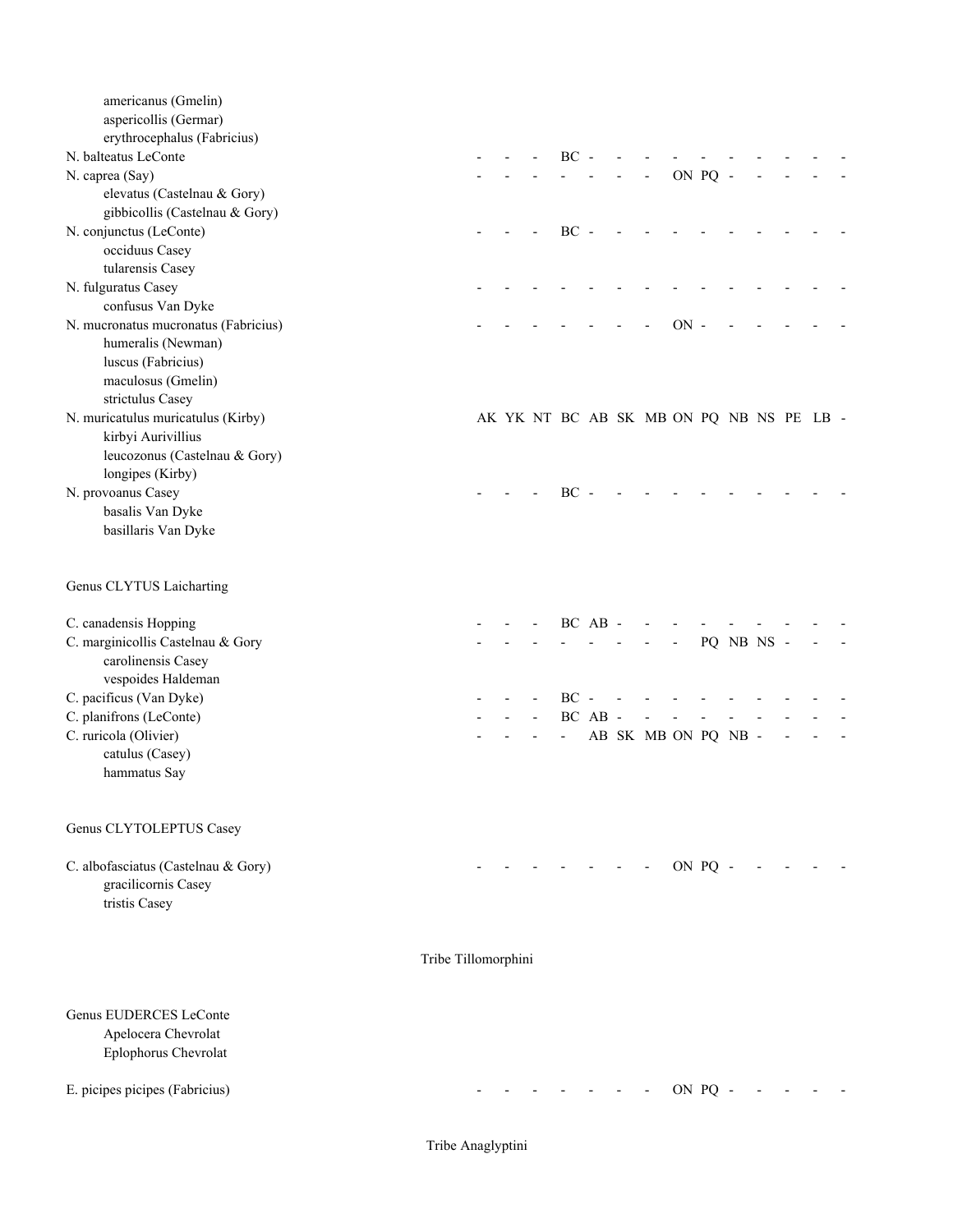| americanus (Gmelin)<br>aspericollis (Germar)<br>erythrocephalus (Fabricius) |                     |  |        |         |                                          |        |         |            |  |  |
|-----------------------------------------------------------------------------|---------------------|--|--------|---------|------------------------------------------|--------|---------|------------|--|--|
| N. balteatus LeConte                                                        |                     |  | $BC -$ |         |                                          |        |         |            |  |  |
| N. caprea (Say)                                                             |                     |  |        |         |                                          |        | ON PQ - |            |  |  |
| elevatus (Castelnau & Gory)                                                 |                     |  |        |         |                                          |        |         |            |  |  |
| gibbicollis (Castelnau & Gory)                                              |                     |  |        |         |                                          |        |         |            |  |  |
| N. conjunctus (LeConte)                                                     |                     |  | $BC -$ |         |                                          |        |         |            |  |  |
| occiduus Casey                                                              |                     |  |        |         |                                          |        |         |            |  |  |
| tularensis Casey                                                            |                     |  |        |         |                                          |        |         |            |  |  |
| N. fulguratus Casey                                                         |                     |  |        |         |                                          |        |         |            |  |  |
| confusus Van Dyke                                                           |                     |  |        |         |                                          |        |         |            |  |  |
| N. mucronatus mucronatus (Fabricius)                                        |                     |  |        |         |                                          | $ON -$ |         |            |  |  |
| humeralis (Newman)                                                          |                     |  |        |         |                                          |        |         |            |  |  |
|                                                                             |                     |  |        |         |                                          |        |         |            |  |  |
| luscus (Fabricius)                                                          |                     |  |        |         |                                          |        |         |            |  |  |
| maculosus (Gmelin)                                                          |                     |  |        |         |                                          |        |         |            |  |  |
| strictulus Casey                                                            |                     |  |        |         |                                          |        |         |            |  |  |
| N. muricatulus muricatulus (Kirby)                                          |                     |  |        |         | AK YK NT BC AB SK MB ON PQ NB NS PE LB - |        |         |            |  |  |
| kirbyi Aurivillius                                                          |                     |  |        |         |                                          |        |         |            |  |  |
| leucozonus (Castelnau & Gory)                                               |                     |  |        |         |                                          |        |         |            |  |  |
| longipes (Kirby)                                                            |                     |  |        |         |                                          |        |         |            |  |  |
| N. provoanus Casey                                                          |                     |  | $BC -$ |         |                                          |        |         |            |  |  |
| basalis Van Dyke                                                            |                     |  |        |         |                                          |        |         |            |  |  |
| basillaris Van Dyke                                                         |                     |  |        |         |                                          |        |         |            |  |  |
| Genus CLYTUS Laicharting                                                    |                     |  |        |         |                                          |        |         |            |  |  |
| C. canadensis Hopping                                                       |                     |  |        | BC AB - |                                          |        |         |            |  |  |
| C. marginicollis Castelnau & Gory                                           |                     |  |        |         |                                          |        |         | PQ NB NS - |  |  |
| carolinensis Casey                                                          |                     |  |        |         |                                          |        |         |            |  |  |
| vespoides Haldeman                                                          |                     |  |        |         |                                          |        |         |            |  |  |
| C. pacificus (Van Dyke)                                                     |                     |  | $BC -$ |         |                                          |        |         |            |  |  |
| C. planifrons (LeConte)                                                     |                     |  |        | BC AB - |                                          |        |         |            |  |  |
| C. ruricola (Olivier)                                                       |                     |  |        |         | AB SK MB ON PQ NB -                      |        |         |            |  |  |
| catulus (Casey)                                                             |                     |  |        |         |                                          |        |         |            |  |  |
| hammatus Say                                                                |                     |  |        |         |                                          |        |         |            |  |  |
|                                                                             |                     |  |        |         |                                          |        |         |            |  |  |
| Genus CLYTOLEPTUS Casey                                                     |                     |  |        |         |                                          |        |         |            |  |  |
| C. albofasciatus (Castelnau & Gory)<br>gracilicornis Casey<br>tristis Casey |                     |  |        |         |                                          |        | ON PQ - |            |  |  |
|                                                                             | Tribe Tillomorphini |  |        |         |                                          |        |         |            |  |  |
| Genus EUDERCES LeConte<br>Apelocera Chevrolat<br>Eplophorus Chevrolat       |                     |  |        |         |                                          |        |         |            |  |  |
| E. picipes picipes (Fabricius)                                              |                     |  |        |         |                                          |        | ON PQ - |            |  |  |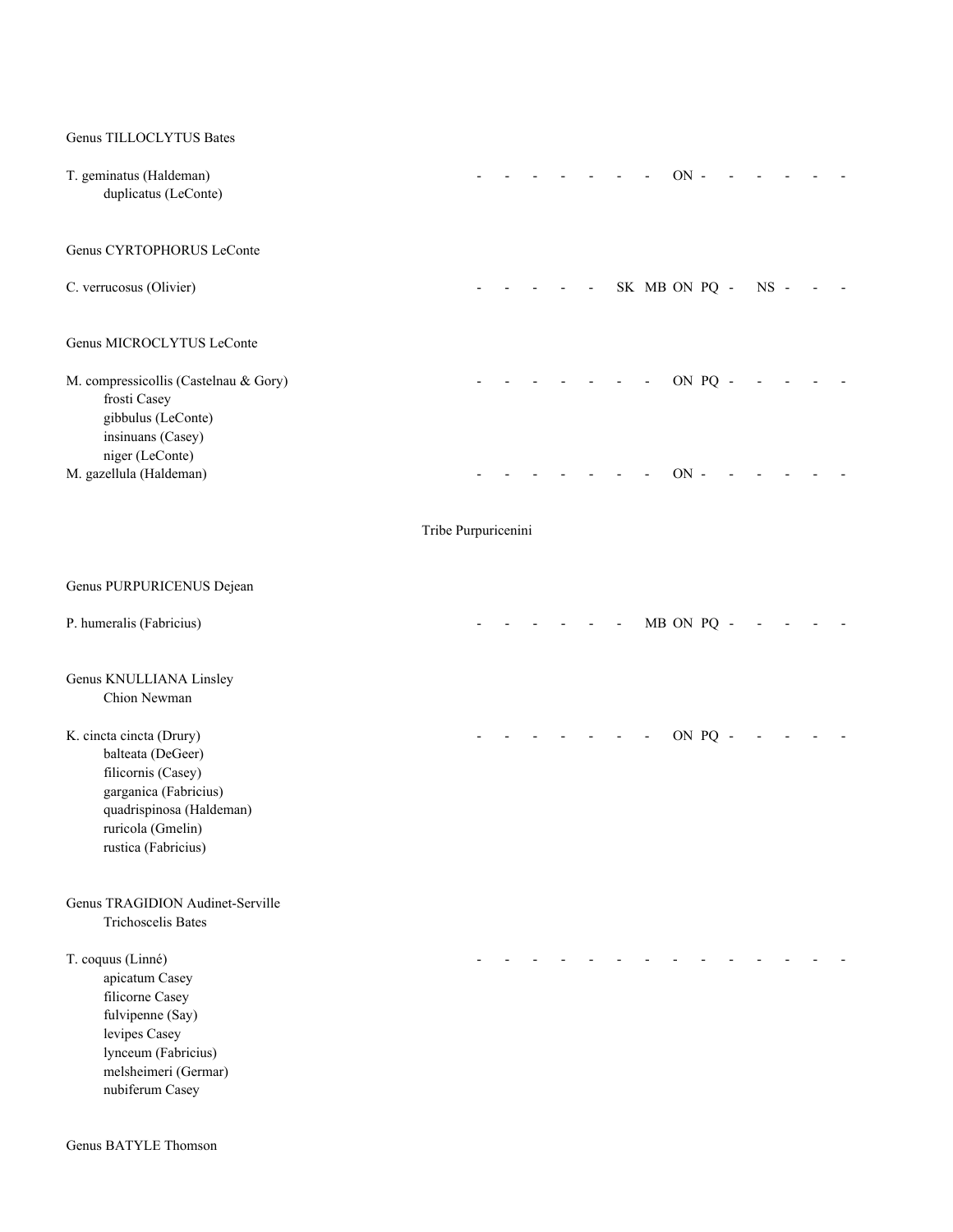| Genus TILLOCLYTUS Bates                                                                                                                                              |                     |  |  |  |               |  |        |  |  |
|----------------------------------------------------------------------------------------------------------------------------------------------------------------------|---------------------|--|--|--|---------------|--|--------|--|--|
| T. geminatus (Haldeman)<br>duplicatus (LeConte)                                                                                                                      |                     |  |  |  | $ON -$        |  |        |  |  |
| Genus CYRTOPHORUS LeConte                                                                                                                                            |                     |  |  |  |               |  |        |  |  |
| C. verrucosus (Olivier)                                                                                                                                              |                     |  |  |  | SK MB ON PQ - |  | $NS -$ |  |  |
| Genus MICROCLYTUS LeConte                                                                                                                                            |                     |  |  |  |               |  |        |  |  |
| M. compressicollis (Castelnau & Gory)<br>frosti Casey<br>gibbulus (LeConte)<br>insinuans (Casey)<br>niger (LeConte)                                                  |                     |  |  |  | ON PQ -       |  |        |  |  |
| M. gazellula (Haldeman)                                                                                                                                              |                     |  |  |  | $ON$ -        |  |        |  |  |
|                                                                                                                                                                      | Tribe Purpuricenini |  |  |  |               |  |        |  |  |
| Genus PURPURICENUS Dejean                                                                                                                                            |                     |  |  |  |               |  |        |  |  |
| P. humeralis (Fabricius)                                                                                                                                             |                     |  |  |  | MB ON PQ -    |  |        |  |  |
| Genus KNULLIANA Linsley<br>Chion Newman                                                                                                                              |                     |  |  |  |               |  |        |  |  |
| K. cincta cincta (Drury)<br>balteata (DeGeer)<br>filicornis (Casey)<br>garganica (Fabricius)<br>quadrispinosa (Haldeman)<br>ruricola (Gmelin)<br>rustica (Fabricius) |                     |  |  |  | ON PQ -       |  |        |  |  |
| Genus TRAGIDION Audinet-Serville<br><b>Trichoscelis Bates</b>                                                                                                        |                     |  |  |  |               |  |        |  |  |
| T. coquus (Linné)<br>apicatum Casey<br>filicorne Casey<br>fulvipenne (Say)<br>levipes Casey<br>lynceum (Fabricius)<br>melsheimeri (Germar)<br>nubiferum Casey        |                     |  |  |  |               |  |        |  |  |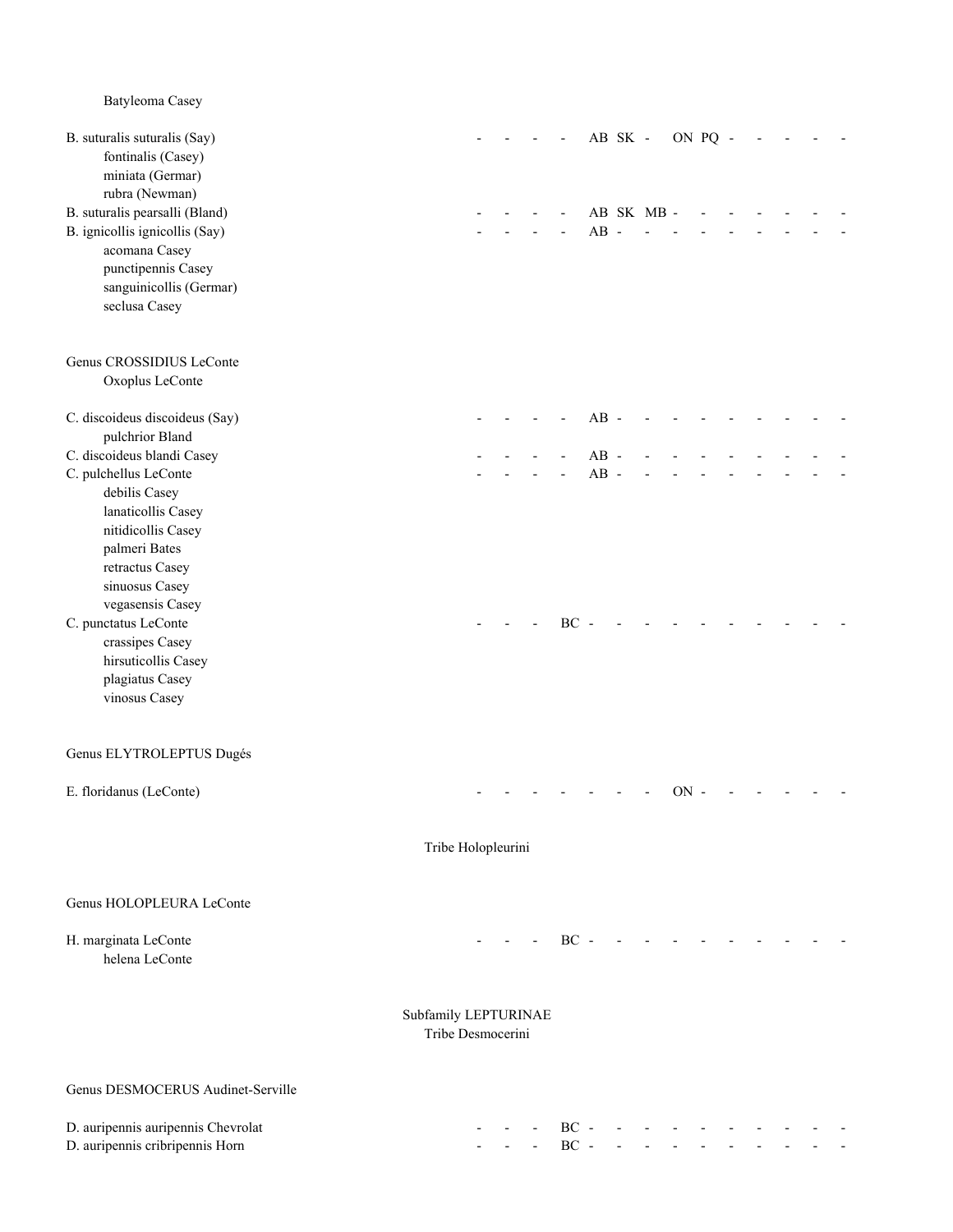Batyleoma Casey B. suturalis suturalis (Say)  $-$  - - - AB SK - ON PQ - - - fontinalis (Casey) miniata (Germar) rubra (Newman) B. suturalis pearsalli (Bland) and the subset of the set of the set of the set of the set of the set of the set of the set of the set of the set of the set of the set of the set of the set of the set of the set of the set B. ignicollis ignicollis (Say) and the same of the same of the same of the same of the same of the same of the same of the same of the same of the same of the same of the same of the same of the same of the same of the sam acomana Casey punctipennis Casey sanguinicollis (Germar) seclusa Casey Genus CROSSIDIUS LeConte Oxoplus LeConte C. discoideus discoideus (Say) and the contract of the contract of the contract of the contract of the contract of the contract of the contract of the contract of the contract of the contract of the contract of the contrac pulchrior Bland C. discoideus blandi Casey - - - - AB - - - - - - - - - C. pulchellus LeConte  $AB AB$  debilis Casey lanaticollis Casey nitidicollis Casey palmeri Bates retractus Casey sinuosus Casey vegasensis Casey C. punctatus LeConte  $\overline{C}$  -  $\overline{C}$  - -  $\overline{C}$  - -  $\overline{C}$  - -  $\overline{C}$  - -  $\overline{C}$  - -  $\overline{C}$  - -  $\overline{C}$  - -  $\overline{C}$  - -  $\overline{C}$  - -  $\overline{C}$  - -  $\overline{C}$  - -  $\overline{C}$  - -  $\overline{C}$  - -  $\overline{C}$  - -  $\overline{C}$  crassipes Casey hirsuticollis Casey plagiatus Casey vinosus Casey Genus ELYTROLEPTUS Dugés E. floridanus (LeConte) and the context of the context of the context of the context of the context of the context of the context of the context of the context of the context of the context of the context of the context of Tribe Holopleurini Genus HOLOPLEURA LeConte H. marginata LeConte - - - BC - - - - - - - - - helena LeConte Subfamily LEPTURINAE Tribe Desmocerini Genus DESMOCERUS Audinet-Serville D. auripennis auripennis Chevrolat - - - BC - - - - - - - - - - D. auripennis cribripennis Horn **Communis Horn Communis Horn Communis Horn Communis Horn Communis Horn Communis Horn Communis Horn Communis Horn Communis Horn Communis Horn Communis Horn Communis Horn Communis Horn Commu**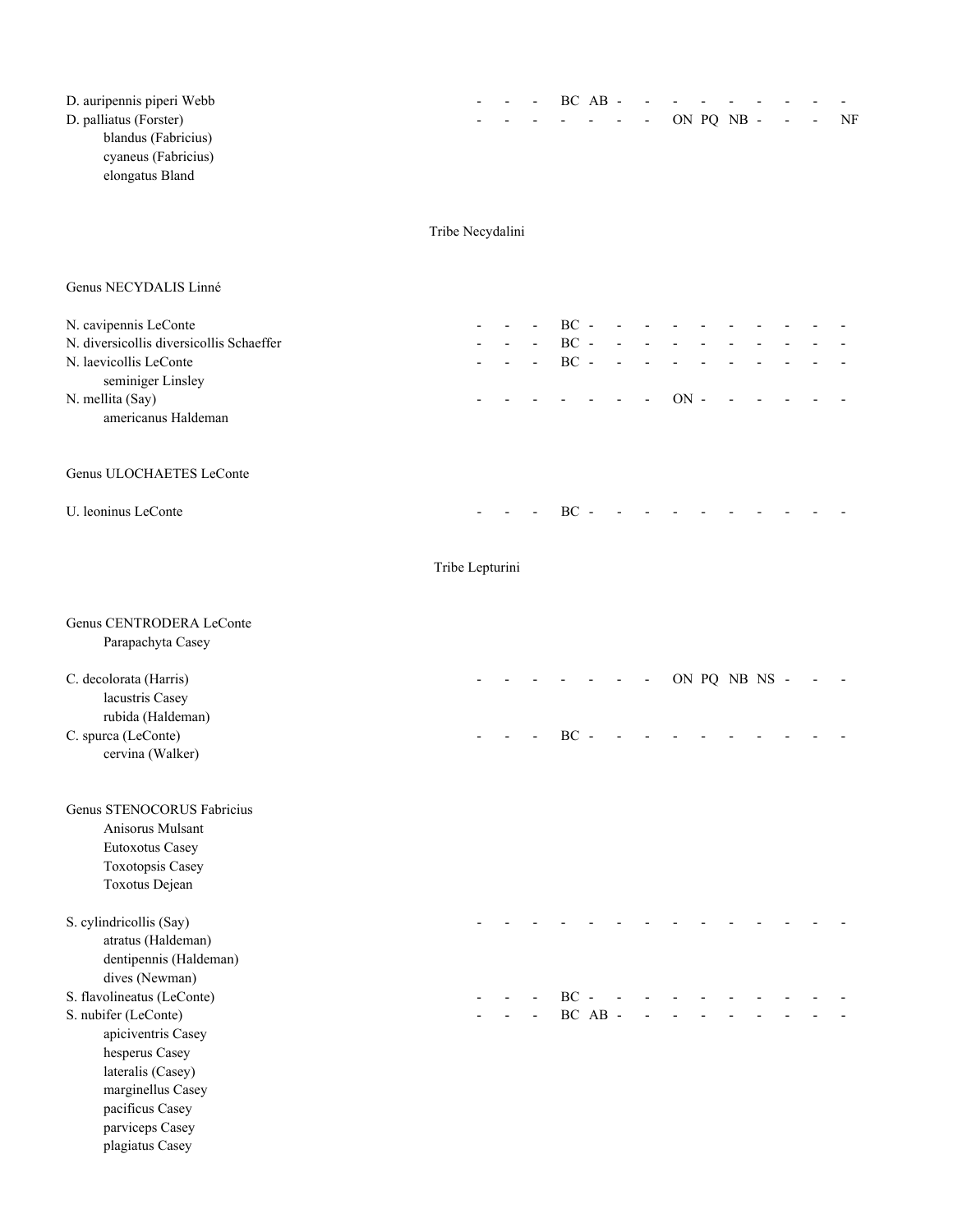| D. auripennis piperi Webb<br>D. palliatus (Forster)<br>blandus (Fabricius)<br>cyaneus (Fabricius)<br>elongatus Bland                                                      |                  |  |                  | BC AB - |  |        | ON PQ NB -    |  | NF |
|---------------------------------------------------------------------------------------------------------------------------------------------------------------------------|------------------|--|------------------|---------|--|--------|---------------|--|----|
|                                                                                                                                                                           | Tribe Necydalini |  |                  |         |  |        |               |  |    |
| Genus NECYDALIS Linné                                                                                                                                                     |                  |  |                  |         |  |        |               |  |    |
| N. cavipennis LeConte<br>N. diversicollis diversicollis Schaeffer                                                                                                         |                  |  | $BC -$<br>$BC -$ |         |  |        |               |  |    |
| N. laevicollis LeConte<br>seminiger Linsley<br>N. mellita (Say)                                                                                                           |                  |  | $BC -$           |         |  | $ON -$ |               |  |    |
| americanus Haldeman                                                                                                                                                       |                  |  |                  |         |  |        |               |  |    |
| Genus ULOCHAETES LeConte                                                                                                                                                  |                  |  |                  |         |  |        |               |  |    |
| U. leoninus LeConte                                                                                                                                                       |                  |  | BC -             |         |  |        |               |  |    |
|                                                                                                                                                                           | Tribe Lepturini  |  |                  |         |  |        |               |  |    |
| Genus CENTRODERA LeConte<br>Parapachyta Casey                                                                                                                             |                  |  |                  |         |  |        |               |  |    |
| C. decolorata (Harris)<br>lacustris Casey<br>rubida (Haldeman)                                                                                                            |                  |  |                  |         |  |        | ON PQ NB NS - |  |    |
| C. spurca (LeConte)<br>cervina (Walker)                                                                                                                                   |                  |  | BC               |         |  |        |               |  |    |
| Genus STENOCORUS Fabricius<br>Anisorus Mulsant<br><b>Eutoxotus Casey</b><br>Toxotopsis Casey<br>Toxotus Dejean                                                            |                  |  |                  |         |  |        |               |  |    |
| S. cylindricollis (Say)<br>atratus (Haldeman)<br>dentipennis (Haldeman)                                                                                                   |                  |  |                  |         |  |        |               |  |    |
| dives (Newman)<br>S. flavolineatus (LeConte)<br>S. nubifer (LeConte)<br>apiciventris Casey<br>hesperus Casey<br>lateralis (Casey)<br>marginellus Casey<br>pacificus Casey |                  |  | $BC -$           | BC AB - |  |        |               |  |    |
| parviceps Casey<br>plagiatus Casey                                                                                                                                        |                  |  |                  |         |  |        |               |  |    |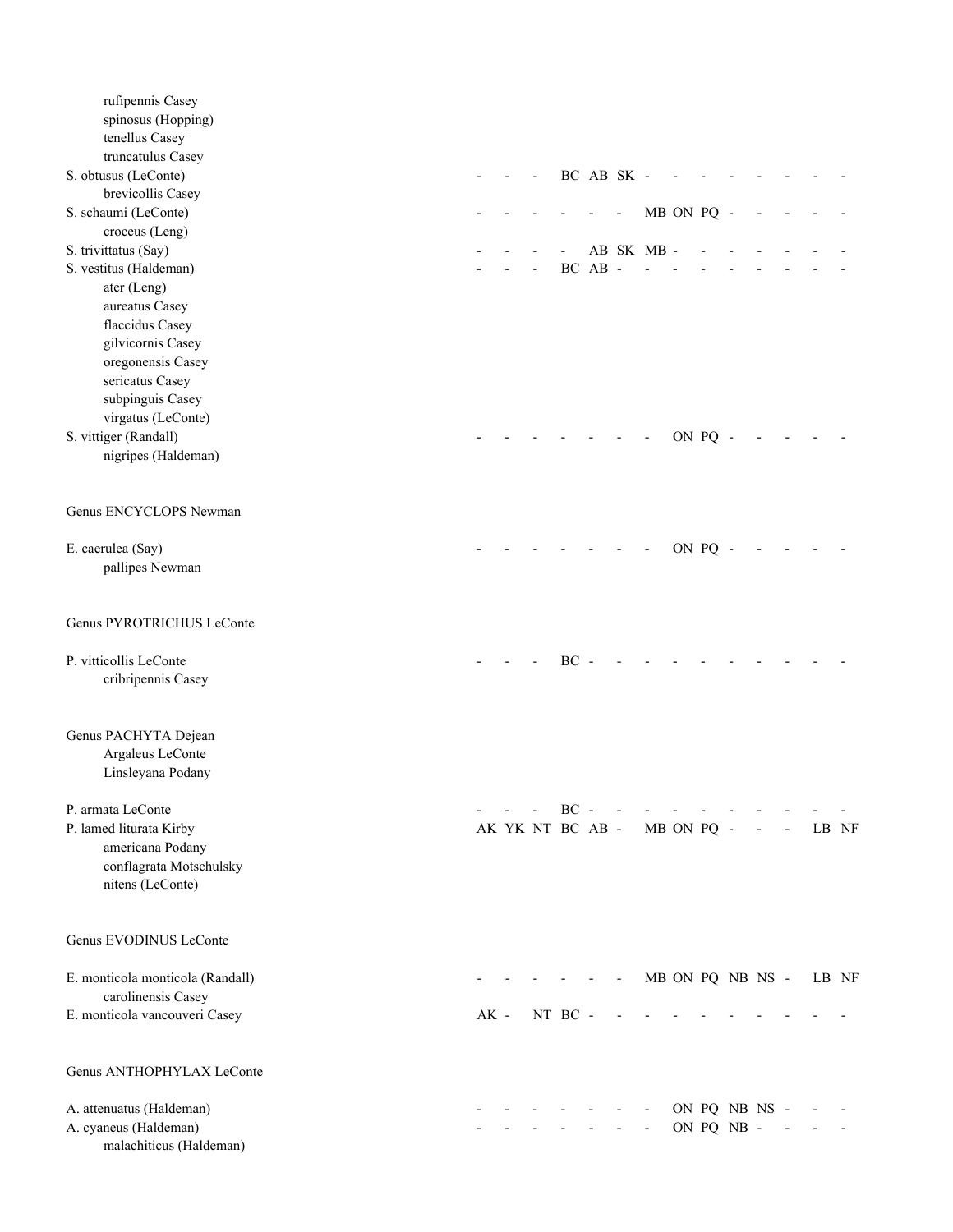| rufipennis Casey<br>spinosus (Hopping)<br>tenellus Casey<br>truncatulus Casey |        |  |                            |         |            |           |            |                  |  |       |  |
|-------------------------------------------------------------------------------|--------|--|----------------------------|---------|------------|-----------|------------|------------------|--|-------|--|
| S. obtusus (LeConte)                                                          |        |  |                            |         | BC AB SK - |           |            |                  |  |       |  |
| brevicollis Casey<br>S. schaumi (LeConte)                                     |        |  |                            |         |            |           | MB ON PQ - |                  |  |       |  |
| croceus (Leng)                                                                |        |  |                            |         |            |           |            |                  |  |       |  |
| S. trivittatus (Say)                                                          |        |  |                            |         |            | AB SK MB- |            |                  |  |       |  |
| S. vestitus (Haldeman)<br>ater (Leng)                                         |        |  |                            | BC AB - |            |           |            |                  |  |       |  |
| aureatus Casey                                                                |        |  |                            |         |            |           |            |                  |  |       |  |
| flaccidus Casey                                                               |        |  |                            |         |            |           |            |                  |  |       |  |
| gilvicornis Casey                                                             |        |  |                            |         |            |           |            |                  |  |       |  |
| oregonensis Casey<br>sericatus Casey                                          |        |  |                            |         |            |           |            |                  |  |       |  |
| subpinguis Casey                                                              |        |  |                            |         |            |           |            |                  |  |       |  |
| virgatus (LeConte)                                                            |        |  |                            |         |            |           |            |                  |  |       |  |
| S. vittiger (Randall)<br>nigripes (Haldeman)                                  |        |  |                            |         |            |           | ON PQ -    |                  |  |       |  |
|                                                                               |        |  |                            |         |            |           |            |                  |  |       |  |
| Genus ENCYCLOPS Newman                                                        |        |  |                            |         |            |           |            |                  |  |       |  |
| E. caerulea (Say)                                                             |        |  |                            |         |            |           | ON PQ -    |                  |  |       |  |
| pallipes Newman                                                               |        |  |                            |         |            |           |            |                  |  |       |  |
| Genus PYROTRICHUS LeConte                                                     |        |  |                            |         |            |           |            |                  |  |       |  |
| P. vitticollis LeConte                                                        |        |  | $BC -$                     |         |            |           |            |                  |  |       |  |
| cribripennis Casey                                                            |        |  |                            |         |            |           |            |                  |  |       |  |
| Genus PACHYTA Dejean                                                          |        |  |                            |         |            |           |            |                  |  |       |  |
| Argaleus LeConte<br>Linsleyana Podany                                         |        |  |                            |         |            |           |            |                  |  |       |  |
|                                                                               |        |  |                            |         |            |           |            |                  |  |       |  |
| P. armata LeConte<br>P. lamed liturata Kirby                                  |        |  | $BC -$<br>AK YK NT BC AB - |         |            |           | MB ON PQ - |                  |  | LB NF |  |
| americana Podany                                                              |        |  |                            |         |            |           |            |                  |  |       |  |
| conflagrata Motschulsky                                                       |        |  |                            |         |            |           |            |                  |  |       |  |
| nitens (LeConte)                                                              |        |  |                            |         |            |           |            |                  |  |       |  |
| Genus EVODINUS LeConte                                                        |        |  |                            |         |            |           |            |                  |  |       |  |
| E. monticola monticola (Randall)                                              |        |  |                            |         |            |           |            | MB ON PQ NB NS - |  | LB NF |  |
| carolinensis Casey<br>E. monticola vancouveri Casey                           | $AK -$ |  | NT BC -                    |         |            |           |            |                  |  |       |  |
|                                                                               |        |  |                            |         |            |           |            |                  |  |       |  |
| Genus ANTHOPHYLAX LeConte                                                     |        |  |                            |         |            |           |            |                  |  |       |  |
| A. attenuatus (Haldeman)                                                      |        |  |                            |         |            |           |            | ON PQ NB NS -    |  |       |  |
| A. cyaneus (Haldeman)<br>malachiticus (Haldeman)                              |        |  |                            |         |            |           |            | ON PQ NB -       |  |       |  |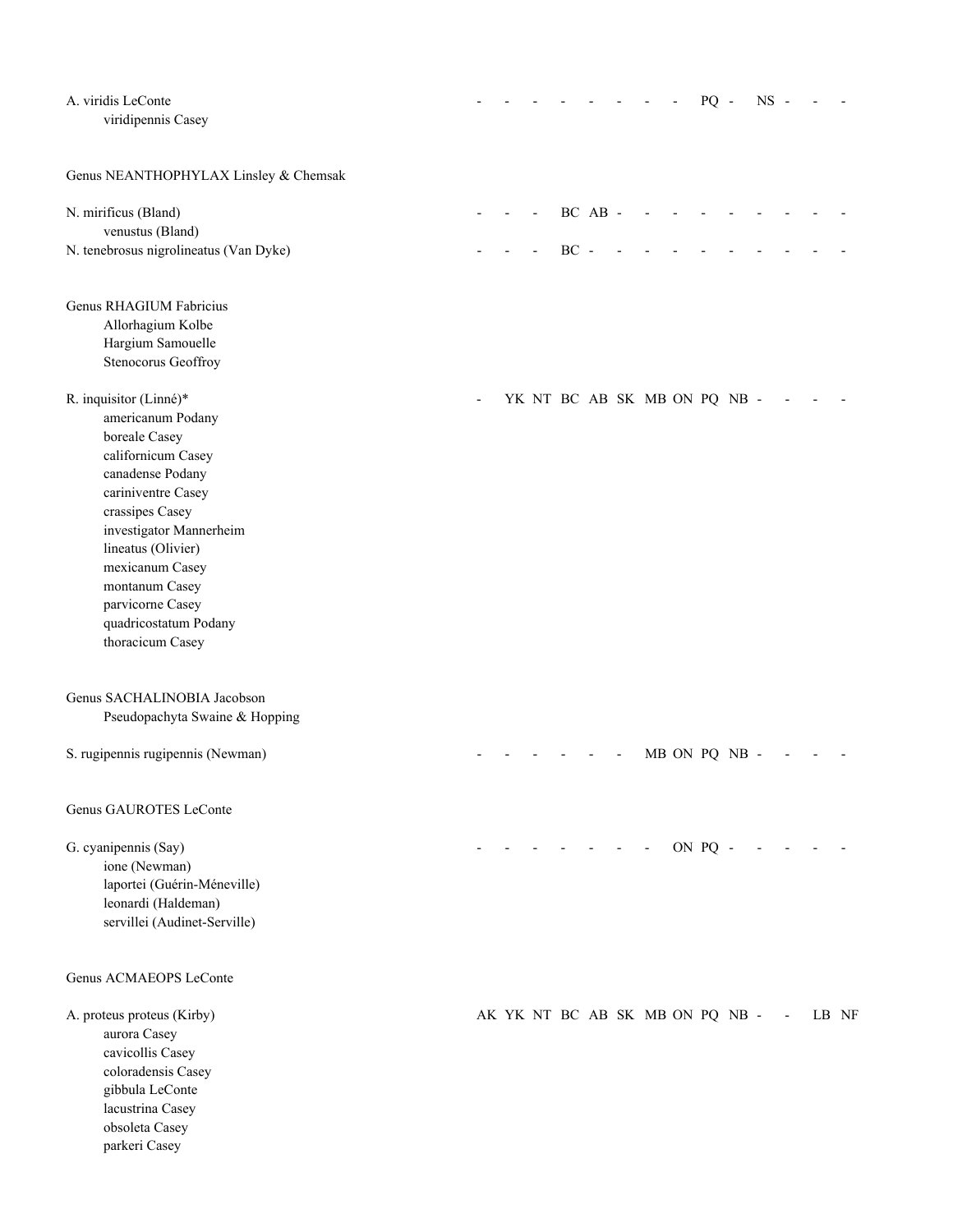| A. viridis LeConte<br>viridipennis Casey                                                                                                                                                                                                                                                               |                                 |                              |        |         |  | $PQ -$        | $NS -$ |  |       |
|--------------------------------------------------------------------------------------------------------------------------------------------------------------------------------------------------------------------------------------------------------------------------------------------------------|---------------------------------|------------------------------|--------|---------|--|---------------|--------|--|-------|
| Genus NEANTHOPHYLAX Linsley & Chemsak                                                                                                                                                                                                                                                                  |                                 |                              |        |         |  |               |        |  |       |
| N. mirificus (Bland)                                                                                                                                                                                                                                                                                   |                                 |                              |        | BC AB - |  |               |        |  |       |
| venustus (Bland)<br>N. tenebrosus nigrolineatus (Van Dyke)                                                                                                                                                                                                                                             |                                 |                              | $BC -$ |         |  |               |        |  |       |
| Genus RHAGIUM Fabricius<br>Allorhagium Kolbe<br>Hargium Samouelle<br>Stenocorus Geoffroy                                                                                                                                                                                                               |                                 |                              |        |         |  |               |        |  |       |
| R. inquisitor (Linné)*<br>americanum Podany<br>boreale Casey<br>californicum Casey<br>canadense Podany<br>cariniventre Casey<br>crassipes Casey<br>investigator Mannerheim<br>lineatus (Olivier)<br>mexicanum Casey<br>montanum Casey<br>parvicorne Casey<br>quadricostatum Podany<br>thoracicum Casey |                                 | YK NT BC AB SK MB ON PQ NB - |        |         |  |               |        |  |       |
| Genus SACHALINOBIA Jacobson<br>Pseudopachyta Swaine & Hopping                                                                                                                                                                                                                                          |                                 |                              |        |         |  |               |        |  |       |
| S. rugipennis rugipennis (Newman)                                                                                                                                                                                                                                                                      |                                 |                              |        |         |  | MB ON PQ NB - |        |  |       |
| Genus GAUROTES LeConte                                                                                                                                                                                                                                                                                 |                                 |                              |        |         |  |               |        |  |       |
| G. cyanipennis (Say)<br>ione (Newman)<br>laportei (Guérin-Méneville)<br>leonardi (Haldeman)<br>servillei (Audinet-Serville)                                                                                                                                                                            |                                 |                              |        |         |  | $-$ ON PQ $-$ |        |  |       |
| Genus ACMAEOPS LeConte                                                                                                                                                                                                                                                                                 |                                 |                              |        |         |  |               |        |  |       |
| A. proteus proteus (Kirby)<br>aurora Casey<br>cavicollis Casey<br>coloradensis Casey<br>gibbula LeConte<br>lacustrina Casey<br>obsoleta Casey<br>parkeri Casey                                                                                                                                         | AK YK NT BC AB SK MB ON PQ NB - |                              |        |         |  |               |        |  | LB NF |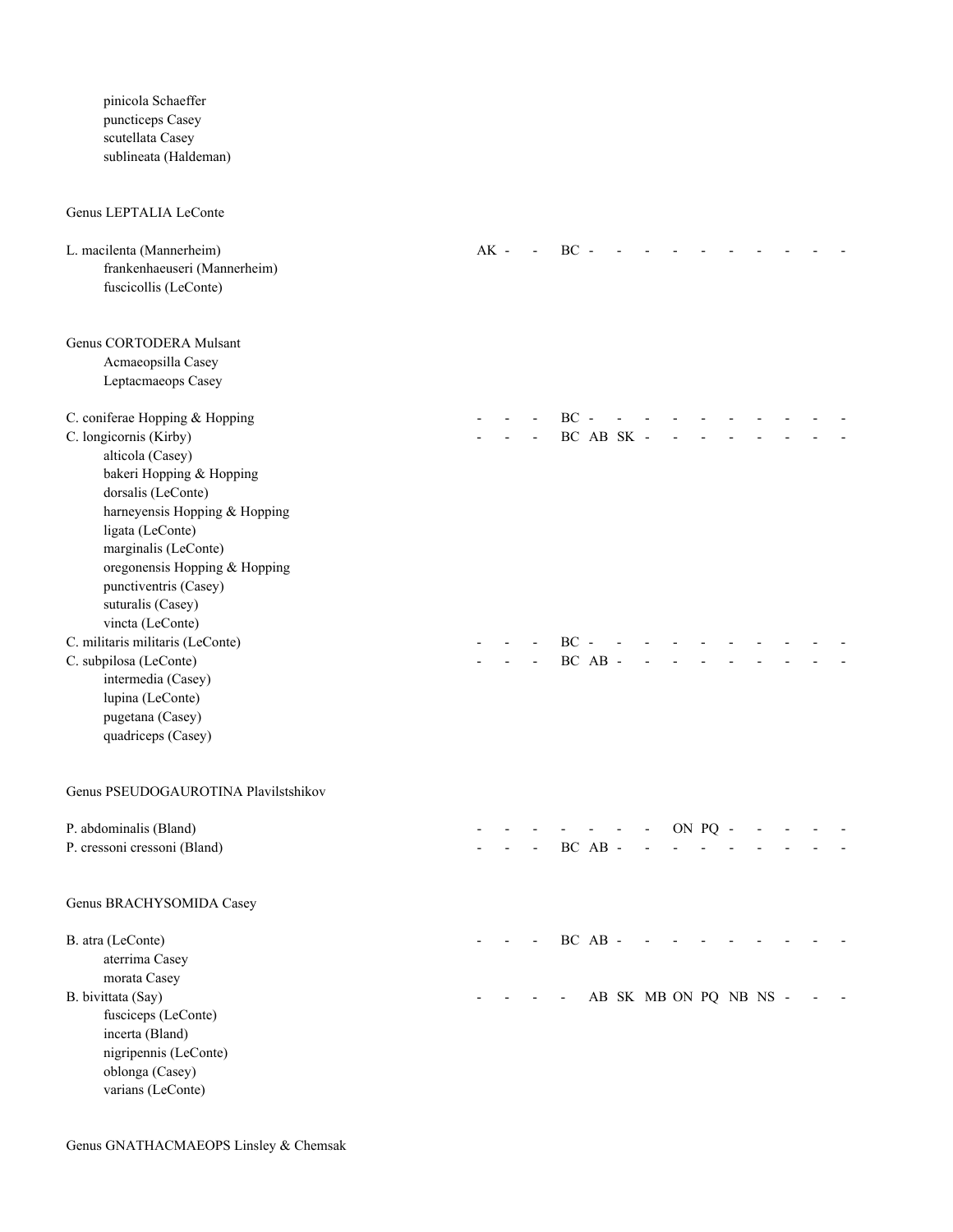pinicola Schaeffer puncticeps Casey scutellata Casey sublineata (Haldeman)

### Genus LEPTALIA LeConte

| L. macilenta (Mannerheim)<br>frankenhaeuseri (Mannerheim)<br>fuscicollis (LeConte)                                                                                                                                                                                    | $AK -$ | $\blacksquare$ | $BC -$            |            |                        |                |         |  |  |  |
|-----------------------------------------------------------------------------------------------------------------------------------------------------------------------------------------------------------------------------------------------------------------------|--------|----------------|-------------------|------------|------------------------|----------------|---------|--|--|--|
| Genus CORTODERA Mulsant<br>Acmaeopsilla Casey<br>Leptacmaeops Casey                                                                                                                                                                                                   |        |                |                   |            |                        |                |         |  |  |  |
| C. coniferae Hopping & Hopping<br>C. longicornis (Kirby)<br>alticola (Casey)<br>bakeri Hopping & Hopping<br>dorsalis (LeConte)<br>harneyensis Hopping & Hopping<br>ligata (LeConte)<br>marginalis (LeConte)<br>oregonensis Hopping & Hopping<br>punctiventris (Casey) |        |                | $BC -$            | BC AB SK - |                        |                |         |  |  |  |
| suturalis (Casey)<br>vincta (LeConte)<br>C. militaris militaris (LeConte)<br>C. subpilosa (LeConte)<br>intermedia (Casey)<br>lupina (LeConte)<br>pugetana (Casey)<br>quadriceps (Casey)                                                                               |        |                | $BC -$<br>BC AB - |            |                        | $\overline{a}$ |         |  |  |  |
| Genus PSEUDOGAUROTINA Plavilstshikov                                                                                                                                                                                                                                  |        |                |                   |            |                        |                |         |  |  |  |
| P. abdominalis (Bland)<br>P. cressoni cressoni (Bland)                                                                                                                                                                                                                |        |                |                   | BC AB -    |                        |                | ON PQ - |  |  |  |
| Genus BRACHYSOMIDA Casey                                                                                                                                                                                                                                              |        |                |                   |            |                        |                |         |  |  |  |
| B. atra (LeConte)<br>aterrima Casey<br>morata Casey                                                                                                                                                                                                                   |        |                |                   | BC AB -    |                        |                |         |  |  |  |
| B. bivittata (Say)<br>fusciceps (LeConte)<br>incerta (Bland)<br>nigripennis (LeConte)<br>oblonga (Casey)<br>varians (LeConte)                                                                                                                                         |        |                |                   |            | AB SK MB ON PQ NB NS - |                |         |  |  |  |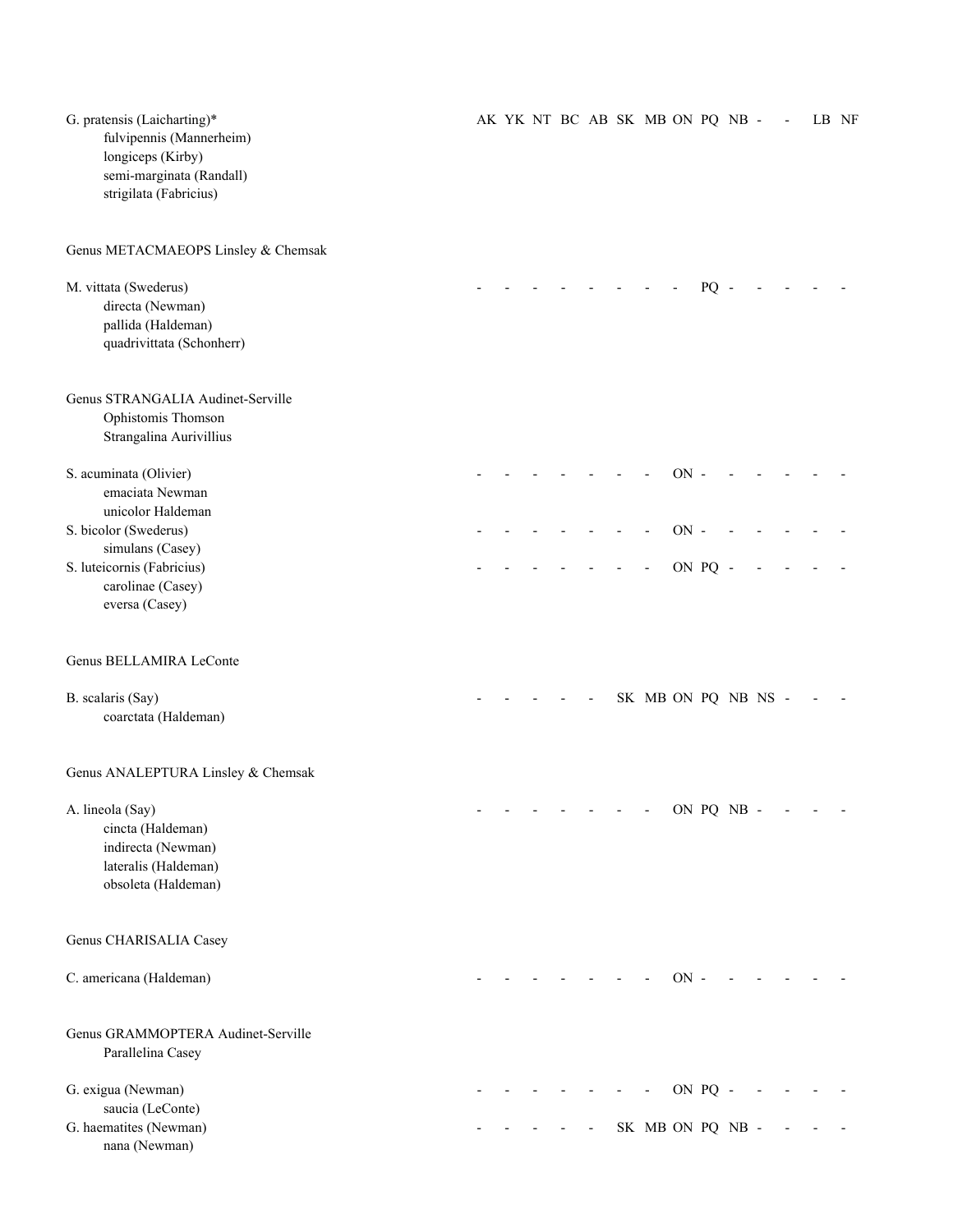| G. pratensis (Laicharting)*<br>fulvipennis (Mannerheim)<br>longiceps (Kirby)<br>semi-marginata (Randall)<br>strigilata (Fabricius) |  |  |  | AK YK NT BC AB SK MB ON PQ NB - |        |         |            |  | LB NF |
|------------------------------------------------------------------------------------------------------------------------------------|--|--|--|---------------------------------|--------|---------|------------|--|-------|
| Genus METACMAEOPS Linsley & Chemsak                                                                                                |  |  |  |                                 |        |         |            |  |       |
| M. vittata (Swederus)<br>directa (Newman)<br>pallida (Haldeman)<br>quadrivittata (Schonherr)                                       |  |  |  |                                 |        | PQ      |            |  |       |
| Genus STRANGALIA Audinet-Serville<br>Ophistomis Thomson<br>Strangalina Aurivillius                                                 |  |  |  |                                 |        |         |            |  |       |
| S. acuminata (Olivier)<br>emaciata Newman<br>unicolor Haldeman                                                                     |  |  |  |                                 | $ON -$ |         |            |  |       |
| S. bicolor (Swederus)                                                                                                              |  |  |  |                                 | $ON -$ |         |            |  |       |
| simulans (Casey)                                                                                                                   |  |  |  |                                 |        |         |            |  |       |
| S. luteicornis (Fabricius)                                                                                                         |  |  |  |                                 |        | ON PQ - |            |  |       |
| carolinae (Casey)<br>eversa (Casey)                                                                                                |  |  |  |                                 |        |         |            |  |       |
| Genus BELLAMIRA LeConte                                                                                                            |  |  |  |                                 |        |         |            |  |       |
| B. scalaris (Say)<br>coarctata (Haldeman)                                                                                          |  |  |  | SK MB ON PQ NB NS -             |        |         |            |  |       |
| Genus ANALEPTURA Linsley & Chemsak                                                                                                 |  |  |  |                                 |        |         |            |  |       |
| A. lineola (Say)<br>cincta (Haldeman)<br>indirecta (Newman)<br>lateralis (Haldeman)<br>obsoleta (Haldeman)                         |  |  |  |                                 |        |         | ON PQ NB - |  |       |
| Genus CHARISALIA Casey                                                                                                             |  |  |  |                                 |        |         |            |  |       |
| C. americana (Haldeman)                                                                                                            |  |  |  |                                 | $ON$ - |         |            |  |       |
| Genus GRAMMOPTERA Audinet-Serville<br>Parallelina Casey                                                                            |  |  |  |                                 |        |         |            |  |       |
| G. exigua (Newman)                                                                                                                 |  |  |  |                                 |        | ON PQ - |            |  |       |
| saucia (LeConte)                                                                                                                   |  |  |  |                                 |        |         |            |  |       |
| G. haematites (Newman)<br>nana (Newman)                                                                                            |  |  |  | SK MB ON PQ NB -                |        |         |            |  |       |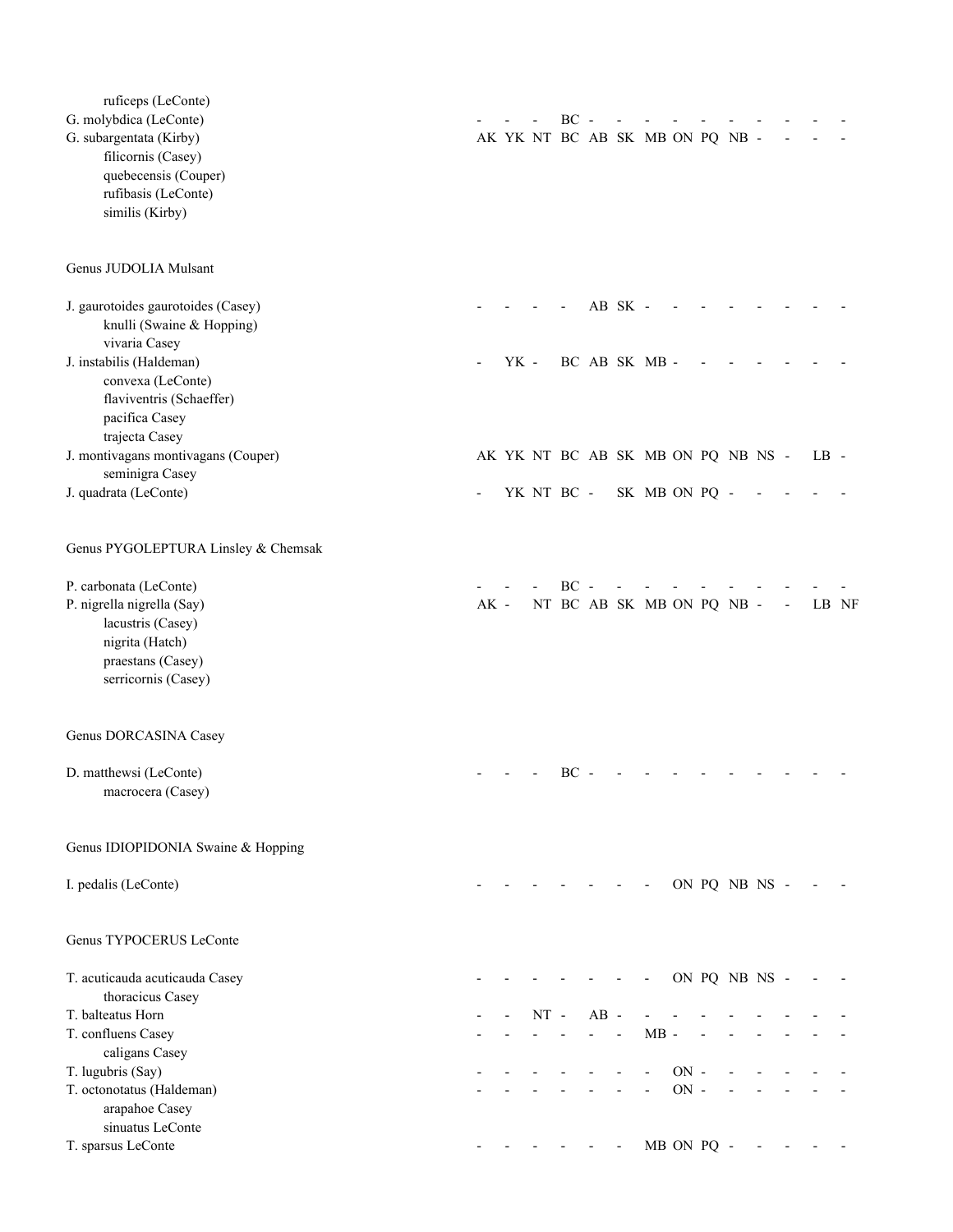| ruficeps (LeConte)                             |        |      |        |            |        |         |                                    |                  |            |               |  |        |       |
|------------------------------------------------|--------|------|--------|------------|--------|---------|------------------------------------|------------------|------------|---------------|--|--------|-------|
| G. molybdica (LeConte)                         |        |      |        | BC         |        |         |                                    |                  |            |               |  |        |       |
| G. subargentata (Kirby)                        |        |      |        |            |        |         | AK YK NT BC AB SK MB ON PQ NB -    |                  |            |               |  |        |       |
| filicornis (Casey)                             |        |      |        |            |        |         |                                    |                  |            |               |  |        |       |
| quebecensis (Couper)                           |        |      |        |            |        |         |                                    |                  |            |               |  |        |       |
| rufibasis (LeConte)                            |        |      |        |            |        |         |                                    |                  |            |               |  |        |       |
| similis (Kirby)                                |        |      |        |            |        |         |                                    |                  |            |               |  |        |       |
|                                                |        |      |        |            |        |         |                                    |                  |            |               |  |        |       |
| Genus JUDOLIA Mulsant                          |        |      |        |            |        |         |                                    |                  |            |               |  |        |       |
| J. gaurotoides gaurotoides (Casey)             |        |      |        |            |        | AB SK - |                                    |                  |            |               |  |        |       |
| knulli (Swaine & Hopping)                      |        |      |        |            |        |         |                                    |                  |            |               |  |        |       |
| vivaria Casey                                  |        |      |        |            |        |         |                                    |                  |            |               |  |        |       |
| J. instabilis (Haldeman)                       |        | YK - |        |            |        |         | BC AB SK MB -                      |                  |            |               |  |        |       |
| convexa (LeConte)                              |        |      |        |            |        |         |                                    |                  |            |               |  |        |       |
| flaviventris (Schaeffer)                       |        |      |        |            |        |         |                                    |                  |            |               |  |        |       |
| pacifica Casey<br>trajecta Casey               |        |      |        |            |        |         |                                    |                  |            |               |  |        |       |
| J. montivagans montivagans (Couper)            |        |      |        |            |        |         | AK YK NT BC AB SK MB ON PQ NB NS - |                  |            |               |  | $LB -$ |       |
| seminigra Casey                                |        |      |        |            |        |         |                                    |                  |            |               |  |        |       |
| J. quadrata (LeConte)                          |        |      |        | YK NT BC - |        |         | SK MB ON PQ -                      |                  |            |               |  |        |       |
| Genus PYGOLEPTURA Linsley & Chemsak            |        |      |        |            |        |         |                                    |                  |            |               |  |        |       |
| P. carbonata (LeConte)                         |        |      |        | $BC -$     |        |         |                                    |                  |            |               |  |        |       |
| P. nigrella nigrella (Say)                     | $AK$ - |      |        |            |        |         | NT BC AB SK MB ON PQ NB -          |                  |            |               |  |        | LB NF |
| lacustris (Casey)                              |        |      |        |            |        |         |                                    |                  |            |               |  |        |       |
| nigrita (Hatch)                                |        |      |        |            |        |         |                                    |                  |            |               |  |        |       |
| praestans (Casey)                              |        |      |        |            |        |         |                                    |                  |            |               |  |        |       |
| serricornis (Casey)                            |        |      |        |            |        |         |                                    |                  |            |               |  |        |       |
|                                                |        |      |        |            |        |         |                                    |                  |            |               |  |        |       |
| Genus DORCASINA Casey                          |        |      |        |            |        |         |                                    |                  |            |               |  |        |       |
| D. matthewsi (LeConte)                         |        |      |        | $BC -$     |        |         |                                    |                  |            |               |  |        |       |
| macrocera (Casey)                              |        |      |        |            |        |         |                                    |                  |            |               |  |        |       |
| Genus IDIOPIDONIA Swaine & Hopping             |        |      |        |            |        |         |                                    |                  |            |               |  |        |       |
|                                                |        |      |        |            |        |         |                                    |                  |            |               |  |        |       |
| I. pedalis (LeConte)                           |        |      |        |            |        |         |                                    |                  |            | ON PQ NB NS - |  |        |       |
| Genus TYPOCERUS LeConte                        |        |      |        |            |        |         |                                    |                  |            |               |  |        |       |
| T. acuticauda acuticauda Casey                 |        |      |        |            |        |         |                                    |                  |            | ON PQ NB NS - |  |        |       |
| thoracicus Casey                               |        |      |        |            |        |         |                                    |                  |            |               |  |        |       |
| T. balteatus Horn                              |        |      | $NT -$ |            | $AB -$ |         |                                    |                  |            |               |  |        |       |
| T. confluens Casey                             |        |      |        |            |        |         | $MB -$                             |                  |            |               |  |        |       |
| caligans Casey                                 |        |      |        |            |        |         |                                    |                  |            |               |  |        |       |
| T. lugubris (Say)<br>T. octonotatus (Haldeman) |        |      |        |            |        |         |                                    | $ON -$<br>$ON -$ |            |               |  |        |       |
| arapahoe Casey                                 |        |      |        |            |        |         |                                    |                  |            |               |  |        |       |
| sinuatus LeConte                               |        |      |        |            |        |         |                                    |                  |            |               |  |        |       |
| T. sparsus LeConte                             |        |      |        |            |        |         |                                    |                  | MB ON PQ - |               |  |        |       |
|                                                |        |      |        |            |        |         |                                    |                  |            |               |  |        |       |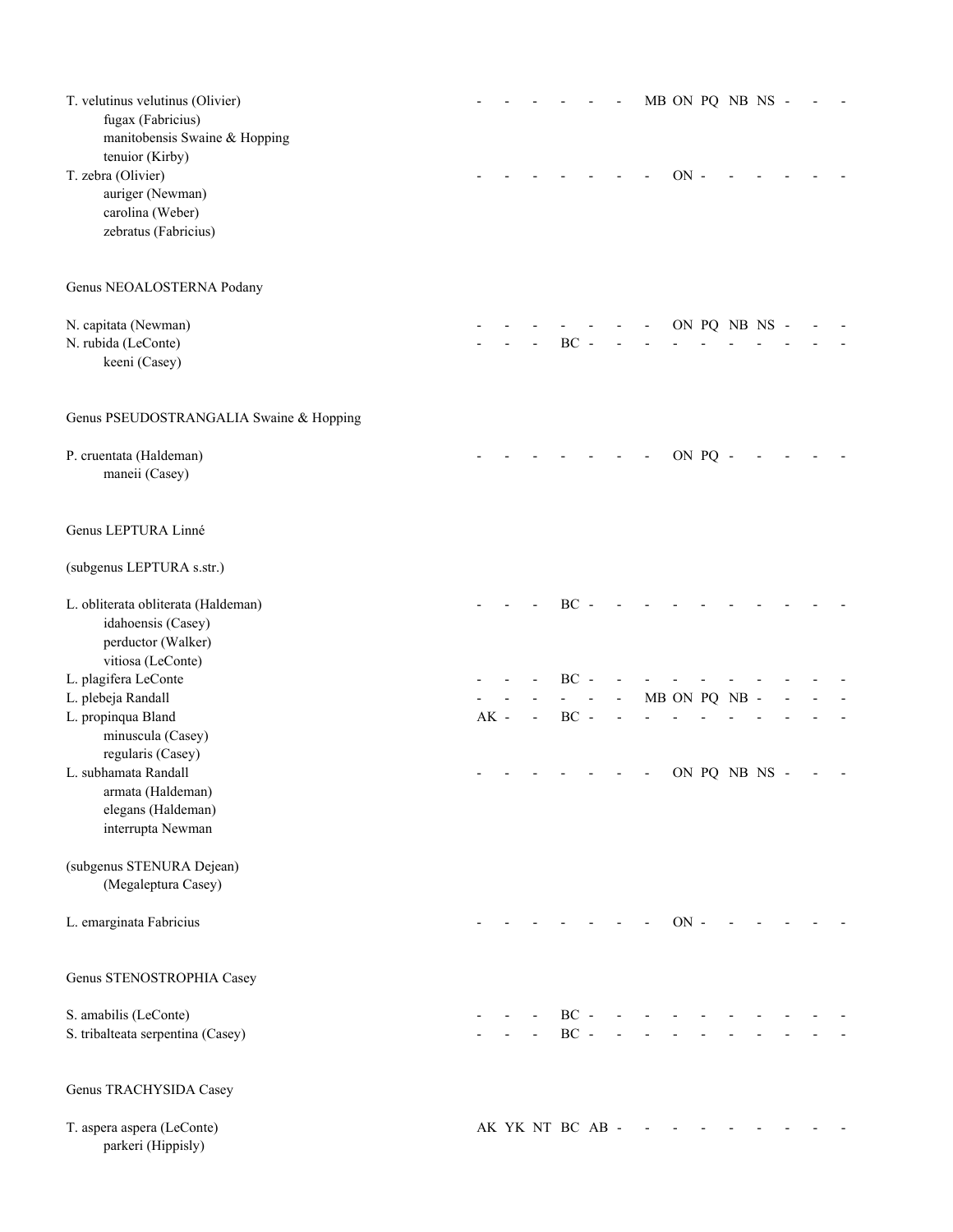| T. velutinus velutinus (Olivier)<br>fugax (Fabricius)<br>manitobensis Swaine & Hopping |        |                |                  |  |        |         | MB ON PQ NB NS - |  |  |
|----------------------------------------------------------------------------------------|--------|----------------|------------------|--|--------|---------|------------------|--|--|
| tenuior (Kirby)<br>T. zebra (Olivier)                                                  |        |                |                  |  | $ON$ - |         |                  |  |  |
| auriger (Newman)                                                                       |        |                |                  |  |        |         |                  |  |  |
| carolina (Weber)                                                                       |        |                |                  |  |        |         |                  |  |  |
| zebratus (Fabricius)                                                                   |        |                |                  |  |        |         |                  |  |  |
|                                                                                        |        |                |                  |  |        |         |                  |  |  |
| Genus NEOALOSTERNA Podany                                                              |        |                |                  |  |        |         |                  |  |  |
| N. capitata (Newman)                                                                   |        |                |                  |  |        |         | ON PQ NB NS -    |  |  |
| N. rubida (LeConte)                                                                    |        |                | BC               |  |        |         |                  |  |  |
| keeni (Casey)                                                                          |        |                |                  |  |        |         |                  |  |  |
| Genus PSEUDOSTRANGALIA Swaine & Hopping                                                |        |                |                  |  |        |         |                  |  |  |
| P. cruentata (Haldeman)                                                                |        |                |                  |  |        | ON PQ - |                  |  |  |
| maneii (Casey)                                                                         |        |                |                  |  |        |         |                  |  |  |
| Genus LEPTURA Linné                                                                    |        |                |                  |  |        |         |                  |  |  |
| (subgenus LEPTURA s.str.)                                                              |        |                |                  |  |        |         |                  |  |  |
| L. obliterata obliterata (Haldeman)                                                    |        |                | $BC -$           |  |        |         |                  |  |  |
| idahoensis (Casey)                                                                     |        |                |                  |  |        |         |                  |  |  |
| perductor (Walker)                                                                     |        |                |                  |  |        |         |                  |  |  |
| vitiosa (LeConte)                                                                      |        |                |                  |  |        |         |                  |  |  |
| L. plagifera LeConte                                                                   |        |                | $BC -$           |  |        |         |                  |  |  |
| L. plebeja Randall                                                                     |        |                |                  |  |        |         | MB ON PQ NB      |  |  |
| L. propinqua Bland                                                                     | $AK -$ | $\overline{a}$ | $BC -$           |  |        |         |                  |  |  |
| minuscula (Casey)<br>regularis (Casey)                                                 |        |                |                  |  |        |         |                  |  |  |
| L. subhamata Randall                                                                   |        |                |                  |  |        |         | ON PQ NB NS -    |  |  |
| armata (Haldeman)                                                                      |        |                |                  |  |        |         |                  |  |  |
| elegans (Haldeman)                                                                     |        |                |                  |  |        |         |                  |  |  |
| interrupta Newman                                                                      |        |                |                  |  |        |         |                  |  |  |
| (subgenus STENURA Dejean)                                                              |        |                |                  |  |        |         |                  |  |  |
| (Megaleptura Casey)                                                                    |        |                |                  |  |        |         |                  |  |  |
| L. emarginata Fabricius                                                                |        |                |                  |  | $ON -$ |         |                  |  |  |
| Genus STENOSTROPHIA Casey                                                              |        |                |                  |  |        |         |                  |  |  |
| S. amabilis (LeConte)                                                                  |        |                | $BC -$           |  |        |         |                  |  |  |
| S. tribalteata serpentina (Casey)                                                      |        |                | $BC -$           |  |        |         |                  |  |  |
| Genus TRACHYSIDA Casey                                                                 |        |                |                  |  |        |         |                  |  |  |
| T. aspera aspera (LeConte)<br>parkeri (Hippisly)                                       |        |                | AK YK NT BC AB - |  |        |         |                  |  |  |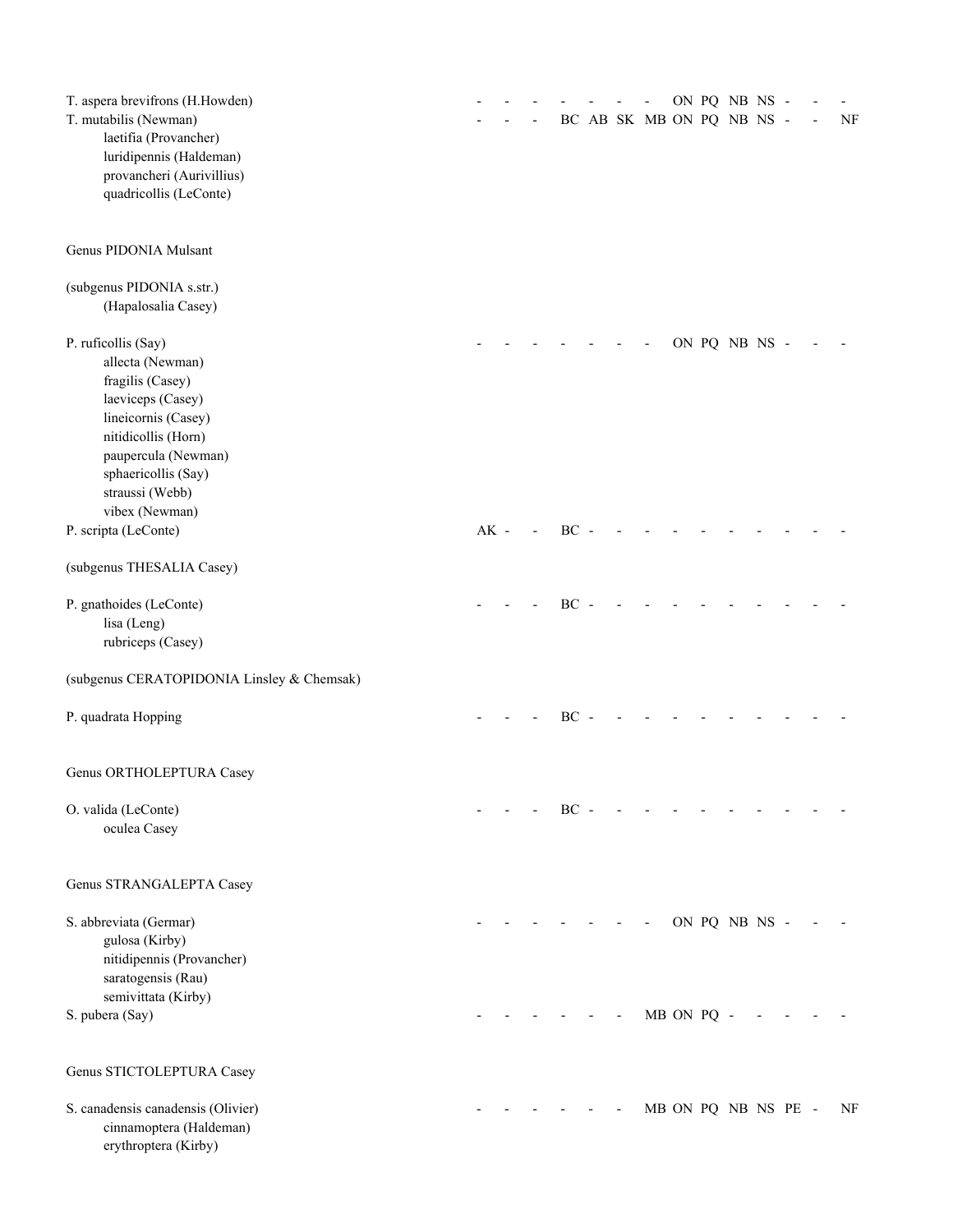| T. aspera brevifrons (H.Howden)            |        |  |        |  |                           |            | ON PQ NB NS -       |  |           |
|--------------------------------------------|--------|--|--------|--|---------------------------|------------|---------------------|--|-----------|
| T. mutabilis (Newman)                      |        |  |        |  | BC AB SK MB ON PQ NB NS - |            |                     |  | $\rm{NF}$ |
| laetifia (Provancher)                      |        |  |        |  |                           |            |                     |  |           |
| luridipennis (Haldeman)                    |        |  |        |  |                           |            |                     |  |           |
| provancheri (Aurivillius)                  |        |  |        |  |                           |            |                     |  |           |
| quadricollis (LeConte)                     |        |  |        |  |                           |            |                     |  |           |
| Genus PIDONIA Mulsant                      |        |  |        |  |                           |            |                     |  |           |
| (subgenus PIDONIA s.str.)                  |        |  |        |  |                           |            |                     |  |           |
| (Hapalosalia Casey)                        |        |  |        |  |                           |            |                     |  |           |
| P. ruficollis (Say)                        |        |  |        |  |                           |            | ON PQ NB NS -       |  |           |
| allecta (Newman)                           |        |  |        |  |                           |            |                     |  |           |
| fragilis (Casey)                           |        |  |        |  |                           |            |                     |  |           |
| laeviceps (Casey)                          |        |  |        |  |                           |            |                     |  |           |
| lineicornis (Casey)                        |        |  |        |  |                           |            |                     |  |           |
| nitidicollis (Horn)                        |        |  |        |  |                           |            |                     |  |           |
| paupercula (Newman)                        |        |  |        |  |                           |            |                     |  |           |
| sphaericollis (Say)                        |        |  |        |  |                           |            |                     |  |           |
| straussi (Webb)                            |        |  |        |  |                           |            |                     |  |           |
| vibex (Newman)                             |        |  |        |  |                           |            |                     |  |           |
| P. scripta (LeConte)                       | $AK -$ |  | BC -   |  |                           |            |                     |  |           |
| (subgenus THESALIA Casey)                  |        |  |        |  |                           |            |                     |  |           |
| P. gnathoides (LeConte)                    |        |  | BC -   |  |                           |            |                     |  |           |
| lisa (Leng)                                |        |  |        |  |                           |            |                     |  |           |
| rubriceps (Casey)                          |        |  |        |  |                           |            |                     |  |           |
| (subgenus CERATOPIDONIA Linsley & Chemsak) |        |  |        |  |                           |            |                     |  |           |
| P. quadrata Hopping                        |        |  | BC -   |  |                           |            |                     |  |           |
| Genus ORTHOLEPTURA Casey                   |        |  |        |  |                           |            |                     |  |           |
| O. valida (LeConte)                        |        |  | $BC -$ |  |                           |            |                     |  |           |
| oculea Casey                               |        |  |        |  |                           |            |                     |  |           |
| Genus STRANGALEPTA Casey                   |        |  |        |  |                           |            |                     |  |           |
| S. abbreviata (Germar)                     |        |  |        |  |                           |            | ON PQ NB NS -       |  |           |
| gulosa (Kirby)                             |        |  |        |  |                           |            |                     |  |           |
| nitidipennis (Provancher)                  |        |  |        |  |                           |            |                     |  |           |
| saratogensis (Rau)                         |        |  |        |  |                           |            |                     |  |           |
| semivittata (Kirby)                        |        |  |        |  |                           |            |                     |  |           |
| S. pubera (Say)                            |        |  |        |  |                           | MB ON PQ - |                     |  |           |
| Genus STICTOLEPTURA Casey                  |        |  |        |  |                           |            |                     |  |           |
| S. canadensis canadensis (Olivier)         |        |  |        |  |                           |            | MB ON PQ NB NS PE - |  | NF        |
| cinnamoptera (Haldeman)                    |        |  |        |  |                           |            |                     |  |           |
| erythroptera (Kirby)                       |        |  |        |  |                           |            |                     |  |           |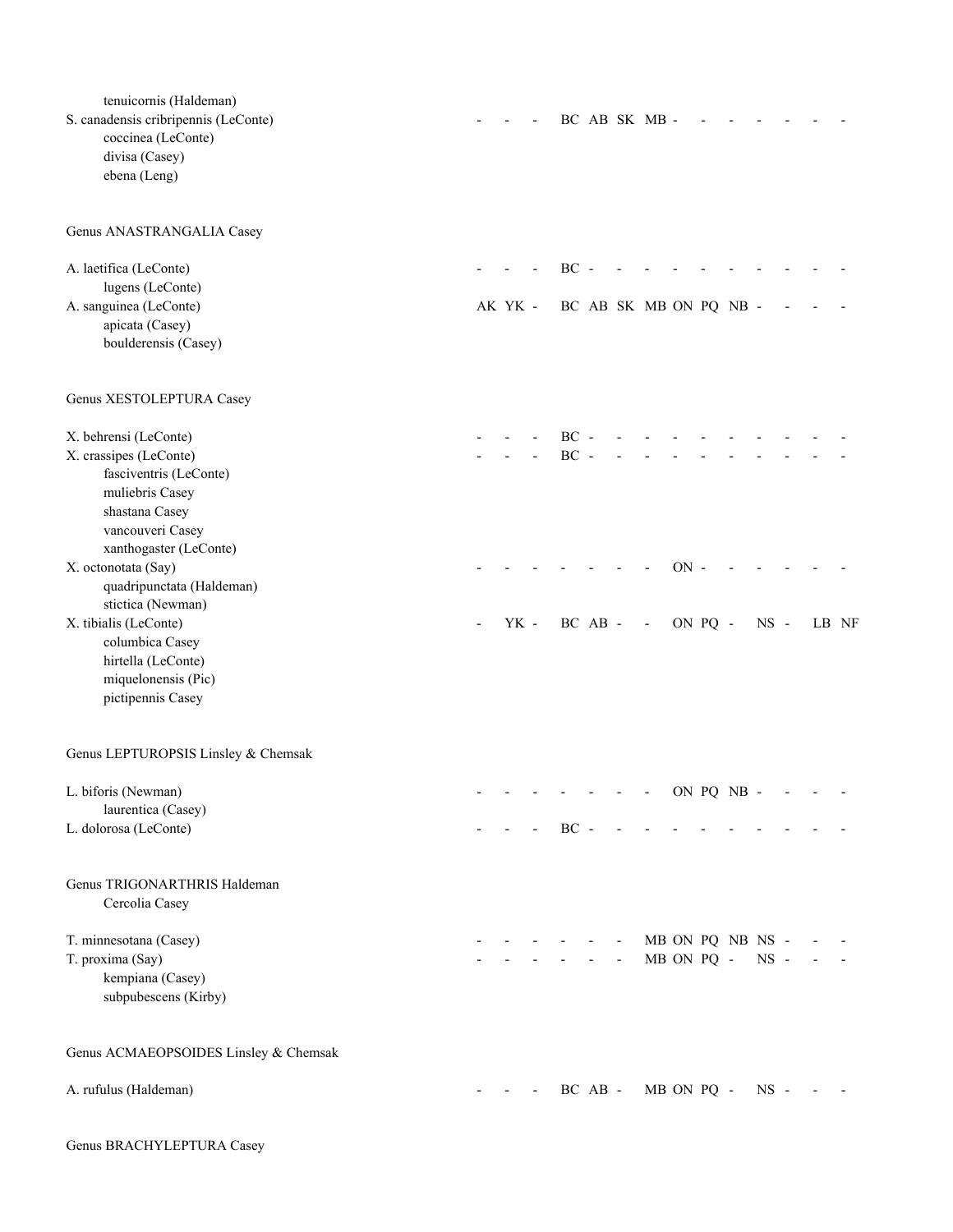| tenuicornis (Haldeman)<br>S. canadensis cribripennis (LeConte)<br>coccinea (LeConte)<br>divisa (Casey)<br>ebena (Leng) |         |                |         |                          | BC AB SK MB -            |            |                  |        |       |  |
|------------------------------------------------------------------------------------------------------------------------|---------|----------------|---------|--------------------------|--------------------------|------------|------------------|--------|-------|--|
| Genus ANASTRANGALIA Casey                                                                                              |         |                |         |                          |                          |            |                  |        |       |  |
| A. laetifica (LeConte)<br>lugens (LeConte)                                                                             |         | $BC -$         |         |                          |                          |            |                  |        |       |  |
| A. sanguinea (LeConte)<br>apicata (Casey)                                                                              | AK YK - |                |         |                          | BC AB SK MB ON PQ NB -   |            |                  |        |       |  |
| boulderensis (Casey)                                                                                                   |         |                |         |                          |                          |            |                  |        |       |  |
| Genus XESTOLEPTURA Casey                                                                                               |         |                |         |                          |                          |            |                  |        |       |  |
| X. behrensi (LeConte)                                                                                                  |         | $BC -$         |         |                          |                          |            |                  |        |       |  |
| X. crassipes (LeConte)<br>fasciventris (LeConte)                                                                       |         | $BC -$         |         |                          |                          |            |                  |        |       |  |
| muliebris Casey                                                                                                        |         |                |         |                          |                          |            |                  |        |       |  |
| shastana Casey                                                                                                         |         |                |         |                          |                          |            |                  |        |       |  |
| vancouveri Casey<br>xanthogaster (LeConte)                                                                             |         |                |         |                          |                          |            |                  |        |       |  |
| X. octonotata (Say)                                                                                                    |         |                |         |                          |                          | $ON -$     |                  |        |       |  |
| quadripunctata (Haldeman)                                                                                              |         |                |         |                          |                          |            |                  |        |       |  |
| stictica (Newman)<br>X. tibialis (LeConte)                                                                             | YK -    | BC AB -        |         |                          | $\overline{\phantom{a}}$ | ON PQ -    |                  | $NS -$ | LB NF |  |
| columbica Casey                                                                                                        |         |                |         |                          |                          |            |                  |        |       |  |
| hirtella (LeConte)                                                                                                     |         |                |         |                          |                          |            |                  |        |       |  |
| miquelonensis (Pic)<br>pictipennis Casey                                                                               |         |                |         |                          |                          |            |                  |        |       |  |
| Genus LEPTUROPSIS Linsley & Chemsak                                                                                    |         |                |         |                          |                          |            |                  |        |       |  |
| L. biforis (Newman)                                                                                                    |         | $\blacksquare$ |         |                          | $- - -$ ON PQ NB $-$     |            |                  |        |       |  |
| laurentica (Casey)<br>L. dolorosa (LeConte)                                                                            |         | $BC -$         |         |                          |                          |            |                  |        |       |  |
|                                                                                                                        |         |                |         |                          |                          |            |                  |        |       |  |
| Genus TRIGONARTHRIS Haldeman<br>Cercolia Casey                                                                         |         |                |         |                          |                          |            |                  |        |       |  |
| T. minnesotana (Casey)                                                                                                 |         |                |         | $\overline{\phantom{a}}$ |                          |            | MB ON PQ NB NS - |        |       |  |
| T. proxima (Say)                                                                                                       |         |                |         | $\overline{\phantom{a}}$ |                          | MB ON PQ - |                  | $NS -$ |       |  |
| kempiana (Casey)<br>subpubescens (Kirby)                                                                               |         |                |         |                          |                          |            |                  |        |       |  |
| Genus ACMAEOPSOIDES Linsley & Chemsak                                                                                  |         |                |         |                          |                          |            |                  |        |       |  |
| A. rufulus (Haldeman)                                                                                                  |         |                | BC AB - |                          | MB ON PQ -               |            |                  | $NS -$ |       |  |
|                                                                                                                        |         |                |         |                          |                          |            |                  |        |       |  |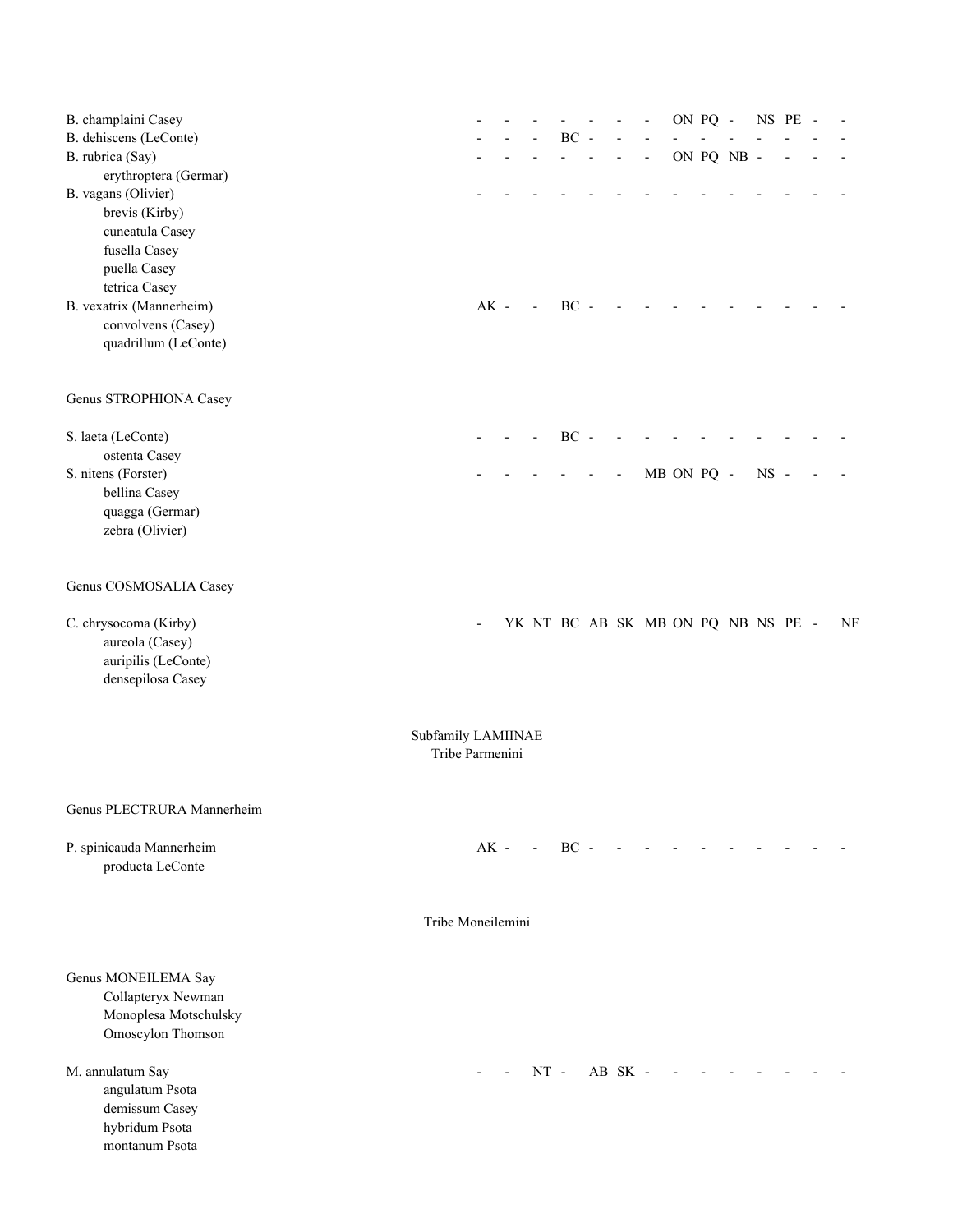| B. champlaini Casey<br>B. dehiscens (LeConte)<br>B. rubrica (Say)<br>erythroptera (Germar)<br>B. vagans (Olivier)<br>brevis (Kirby)<br>cuneatula Casey<br>fusella Casey<br>puella Casey<br>tetrica Casey<br>B. vexatrix (Mannerheim) | $AK -$ | $\overline{\phantom{a}}$ | $\rm BC$<br>$\overline{a}$<br>$BC -$ | $\overline{\phantom{a}}$ |         | $\overline{\phantom{a}}$           |            | ON PQ - | ON PQ NB - | NS PE  |  |    |
|--------------------------------------------------------------------------------------------------------------------------------------------------------------------------------------------------------------------------------------|--------|--------------------------|--------------------------------------|--------------------------|---------|------------------------------------|------------|---------|------------|--------|--|----|
| convolvens (Casey)<br>quadrillum (LeConte)<br>Genus STROPHIONA Casey                                                                                                                                                                 |        |                          |                                      |                          |         |                                    |            |         |            |        |  |    |
|                                                                                                                                                                                                                                      |        |                          |                                      |                          |         |                                    |            |         |            |        |  |    |
| S. laeta (LeConte)<br>ostenta Casey                                                                                                                                                                                                  |        |                          | $BC -$                               |                          |         |                                    |            |         |            |        |  |    |
| S. nitens (Forster)<br>bellina Casey<br>quagga (Germar)<br>zebra (Olivier)                                                                                                                                                           |        |                          |                                      |                          |         |                                    | MB ON PQ - |         |            | $NS -$ |  |    |
| Genus COSMOSALIA Casey                                                                                                                                                                                                               |        |                          |                                      |                          |         |                                    |            |         |            |        |  |    |
| C. chrysocoma (Kirby)<br>aureola (Casey)<br>auripilis (LeConte)<br>densepilosa Casey                                                                                                                                                 |        |                          |                                      |                          |         | YK NT BC AB SK MB ON PQ NB NS PE - |            |         |            |        |  | NF |
| Subfamily LAMIINAE<br>Tribe Parmenini                                                                                                                                                                                                |        |                          |                                      |                          |         |                                    |            |         |            |        |  |    |
| Genus PLECTRURA Mannerheim                                                                                                                                                                                                           |        |                          |                                      |                          |         |                                    |            |         |            |        |  |    |
| P. spinicauda Mannerheim<br>producta LeConte                                                                                                                                                                                         | $AK -$ | $\sim$                   | $BC -$                               |                          |         |                                    |            |         |            |        |  |    |
| Tribe Moneilemini                                                                                                                                                                                                                    |        |                          |                                      |                          |         |                                    |            |         |            |        |  |    |
| Genus MONEILEMA Say<br>Collapteryx Newman<br>Monoplesa Motschulsky<br>Omoscylon Thomson                                                                                                                                              |        |                          |                                      |                          |         |                                    |            |         |            |        |  |    |
| M. annulatum Say<br>angulatum Psota<br>demissum Casey<br>hybridum Psota<br>montanum Psota                                                                                                                                            |        | $NT -$                   |                                      |                          | AB SK - |                                    |            |         |            |        |  |    |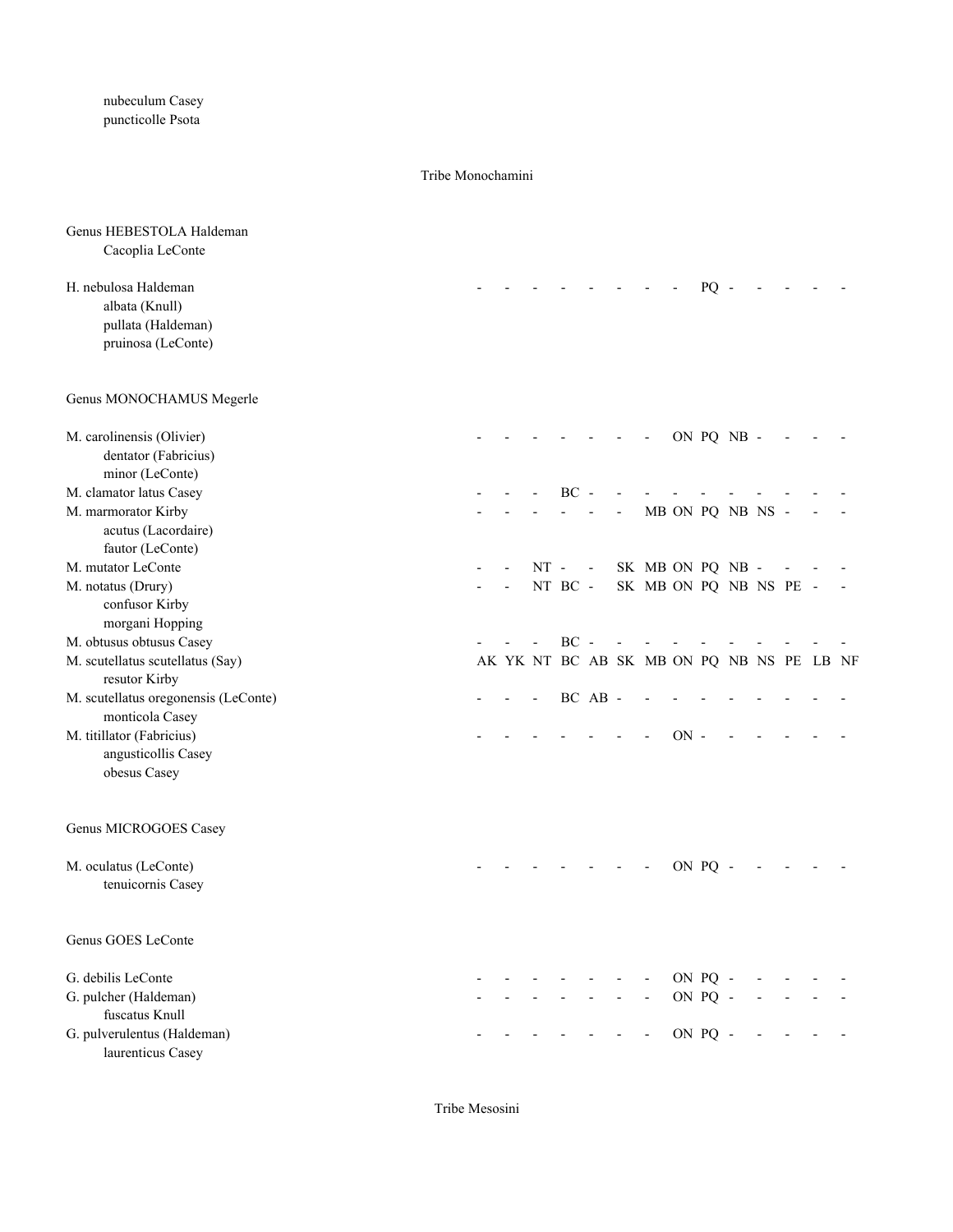nubeculum Casey puncticolle Psota

### Tribe Monochamini

| Genus HEBESTOLA Haldeman<br>Cacoplia LeConte |                                           |        |         |            |                      |        |         |                |  |  |
|----------------------------------------------|-------------------------------------------|--------|---------|------------|----------------------|--------|---------|----------------|--|--|
|                                              |                                           |        |         |            |                      |        |         |                |  |  |
| H. nebulosa Haldeman                         |                                           |        |         |            |                      |        | $PQ -$  |                |  |  |
| albata (Knull)                               |                                           |        |         |            |                      |        |         |                |  |  |
| pullata (Haldeman)<br>pruinosa (LeConte)     |                                           |        |         |            |                      |        |         |                |  |  |
|                                              |                                           |        |         |            |                      |        |         |                |  |  |
| Genus MONOCHAMUS Megerle                     |                                           |        |         |            |                      |        |         |                |  |  |
| M. carolinensis (Olivier)                    |                                           |        |         |            |                      |        |         | ON PQ NB -     |  |  |
| dentator (Fabricius)                         |                                           |        |         |            |                      |        |         |                |  |  |
| minor (LeConte)                              |                                           |        |         |            |                      |        |         |                |  |  |
| M. clamator latus Casey                      |                                           |        | BC      |            |                      |        |         |                |  |  |
| M. marmorator Kirby                          |                                           |        |         |            |                      |        |         | MB ON PQ NB NS |  |  |
| acutus (Lacordaire)                          |                                           |        |         |            |                      |        |         |                |  |  |
| fautor (LeConte)                             |                                           |        |         |            |                      |        |         |                |  |  |
| M. mutator LeConte                           |                                           | $NT -$ |         | $\sim$ $-$ | SK MB ON PQ NB -     |        |         |                |  |  |
| M. notatus (Drury)                           |                                           |        | NT BC - |            | SK MB ON PQ NB NS PE |        |         |                |  |  |
| confusor Kirby                               |                                           |        |         |            |                      |        |         |                |  |  |
| morgani Hopping                              |                                           |        |         |            |                      |        |         |                |  |  |
| M. obtusus obtusus Casey                     |                                           |        | $BC -$  |            |                      |        |         |                |  |  |
| M. scutellatus scutellatus (Say)             | AK YK NT BC AB SK MB ON PQ NB NS PE LB NF |        |         |            |                      |        |         |                |  |  |
| resutor Kirby                                |                                           |        |         |            |                      |        |         |                |  |  |
| M. scutellatus oregonensis (LeConte)         |                                           |        |         | BC AB -    |                      |        |         |                |  |  |
| monticola Casey                              |                                           |        |         |            |                      |        |         |                |  |  |
| M. titillator (Fabricius)                    |                                           |        |         |            |                      | $ON -$ |         |                |  |  |
| angusticollis Casey                          |                                           |        |         |            |                      |        |         |                |  |  |
| obesus Casey                                 |                                           |        |         |            |                      |        |         |                |  |  |
| Genus MICROGOES Casey                        |                                           |        |         |            |                      |        |         |                |  |  |
| M. oculatus (LeConte)                        |                                           |        |         |            |                      |        | ON PQ   |                |  |  |
| tenuicornis Casey                            |                                           |        |         |            |                      |        |         |                |  |  |
| Genus GOES LeConte                           |                                           |        |         |            |                      |        |         |                |  |  |
| G. debilis LeConte                           |                                           |        |         |            |                      |        | ON PQ - |                |  |  |
| G. pulcher (Haldeman)                        |                                           |        |         |            |                      |        | ON PQ - |                |  |  |
| fuscatus Knull                               |                                           |        |         |            |                      |        |         |                |  |  |
| G. pulverulentus (Haldeman)                  |                                           |        |         |            |                      |        | ON PQ - |                |  |  |
| laurenticus Casey                            |                                           |        |         |            |                      |        |         |                |  |  |

Tribe Mesosini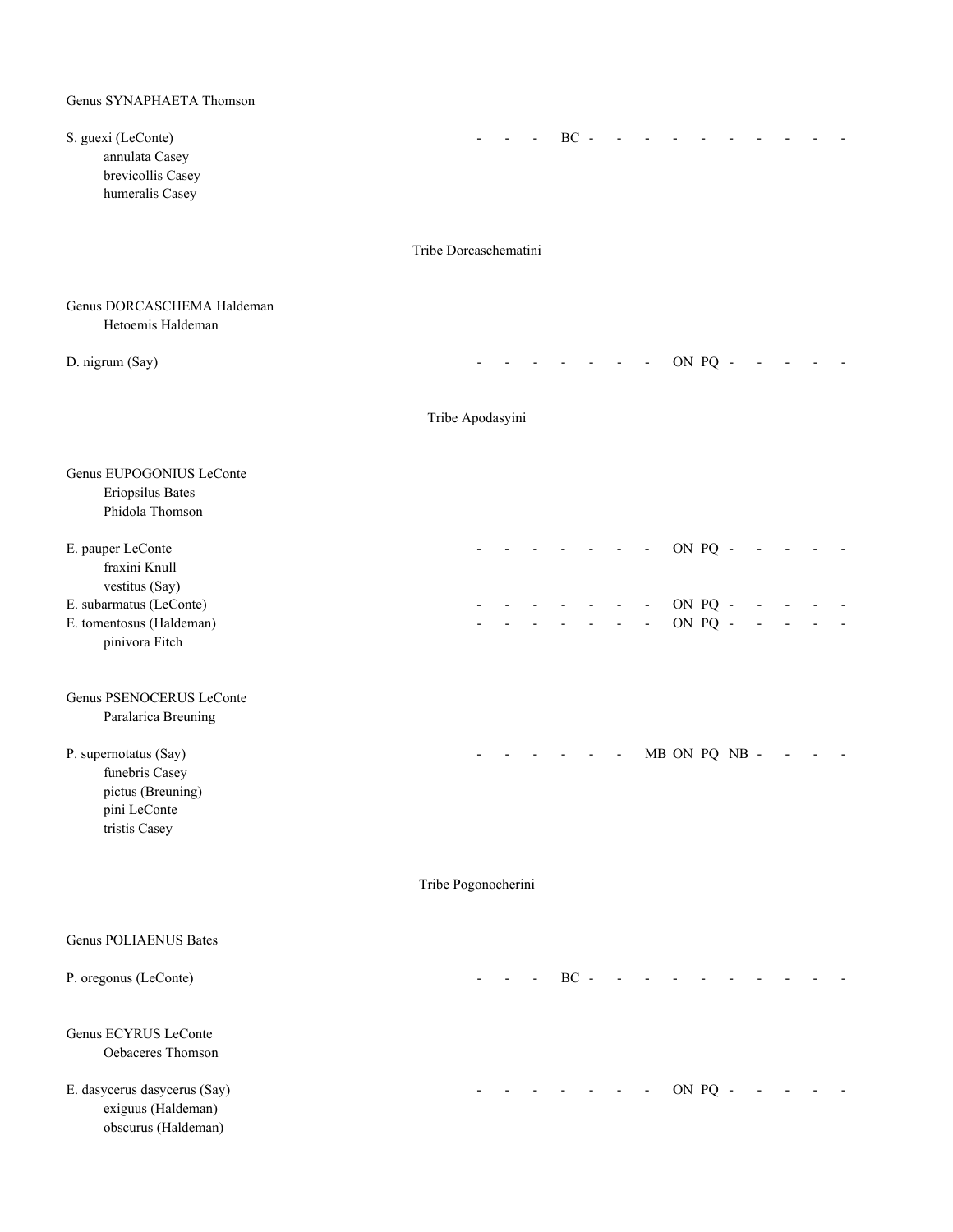| S. guexi (LeConte)<br>annulata Casey<br>brevicollis Casey<br>humeralis Casey                  |                       |             | $BC -$                               |                          |               |  |  |  |
|-----------------------------------------------------------------------------------------------|-----------------------|-------------|--------------------------------------|--------------------------|---------------|--|--|--|
|                                                                                               | Tribe Dorcaschematini |             |                                      |                          |               |  |  |  |
|                                                                                               |                       |             |                                      |                          |               |  |  |  |
| Genus DORCASCHEMA Haldeman<br>Hetoemis Haldeman                                               |                       |             |                                      |                          |               |  |  |  |
| D. nigrum (Say)                                                                               |                       |             |                                      |                          | ON PQ -       |  |  |  |
|                                                                                               | Tribe Apodasyini      |             |                                      |                          |               |  |  |  |
| Genus EUPOGONIUS LeConte<br>Eriopsilus Bates<br>Phidola Thomson                               |                       |             |                                      |                          |               |  |  |  |
| E. pauper LeConte<br>fraxini Knull<br>vestitus (Say)                                          |                       |             |                                      |                          | ON PQ -       |  |  |  |
| E. subarmatus (LeConte)                                                                       |                       |             |                                      |                          | ON PQ -       |  |  |  |
| E. tomentosus (Haldeman)<br>pinivora Fitch                                                    |                       |             |                                      | $\overline{\phantom{a}}$ | ON PQ -       |  |  |  |
| Genus PSENOCERUS LeConte<br>Paralarica Breuning                                               |                       |             |                                      |                          |               |  |  |  |
| P. supernotatus (Say)<br>funebris Casey<br>pictus (Breuning)<br>pini LeConte<br>tristis Casey |                       |             |                                      |                          | MB ON PQ NB - |  |  |  |
|                                                                                               | Tribe Pogonocherini   |             |                                      |                          |               |  |  |  |
| <b>Genus POLIAENUS Bates</b>                                                                  |                       |             |                                      |                          |               |  |  |  |
| P. oregonus (LeConte)                                                                         |                       | $-BC - - -$ |                                      |                          |               |  |  |  |
| Genus ECYRUS LeConte<br>Oebaceres Thomson                                                     |                       |             |                                      |                          |               |  |  |  |
| E. dasycerus dasycerus (Say)<br>exiguus (Haldeman)<br>obscurus (Haldeman)                     |                       |             | and the second control of the second |                          | ON PQ -       |  |  |  |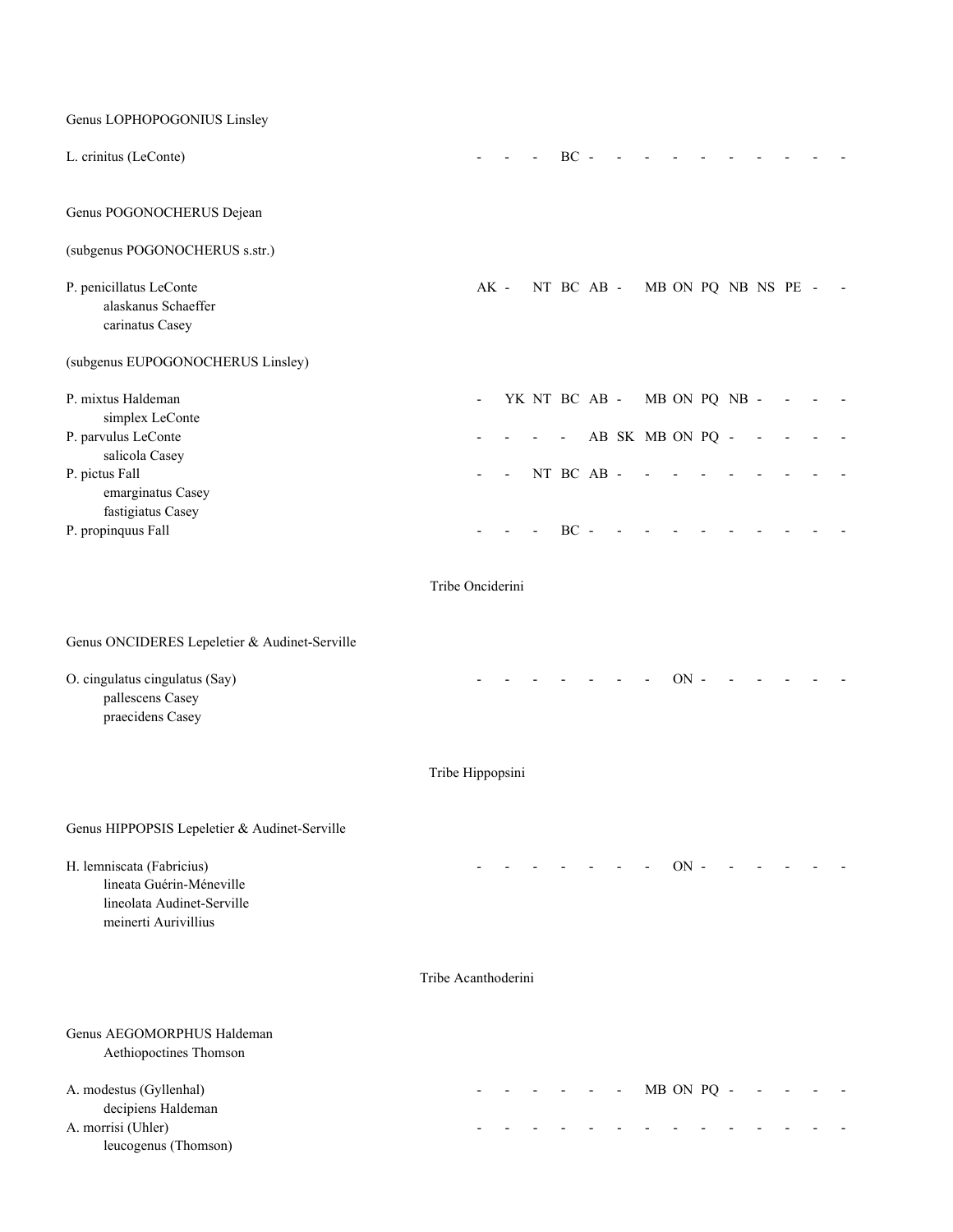Genus LOPHOPOGONIUS Linsley L. crinitus (LeConte) - - - BC - - - - - - - - - - Genus POGONOCHERUS Dejean (subgenus POGONOCHERUS s.str.) P. penicillatus LeConte **AK** - NT BC AB - MB ON PO NB NS PE - alaskanus Schaeffer carinatus Casey (subgenus EUPOGONOCHERUS Linsley) P. mixtus Haldeman **- WE NT BC AB - MB ON PQ NB -**  simplex LeConte P. parvulus LeConte  $\overline{P}$ . parvulus LeConte  $\overline{P}$  salicola Casey P. pictus Fall - - NT BC AB - - - - - - - - emarginatus Casey fastigiatus Casey P. propinquus Fall **Example 18** - - - BC - - Tribe Onciderini Genus ONCIDERES Lepeletier & Audinet-Serville O. cingulatus cingulatus (Say) and the contract of the contract of the contract of the contract of the contract of the contract of the contract of the contract of the contract of the contract of the contract of the contrac pallescens Casey praecidens Casey Tribe Hippopsini Genus HIPPOPSIS Lepeletier & Audinet-Serville H. lemniscata (Fabricius) and the set of the set of the set of the set of the set of the set of the set of the set of the set of the set of the set of the set of the set of the set of the set of the set of the set of the s lineata Guérin-Méneville lineolata Audinet-Serville meinerti Aurivillius Tribe Acanthoderini Genus AEGOMORPHUS Haldeman Aethiopoctines Thomson A. modestus (Gyllenhal)  $\qquad \qquad - \qquad - \qquad - \qquad - \qquad - \qquad - \qquad \qquad \text{MB ON PQ} \qquad - \qquad - \qquad - \qquad - \qquad - \qquad$  decipiens Haldeman A. morrisi (Uhler) - - - - - - - - - - - - - -

leucogenus (Thomson)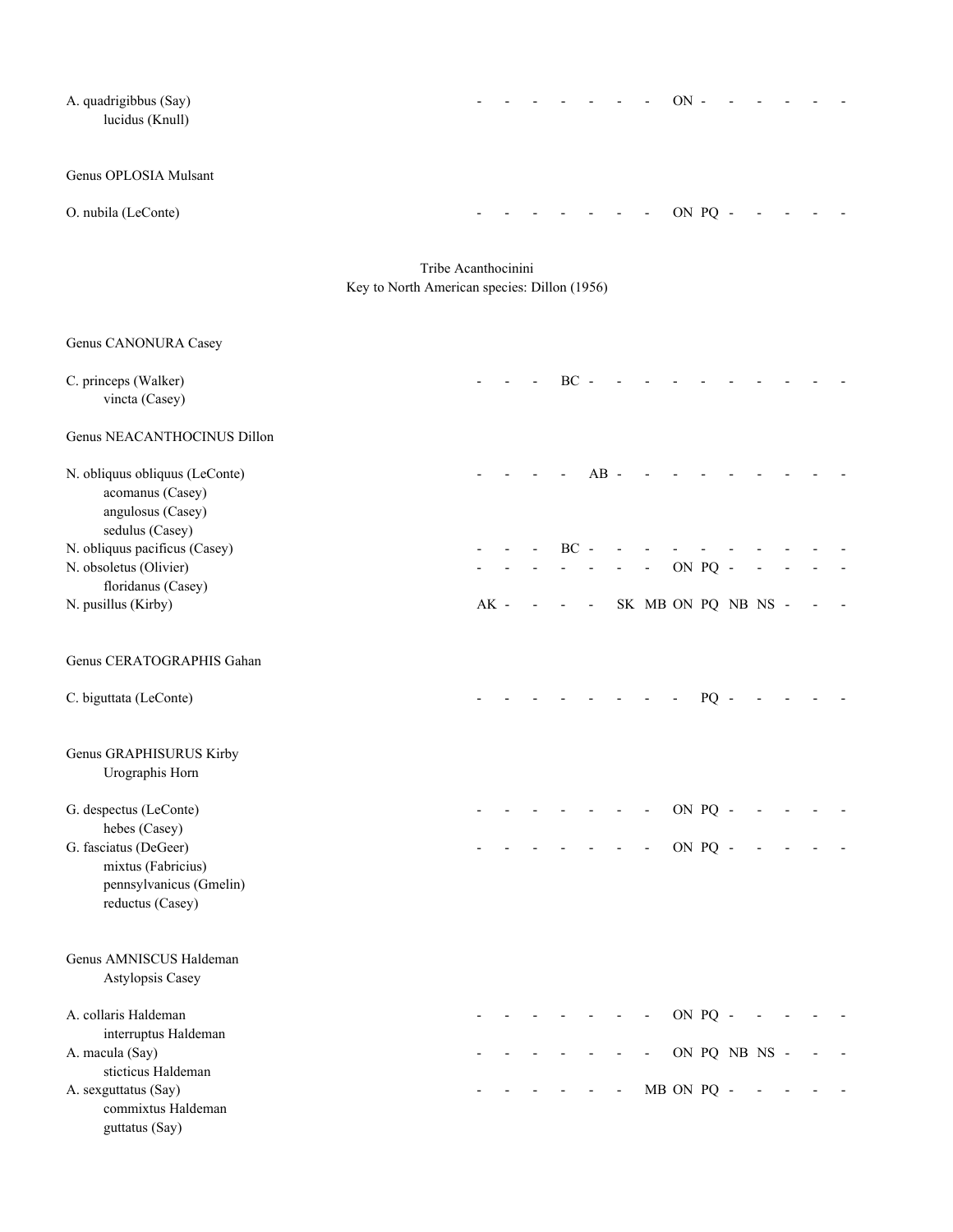| A. quadrigibbus (Say)<br>lucidus (Knull)                                                |                                                                     |        |  |        |                          |                |                          | $ON -$     |         |               |  |  |
|-----------------------------------------------------------------------------------------|---------------------------------------------------------------------|--------|--|--------|--------------------------|----------------|--------------------------|------------|---------|---------------|--|--|
| Genus OPLOSIA Mulsant                                                                   |                                                                     |        |  |        |                          |                |                          |            |         |               |  |  |
| O. nubila (LeConte)                                                                     |                                                                     |        |  |        |                          |                |                          |            | ON PQ - |               |  |  |
|                                                                                         | Tribe Acanthocinini<br>Key to North American species: Dillon (1956) |        |  |        |                          |                |                          |            |         |               |  |  |
| Genus CANONURA Casey                                                                    |                                                                     |        |  |        |                          |                |                          |            |         |               |  |  |
| C. princeps (Walker)<br>vincta (Casey)                                                  |                                                                     |        |  | $BC -$ |                          |                |                          |            |         |               |  |  |
| Genus NEACANTHOCINUS Dillon                                                             |                                                                     |        |  |        |                          |                |                          |            |         |               |  |  |
| N. obliquus obliquus (LeConte)<br>acomanus (Casey)<br>angulosus (Casey)                 |                                                                     |        |  |        | $AB -$                   |                |                          |            |         |               |  |  |
| sedulus (Casey)<br>N. obliquus pacificus (Casey)                                        |                                                                     |        |  | $BC -$ |                          |                |                          |            |         |               |  |  |
| N. obsoletus (Olivier)<br>floridanus (Casey)                                            |                                                                     |        |  |        |                          |                |                          | ON PQ -    |         |               |  |  |
| N. pusillus (Kirby)                                                                     |                                                                     | $AK -$ |  |        | $\overline{\phantom{a}}$ |                | SK MB ON PQ NB NS -      |            |         |               |  |  |
| Genus CERATOGRAPHIS Gahan                                                               |                                                                     |        |  |        |                          |                |                          |            |         |               |  |  |
| C. biguttata (LeConte)                                                                  |                                                                     |        |  |        |                          |                |                          |            | PQ      |               |  |  |
| Genus GRAPHISURUS Kirby<br>Urographis Horn                                              |                                                                     |        |  |        |                          |                |                          |            |         |               |  |  |
| G. despectus (LeConte)                                                                  |                                                                     |        |  |        |                          |                | $\overline{\phantom{a}}$ | ON PQ -    |         |               |  |  |
| hebes (Casey)<br>G. fasciatus (DeGeer)<br>mixtus (Fabricius)<br>pennsylvanicus (Gmelin) |                                                                     |        |  |        |                          |                | $\overline{\phantom{a}}$ | ON PQ -    |         |               |  |  |
| reductus (Casey)                                                                        |                                                                     |        |  |        |                          |                |                          |            |         |               |  |  |
| Genus AMNISCUS Haldeman<br>Astylopsis Casey                                             |                                                                     |        |  |        |                          |                |                          |            |         |               |  |  |
| A. collaris Haldeman<br>interruptus Haldeman                                            |                                                                     |        |  |        |                          |                |                          | ON PQ -    |         |               |  |  |
| A. macula (Say)                                                                         |                                                                     |        |  |        |                          |                | $\overline{\phantom{a}}$ |            |         | ON PQ NB NS - |  |  |
| sticticus Haldeman<br>A. sexguttatus (Say)<br>commixtus Haldeman<br>guttatus (Say)      |                                                                     |        |  |        |                          | $\blacksquare$ |                          | MB ON PQ - |         |               |  |  |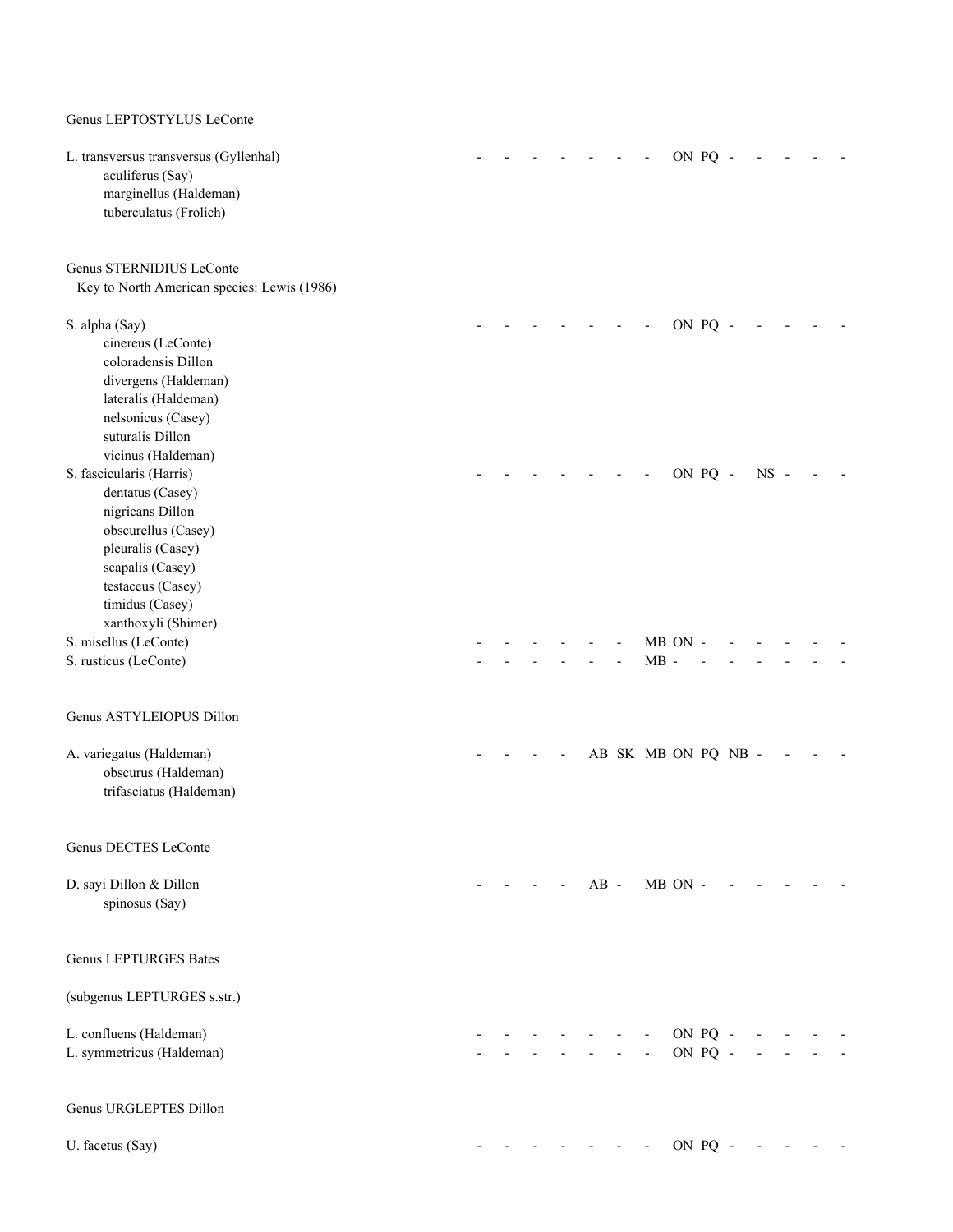### Genus LEPTOSTYLUS LeConte

| L. transversus transversus (Gyllenhal)<br>aculiferus (Say)<br>marginellus (Haldeman)<br>tuberculatus (Frolich)                                                                                  |  |  |        |                          | ON PQ   |                    |        |  |  |
|-------------------------------------------------------------------------------------------------------------------------------------------------------------------------------------------------|--|--|--------|--------------------------|---------|--------------------|--------|--|--|
| Genus STERNIDIUS LeConte<br>Key to North American species: Lewis (1986)                                                                                                                         |  |  |        |                          |         |                    |        |  |  |
| S. alpha (Say)<br>cinereus (LeConte)<br>coloradensis Dillon<br>divergens (Haldeman)<br>lateralis (Haldeman)<br>nelsonicus (Casey)<br>suturalis Dillon<br>vicinus (Haldeman)                     |  |  |        |                          | ON PQ   |                    |        |  |  |
| S. fascicularis (Harris)<br>dentatus (Casey)<br>nigricans Dillon<br>obscurellus (Casey)<br>pleuralis (Casey)<br>scapalis (Casey)<br>testaceus (Casey)<br>timidus (Casey)<br>xanthoxyli (Shimer) |  |  |        |                          |         | ON PQ -            | $NS -$ |  |  |
| S. misellus (LeConte)<br>S. rusticus (LeConte)                                                                                                                                                  |  |  |        | $MB -$                   | MB ON - |                    |        |  |  |
| Genus ASTYLEIOPUS Dillon<br>A. variegatus (Haldeman)<br>obscurus (Haldeman)<br>trifasciatus (Haldeman)                                                                                          |  |  |        | AB SK MB ON PQ NB -      |         |                    |        |  |  |
| Genus DECTES LeConte                                                                                                                                                                            |  |  |        |                          |         |                    |        |  |  |
| D. sayi Dillon & Dillon<br>spinosus (Say)                                                                                                                                                       |  |  | $AB -$ |                          | MB ON - |                    |        |  |  |
| <b>Genus LEPTURGES Bates</b>                                                                                                                                                                    |  |  |        |                          |         |                    |        |  |  |
| (subgenus LEPTURGES s.str.)                                                                                                                                                                     |  |  |        |                          |         |                    |        |  |  |
| L. confluens (Haldeman)<br>L. symmetricus (Haldeman)                                                                                                                                            |  |  |        | $\overline{\phantom{a}}$ |         | ON PQ -<br>ON PQ - |        |  |  |
| Genus URGLEPTES Dillon                                                                                                                                                                          |  |  |        |                          |         |                    |        |  |  |
| U. facetus (Say)                                                                                                                                                                                |  |  |        |                          |         | ON PQ -            |        |  |  |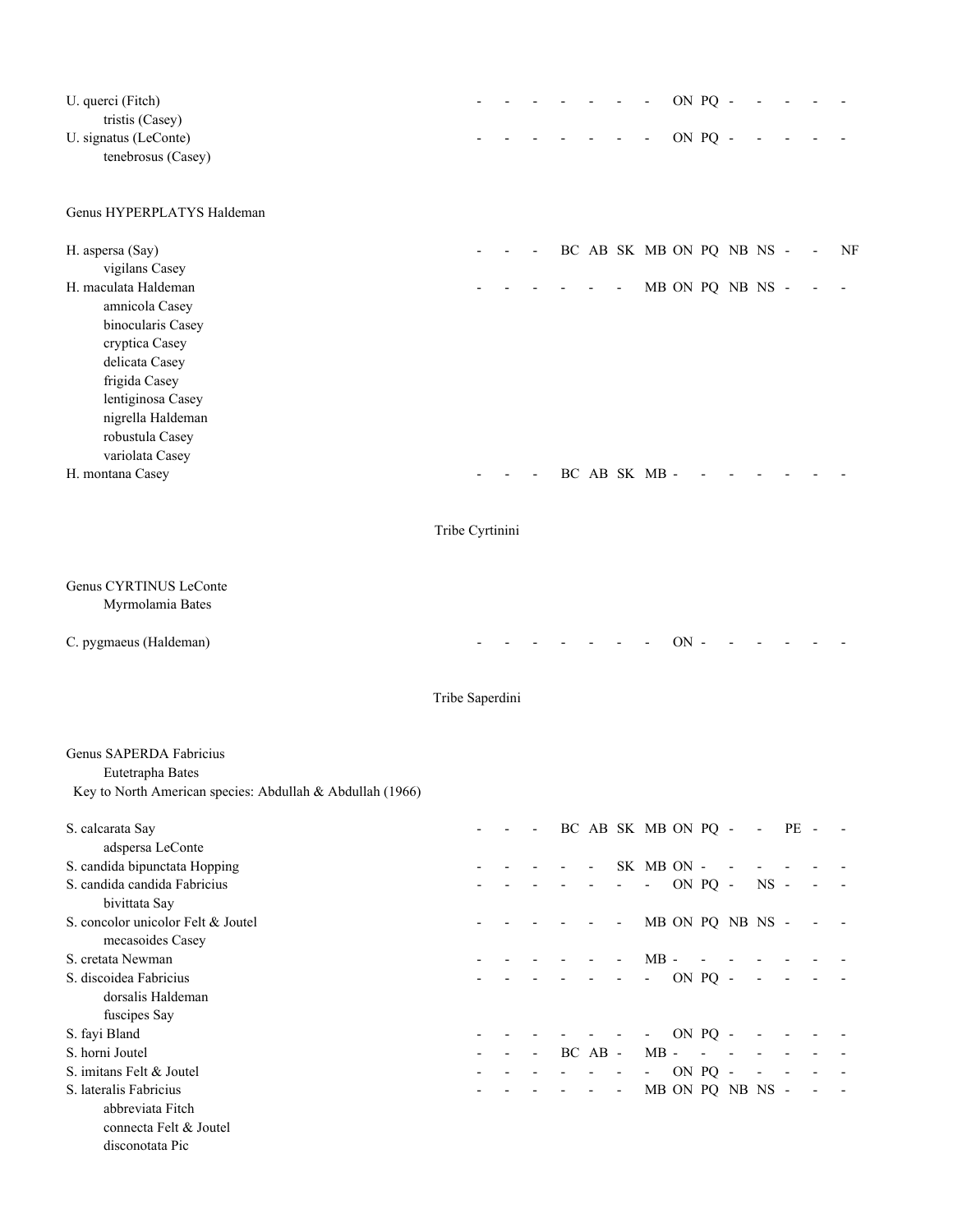| U. querci (Fitch)<br>tristis (Casey)<br>U. signatus (LeConte)<br>tenebrosus (Casey) |                 |  |                          |            |                          |                          | $\blacksquare$            |        | ON PQ -<br>ON PQ -       |                  |                          |                          |                          |
|-------------------------------------------------------------------------------------|-----------------|--|--------------------------|------------|--------------------------|--------------------------|---------------------------|--------|--------------------------|------------------|--------------------------|--------------------------|--------------------------|
| Genus HYPERPLATYS Haldeman                                                          |                 |  |                          |            |                          |                          |                           |        |                          |                  |                          |                          |                          |
| H. aspersa (Say)                                                                    |                 |  |                          |            |                          |                          | BC AB SK MB ON PQ NB NS - |        |                          |                  |                          |                          | NF                       |
| vigilans Casey                                                                      |                 |  |                          |            |                          |                          |                           |        |                          |                  |                          |                          |                          |
| H. maculata Haldeman                                                                |                 |  |                          |            |                          | $\overline{a}$           |                           |        |                          | MB ON PQ NB NS - |                          |                          |                          |
| amnicola Casey                                                                      |                 |  |                          |            |                          |                          |                           |        |                          |                  |                          |                          |                          |
| binocularis Casey                                                                   |                 |  |                          |            |                          |                          |                           |        |                          |                  |                          |                          |                          |
| cryptica Casey<br>delicata Casey                                                    |                 |  |                          |            |                          |                          |                           |        |                          |                  |                          |                          |                          |
| frigida Casey                                                                       |                 |  |                          |            |                          |                          |                           |        |                          |                  |                          |                          |                          |
| lentiginosa Casey                                                                   |                 |  |                          |            |                          |                          |                           |        |                          |                  |                          |                          |                          |
| nigrella Haldeman                                                                   |                 |  |                          |            |                          |                          |                           |        |                          |                  |                          |                          |                          |
| robustula Casey                                                                     |                 |  |                          |            |                          |                          |                           |        |                          |                  |                          |                          |                          |
| variolata Casey                                                                     |                 |  |                          |            |                          |                          |                           |        |                          |                  |                          |                          |                          |
| H. montana Casey                                                                    |                 |  |                          |            |                          |                          | BC AB SK MB -             |        |                          |                  |                          |                          |                          |
|                                                                                     | Tribe Cyrtinini |  |                          |            |                          |                          |                           |        |                          |                  |                          |                          |                          |
| Genus CYRTINUS LeConte                                                              |                 |  |                          |            |                          |                          |                           |        |                          |                  |                          |                          |                          |
| Myrmolamia Bates                                                                    |                 |  |                          |            |                          |                          |                           |        |                          |                  |                          |                          |                          |
| C. pygmaeus (Haldeman)                                                              |                 |  |                          |            |                          |                          |                           | $ON -$ |                          |                  |                          |                          |                          |
|                                                                                     | Tribe Saperdini |  |                          |            |                          |                          |                           |        |                          |                  |                          |                          |                          |
| Genus SAPERDA Fabricius                                                             |                 |  |                          |            |                          |                          |                           |        |                          |                  |                          |                          |                          |
| Eutetrapha Bates                                                                    |                 |  |                          |            |                          |                          |                           |        |                          |                  |                          |                          |                          |
| Key to North American species: Abdullah & Abdullah (1966)                           |                 |  |                          |            |                          |                          |                           |        |                          |                  |                          |                          |                          |
| S. calcarata Say                                                                    |                 |  | $\overline{\phantom{a}}$ |            |                          |                          | BC AB SK MB ON PQ -       |        |                          |                  | $\overline{\phantom{a}}$ | PE -                     |                          |
| adspersa LeConte                                                                    |                 |  |                          |            |                          |                          | SK MB ON -                |        |                          |                  |                          |                          |                          |
| S. candida bipunctata Hopping<br>S. candida candida Fabricius                       |                 |  |                          |            |                          | $\frac{1}{2}$            | $\overline{\phantom{a}}$  |        | ON PQ -                  |                  | $NS -$                   |                          |                          |
| bivittata Say                                                                       |                 |  |                          |            |                          |                          |                           |        |                          |                  |                          |                          |                          |
| S. concolor unicolor Felt & Joutel                                                  |                 |  |                          |            |                          | $\overline{\phantom{a}}$ |                           |        |                          | MB ON PQ NB NS - |                          |                          |                          |
| mecasoides Casey                                                                    |                 |  |                          |            |                          |                          |                           |        |                          |                  |                          |                          |                          |
| S. cretata Newman                                                                   |                 |  |                          |            |                          |                          | $MB -$                    |        | $\overline{\phantom{a}}$ | $\sim$ $-$       |                          |                          |                          |
| S. discoidea Fabricius                                                              |                 |  |                          |            |                          | $\overline{\phantom{a}}$ | $\omega_{\rm{max}}$       |        | ON PQ -                  |                  | $\overline{\phantom{a}}$ | $\sim$                   |                          |
| dorsalis Haldeman                                                                   |                 |  |                          |            |                          |                          |                           |        |                          |                  |                          |                          |                          |
| fuscipes Say                                                                        |                 |  |                          |            |                          |                          |                           |        |                          |                  |                          |                          |                          |
| S. fayi Bland                                                                       |                 |  |                          | $\sim 100$ |                          |                          | $\overline{\phantom{a}}$  |        | ON PQ -                  |                  |                          |                          |                          |
| S. horni Joutel                                                                     |                 |  | $\blacksquare$           |            | BC AB -                  |                          | $MB -$                    |        | $\overline{\phantom{a}}$ | $\blacksquare$   | $\blacksquare$           |                          |                          |
| S. imitans Felt & Joutel                                                            |                 |  |                          |            |                          |                          | $\overline{\phantom{a}}$  |        | ON PQ -                  |                  | $\overline{\phantom{a}}$ | $\overline{\phantom{a}}$ |                          |
| S. lateralis Fabricius<br>abbreviata Fitch                                          |                 |  |                          |            | $\overline{\phantom{a}}$ | $\overline{\phantom{a}}$ |                           |        |                          | MB ON PQ NB NS - |                          |                          | $\overline{\phantom{a}}$ |
| connecta Felt & Joutel                                                              |                 |  |                          |            |                          |                          |                           |        |                          |                  |                          |                          |                          |
| disconotata Pic                                                                     |                 |  |                          |            |                          |                          |                           |        |                          |                  |                          |                          |                          |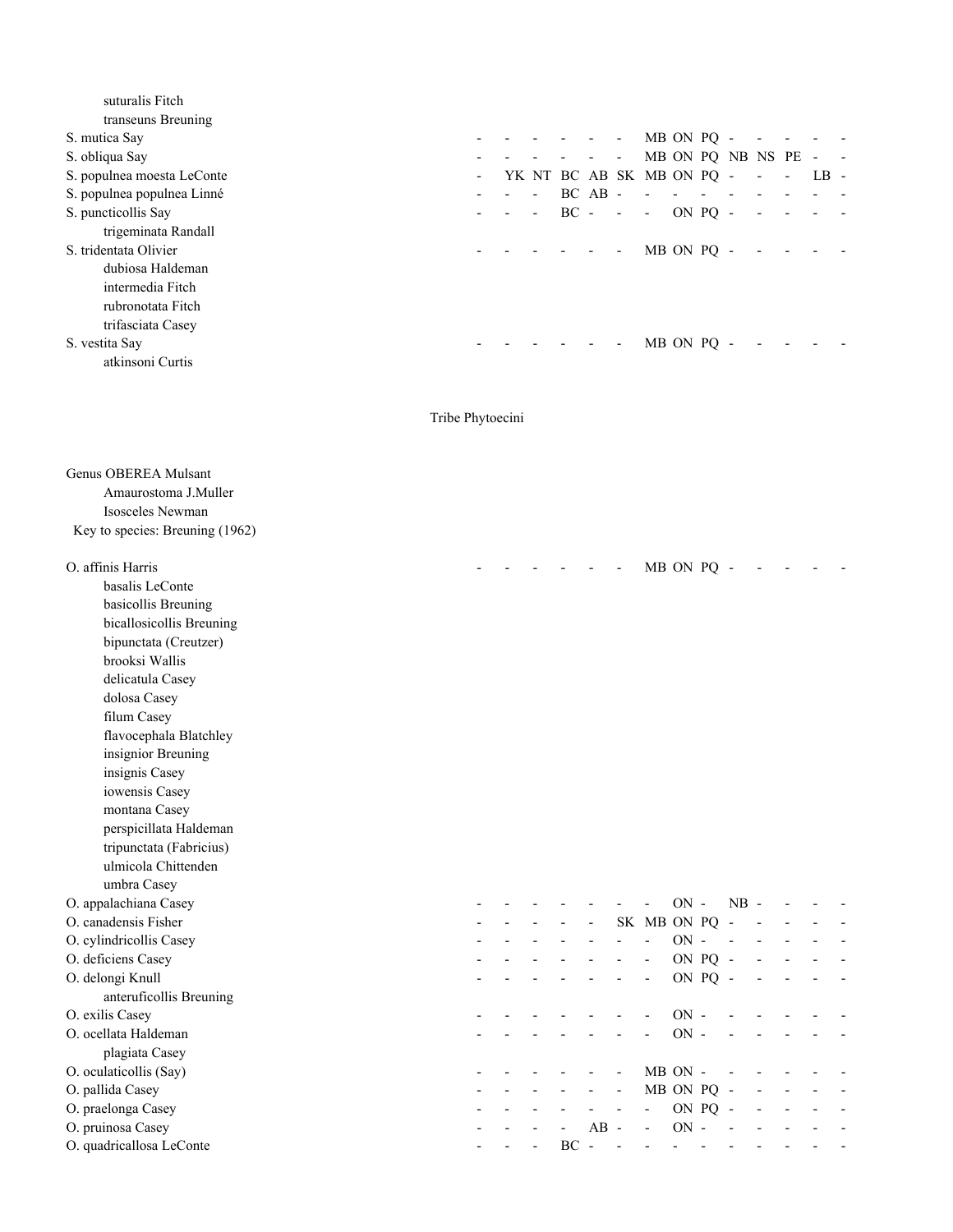| suturalis Fitch            |                |  |                                |             |                          |                           |            |                          |                     |        |        |
|----------------------------|----------------|--|--------------------------------|-------------|--------------------------|---------------------------|------------|--------------------------|---------------------|--------|--------|
| transeuns Breuning         |                |  |                                |             |                          |                           |            |                          |                     |        |        |
| S. mutica Say              |                |  | and the company of the company |             |                          | MB ON PQ -                |            |                          |                     |        |        |
| S. obliqua Say             |                |  |                                | $\sim$      | $\overline{\phantom{a}}$ |                           |            |                          | MB ON PQ NB NS PE - |        | $\sim$ |
| S. populnea moesta LeConte | $\blacksquare$ |  |                                |             |                          | YK NT BC AB SK MB ON PQ - |            | <b>Contract Contract</b> |                     | $LB -$ |        |
| S. populnea populnea Linné |                |  |                                | $BC$ $AB$ - |                          | $\overline{\phantom{a}}$  |            |                          |                     |        |        |
| S. puncticollis Say        |                |  |                                | $BC - -$    |                          | $\overline{\phantom{a}}$  | ON PO -    |                          |                     |        |        |
| trigeminata Randall        |                |  |                                |             |                          |                           |            |                          |                     |        |        |
| S. tridentata Olivier      |                |  |                                |             |                          |                           | MB ON PO - |                          |                     |        |        |
| dubiosa Haldeman           |                |  |                                |             |                          |                           |            |                          |                     |        |        |
| intermedia Fitch           |                |  |                                |             |                          |                           |            |                          |                     |        |        |
| rubronotata Fitch          |                |  |                                |             |                          |                           |            |                          |                     |        |        |
| trifasciata Casey          |                |  |                                |             |                          |                           |            |                          |                     |        |        |
| S. vestita Say             |                |  |                                |             |                          |                           | MB ON PO   |                          |                     |        |        |
| atkinsoni Curtis           |                |  |                                |             |                          |                           |            |                          |                     |        |        |

# Tribe Phytoecini

| <b>Genus OBEREA Mulsant</b><br>Amaurostoma J.Muller |  |                          |    |                          |                |                |            |         |                          |  |  |
|-----------------------------------------------------|--|--------------------------|----|--------------------------|----------------|----------------|------------|---------|--------------------------|--|--|
| Isosceles Newman                                    |  |                          |    |                          |                |                |            |         |                          |  |  |
| Key to species: Breuning (1962)                     |  |                          |    |                          |                |                |            |         |                          |  |  |
| O. affinis Harris                                   |  |                          |    |                          |                |                | MB ON PQ - |         |                          |  |  |
| basalis LeConte                                     |  |                          |    |                          |                |                |            |         |                          |  |  |
| basicollis Breuning                                 |  |                          |    |                          |                |                |            |         |                          |  |  |
| bicallosicollis Breuning                            |  |                          |    |                          |                |                |            |         |                          |  |  |
| bipunctata (Creutzer)                               |  |                          |    |                          |                |                |            |         |                          |  |  |
| brooksi Wallis                                      |  |                          |    |                          |                |                |            |         |                          |  |  |
| delicatula Casey                                    |  |                          |    |                          |                |                |            |         |                          |  |  |
| dolosa Casey                                        |  |                          |    |                          |                |                |            |         |                          |  |  |
| filum Casey                                         |  |                          |    |                          |                |                |            |         |                          |  |  |
| flavocephala Blatchley                              |  |                          |    |                          |                |                |            |         |                          |  |  |
| insignior Breuning                                  |  |                          |    |                          |                |                |            |         |                          |  |  |
| insignis Casey                                      |  |                          |    |                          |                |                |            |         |                          |  |  |
| iowensis Casey                                      |  |                          |    |                          |                |                |            |         |                          |  |  |
| montana Casey                                       |  |                          |    |                          |                |                |            |         |                          |  |  |
| perspicillata Haldeman                              |  |                          |    |                          |                |                |            |         |                          |  |  |
| tripunctata (Fabricius)                             |  |                          |    |                          |                |                |            |         |                          |  |  |
| ulmicola Chittenden                                 |  |                          |    |                          |                |                |            |         |                          |  |  |
| umbra Casey                                         |  |                          |    |                          |                |                |            |         |                          |  |  |
| O. appalachiana Casey                               |  |                          |    |                          |                |                | $ON -$     |         | $NB -$                   |  |  |
| O. canadensis Fisher                                |  |                          |    | $\overline{a}$           |                | SK MB ON PQ    |            |         | $\overline{\phantom{a}}$ |  |  |
| O. cylindricollis Casey                             |  |                          |    |                          |                | $\overline{a}$ | $ON -$     |         |                          |  |  |
| O. deficiens Casey                                  |  |                          |    |                          |                | $\overline{a}$ |            | ON PQ - |                          |  |  |
| O. delongi Knull                                    |  |                          |    |                          |                | $\overline{a}$ |            | ON PQ - |                          |  |  |
| anteruficollis Breuning                             |  |                          |    |                          |                |                |            |         |                          |  |  |
| O. exilis Casey                                     |  |                          |    |                          |                |                | $ON -$     |         |                          |  |  |
| O. ocellata Haldeman                                |  |                          |    |                          |                |                | $ON -$     |         |                          |  |  |
| plagiata Casey                                      |  |                          |    |                          |                |                |            |         |                          |  |  |
| O. oculaticollis (Say)                              |  |                          |    |                          |                |                | MB ON -    |         |                          |  |  |
| O. pallida Casey                                    |  |                          |    | $\overline{\phantom{a}}$ | $\overline{a}$ | MB ON PQ -     |            |         |                          |  |  |
| O. praelonga Casey                                  |  |                          |    |                          | ÷,             | $\frac{1}{2}$  |            | ON PQ - |                          |  |  |
| O. pruinosa Casey                                   |  |                          |    | $AB -$                   |                | $\overline{a}$ | $ON -$     |         |                          |  |  |
| O. quadricallosa LeConte                            |  | $\overline{\phantom{a}}$ | BC | $\sim$                   |                |                |            |         |                          |  |  |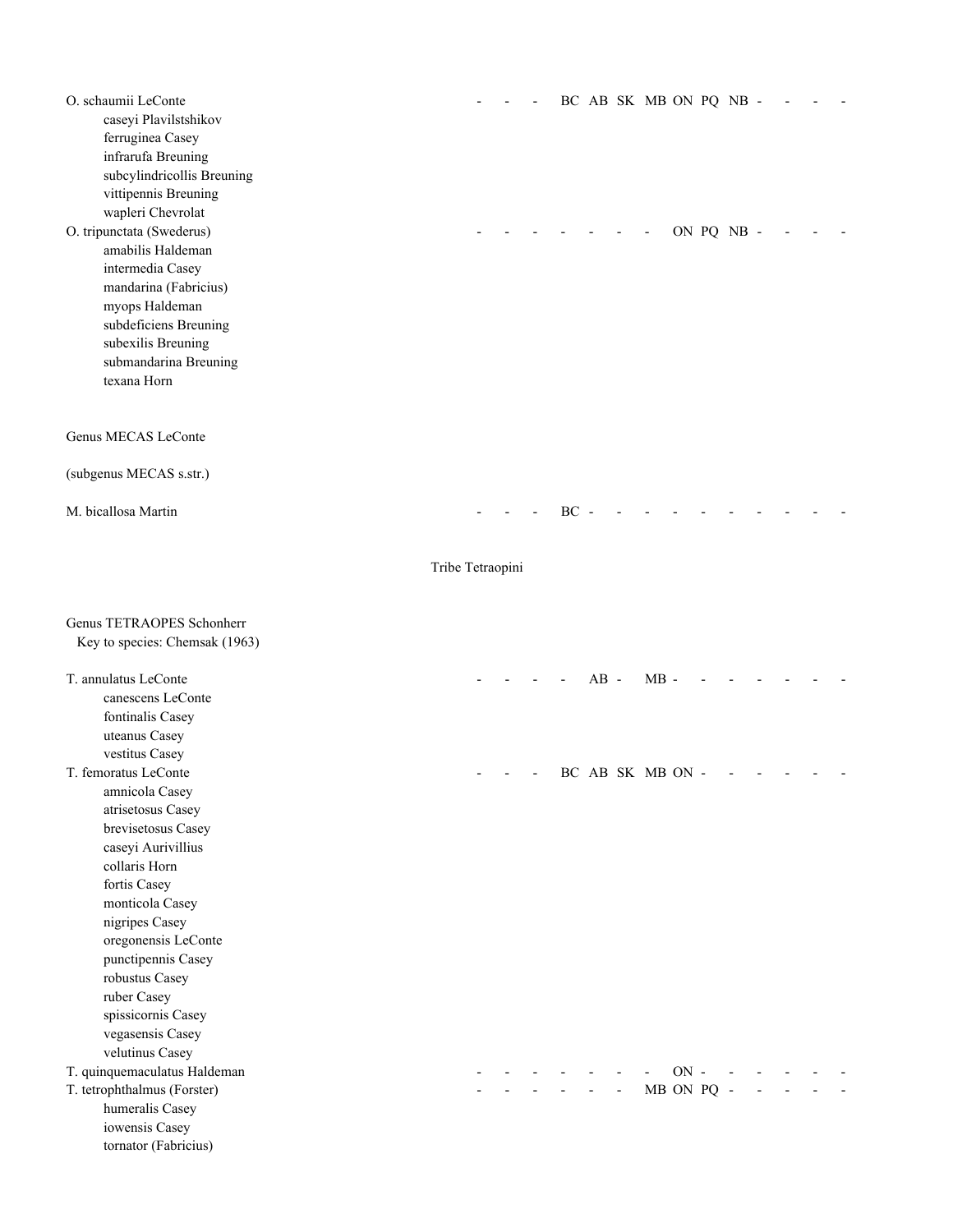| O. schaumii LeConte<br>caseyi Plavilstshikov<br>ferruginea Casey<br>infrarufa Breuning<br>subcylindricollis Breuning<br>vittipennis Breuning<br>wapleri Chevrolat<br>O. tripunctata (Swederus)<br>amabilis Haldeman<br>intermedia Casey<br>mandarina (Fabricius)<br>myops Haldeman<br>subdeficiens Breuning<br>subexilis Breuning<br>submandarina Breuning<br>texana Horn |                  |  |        |        |    | BC AB SK MB ON PQ NB - |        | ON PQ NB - |  |  |
|---------------------------------------------------------------------------------------------------------------------------------------------------------------------------------------------------------------------------------------------------------------------------------------------------------------------------------------------------------------------------|------------------|--|--------|--------|----|------------------------|--------|------------|--|--|
| Genus MECAS LeConte                                                                                                                                                                                                                                                                                                                                                       |                  |  |        |        |    |                        |        |            |  |  |
| (subgenus MECAS s.str.)                                                                                                                                                                                                                                                                                                                                                   |                  |  |        |        |    |                        |        |            |  |  |
| M. bicallosa Martin                                                                                                                                                                                                                                                                                                                                                       |                  |  | $BC -$ |        |    |                        |        |            |  |  |
|                                                                                                                                                                                                                                                                                                                                                                           | Tribe Tetraopini |  |        |        |    |                        |        |            |  |  |
| Genus TETRAOPES Schonherr<br>Key to species: Chemsak (1963)                                                                                                                                                                                                                                                                                                               |                  |  |        |        |    |                        |        |            |  |  |
| T. annulatus LeConte<br>canescens LeConte<br>fontinalis Casey<br>uteanus Casey<br>vestitus Casey                                                                                                                                                                                                                                                                          |                  |  |        | $AB -$ |    | $MB -$                 |        |            |  |  |
| T. femoratus LeConte<br>amnicola Casey<br>atrisetosus Casey<br>brevisetosus Casey<br>caseyi Aurivillius<br>collaris Horn<br>fortis Casey<br>monticola Casey<br>nigripes Casey<br>oregonensis LeConte<br>punctipennis Casey<br>robustus Casey<br>ruber Casey<br>spissicornis Casey<br>vegasensis Casey<br>velutinus Casey                                                  |                  |  |        |        |    | BC AB SK MB ON -       |        |            |  |  |
| T. quinquemaculatus Haldeman<br>T. tetrophthalmus (Forster)<br>humeralis Casey<br>iowensis Casey<br>tornator (Fabricius)                                                                                                                                                                                                                                                  |                  |  |        |        | L. | MB ON PQ -             | $ON -$ |            |  |  |